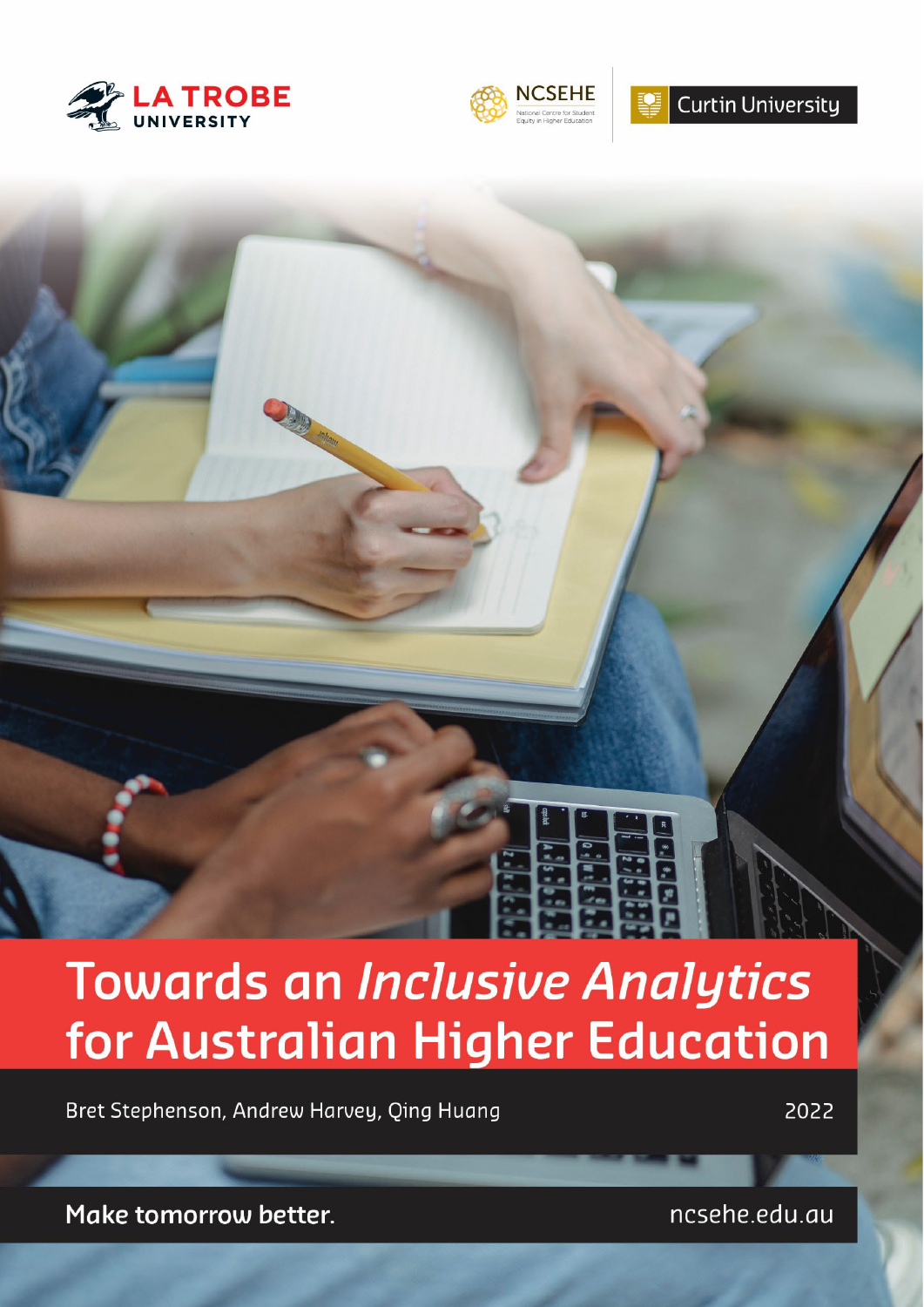



# Curtin University

# **Towards an Inclusive Analytics** for Australian Higher Education

Bret Stephenson, Andrew Harvey, Qing Huang

2022

Make tomorrow better.

ncsehe.edu.au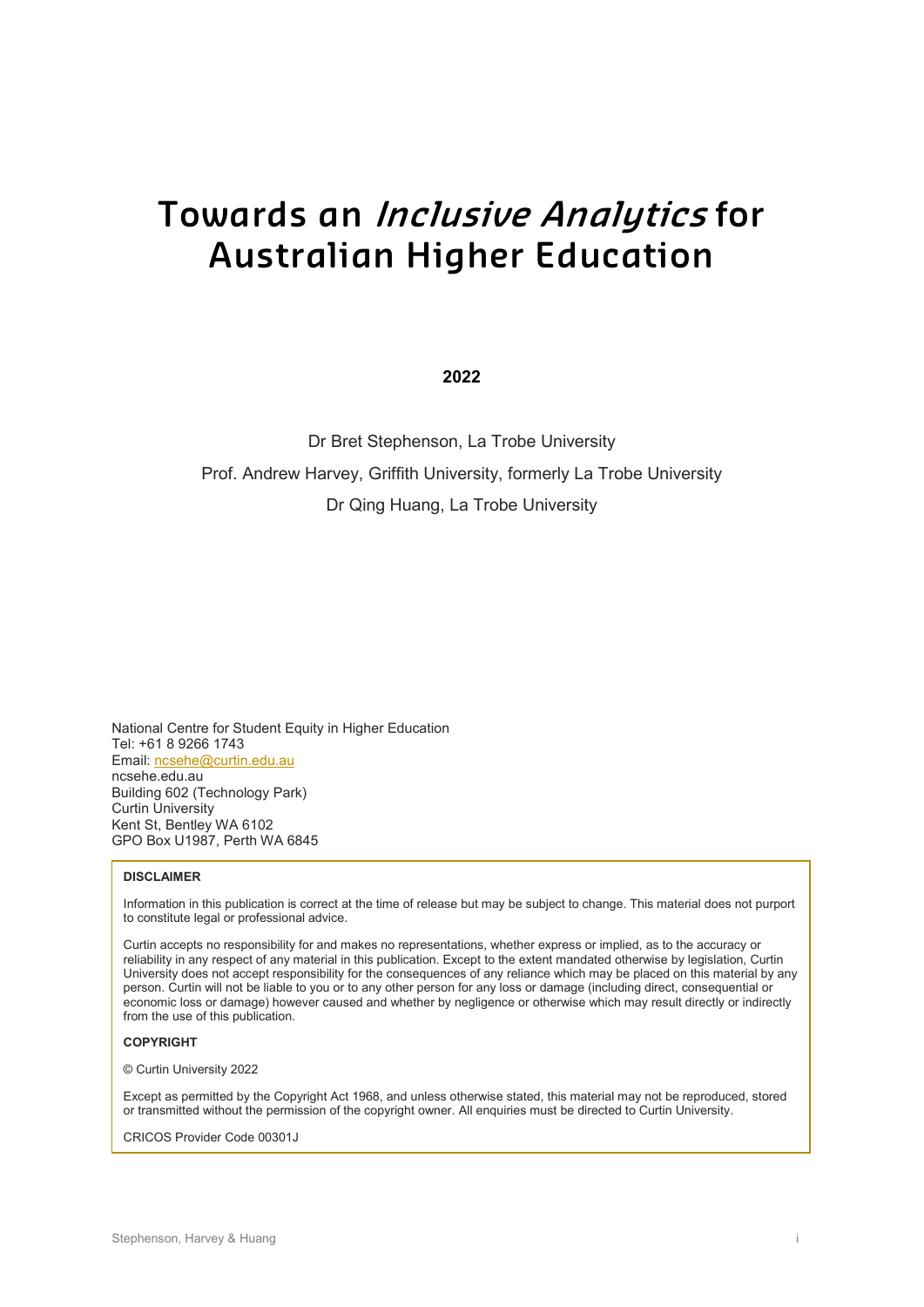# **Towards an Inclusive Analytics for Australian Higher Education**

**2022**

Dr Bret Stephenson, La Trobe University Prof. Andrew Harvey, Griffith University, formerly La Trobe University Dr Qing Huang, La Trobe University

National Centre for Student Equity in Higher Education Tel: +61 8 9266 1743 Email[: ncsehe@curtin.edu.au](mailto:ncsehe@curtin.edu.au)  ncsehe.edu.au Building 602 (Technology Park) Curtin University Kent St, Bentley WA 6102 GPO Box U1987, Perth WA 6845

#### **DISCLAIMER**

Information in this publication is correct at the time of release but may be subject to change. This material does not purport to constitute legal or professional advice.

Curtin accepts no responsibility for and makes no representations, whether express or implied, as to the accuracy or reliability in any respect of any material in this publication. Except to the extent mandated otherwise by legislation, Curtin University does not accept responsibility for the consequences of any reliance which may be placed on this material by any person. Curtin will not be liable to you or to any other person for any loss or damage (including direct, consequential or economic loss or damage) however caused and whether by negligence or otherwise which may result directly or indirectly from the use of this publication.

#### **COPYRIGHT**

© Curtin University 2022

Except as permitted by the Copyright Act 1968, and unless otherwise stated, this material may not be reproduced, stored or transmitted without the permission of the copyright owner. All enquiries must be directed to Curtin University.

CRICOS Provider Code 00301J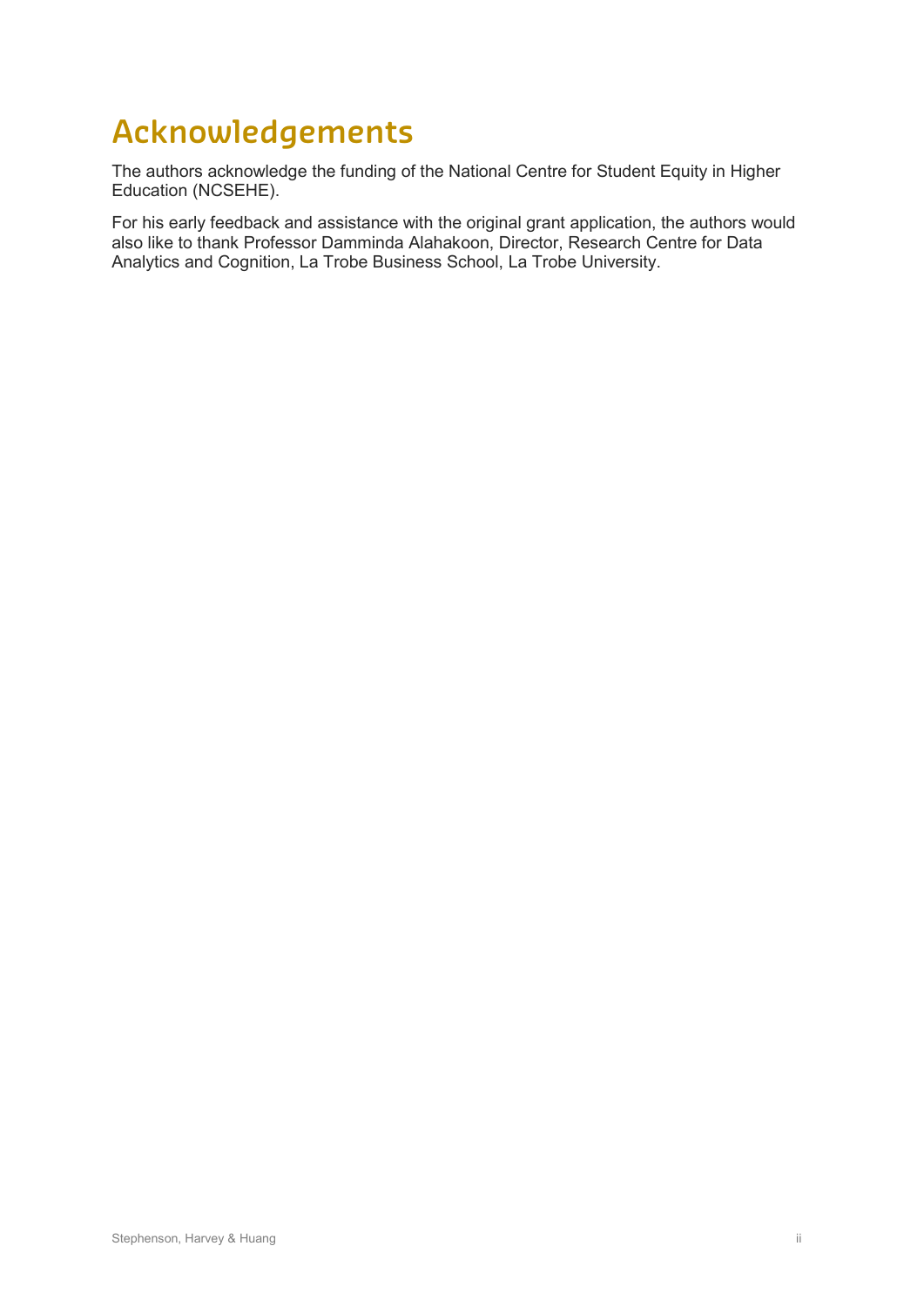# **Acknowledgements**

The authors acknowledge the funding of the National Centre for Student Equity in Higher Education (NCSEHE).

For his early feedback and assistance with the original grant application, the authors would also like to thank Professor Damminda Alahakoon, Director, Research Centre for Data Analytics and Cognition, La Trobe Business School, La Trobe University.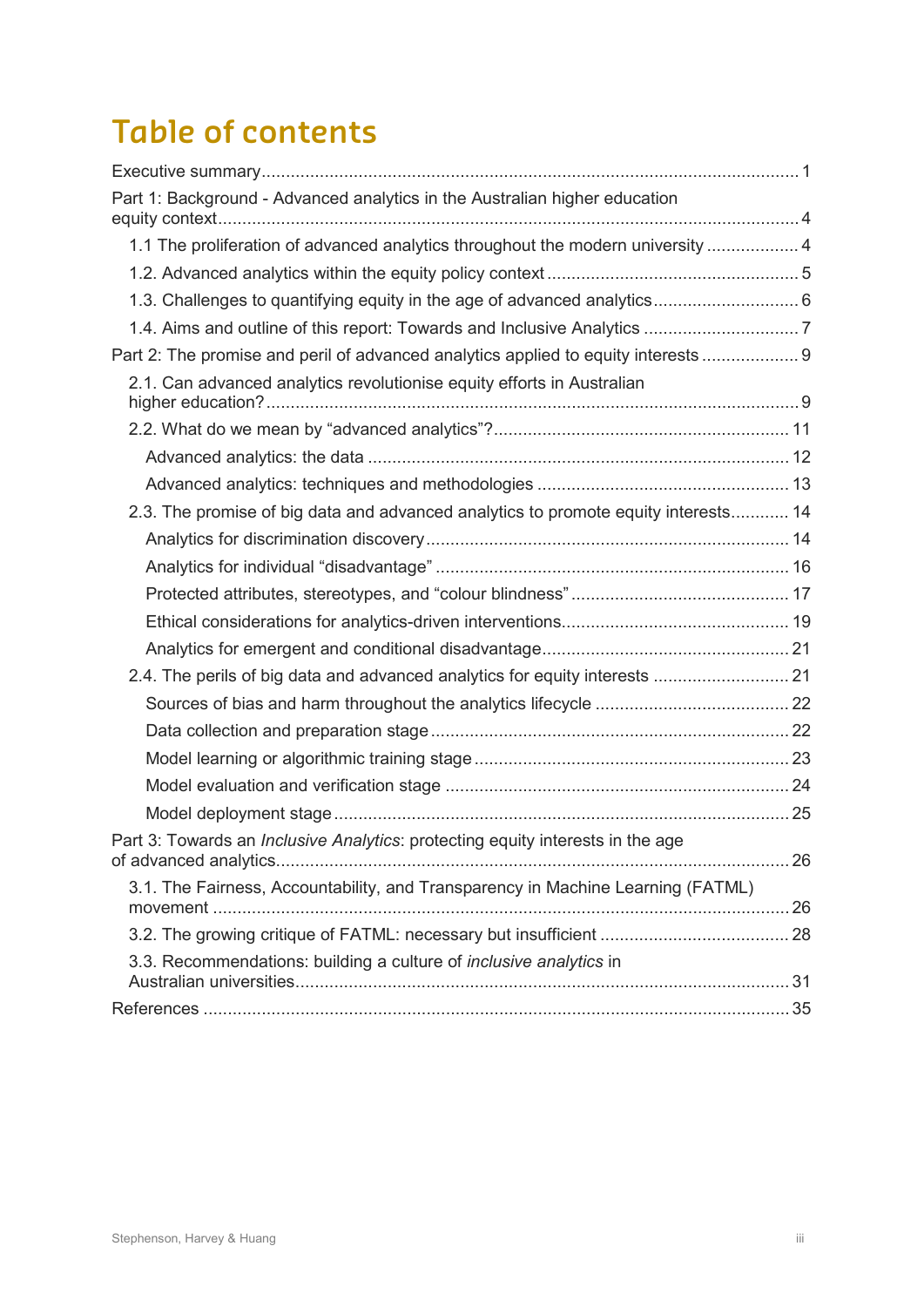# **Table of contents**

| Part 1: Background - Advanced analytics in the Australian higher education             |  |
|----------------------------------------------------------------------------------------|--|
| 1.1 The proliferation of advanced analytics throughout the modern university  4        |  |
|                                                                                        |  |
|                                                                                        |  |
|                                                                                        |  |
| Part 2: The promise and peril of advanced analytics applied to equity interests  9     |  |
| 2.1. Can advanced analytics revolutionise equity efforts in Australian                 |  |
|                                                                                        |  |
|                                                                                        |  |
|                                                                                        |  |
| 2.3. The promise of big data and advanced analytics to promote equity interests 14     |  |
|                                                                                        |  |
|                                                                                        |  |
|                                                                                        |  |
|                                                                                        |  |
|                                                                                        |  |
| 2.4. The perils of big data and advanced analytics for equity interests  21            |  |
|                                                                                        |  |
|                                                                                        |  |
|                                                                                        |  |
|                                                                                        |  |
|                                                                                        |  |
| Part 3: Towards an <i>Inclusive Analytics</i> : protecting equity interests in the age |  |
| 3.1. The Fairness, Accountability, and Transparency in Machine Learning (FATML)        |  |
|                                                                                        |  |
| 3.3. Recommendations: building a culture of <i>inclusive analytics</i> in              |  |
|                                                                                        |  |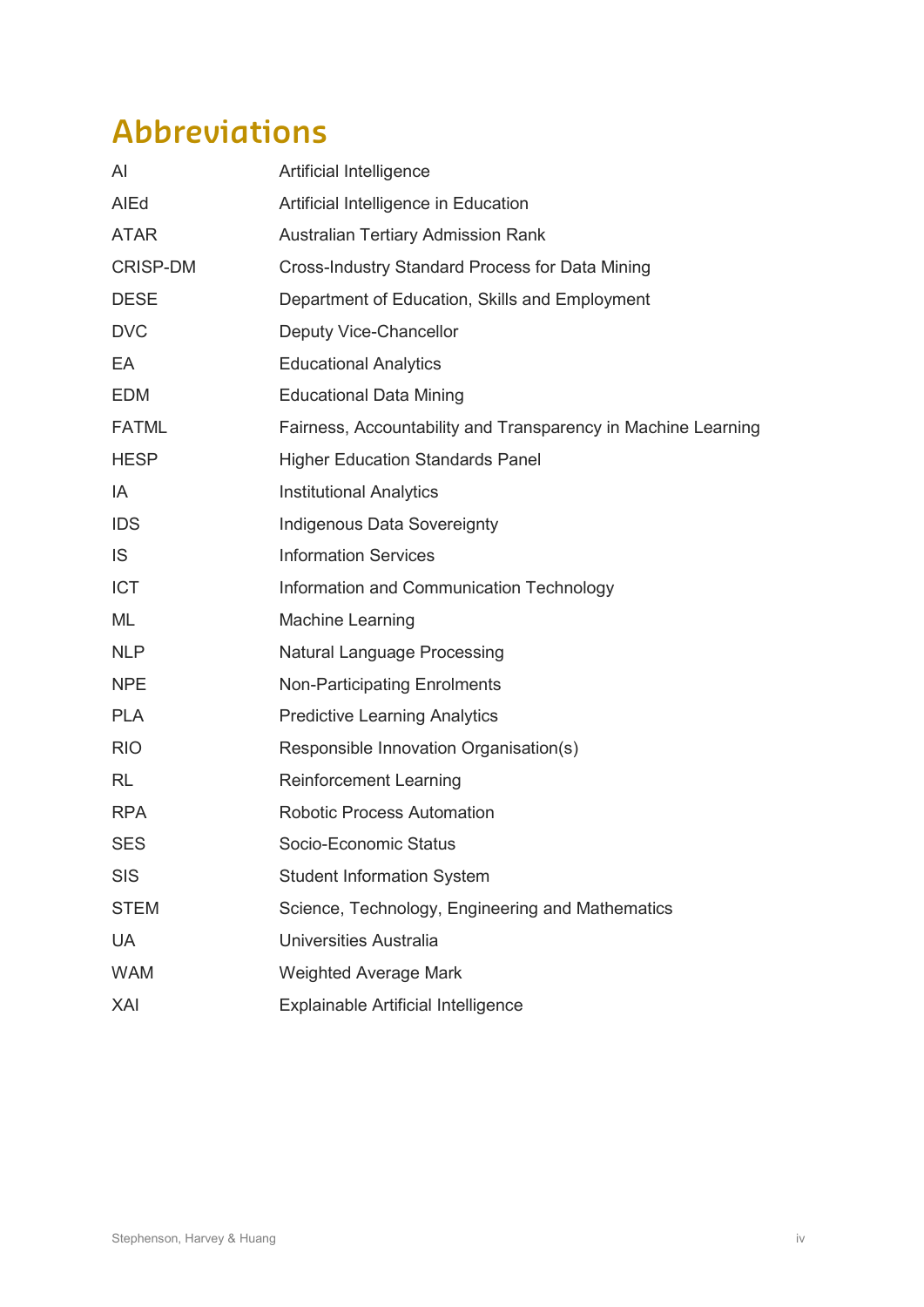# **Abbreviations**

| AI              | Artificial Intelligence                                       |
|-----------------|---------------------------------------------------------------|
| AIEd            | Artificial Intelligence in Education                          |
| <b>ATAR</b>     | <b>Australian Tertiary Admission Rank</b>                     |
| <b>CRISP-DM</b> | <b>Cross-Industry Standard Process for Data Mining</b>        |
| <b>DESE</b>     | Department of Education, Skills and Employment                |
| <b>DVC</b>      | Deputy Vice-Chancellor                                        |
| EA              | <b>Educational Analytics</b>                                  |
| <b>EDM</b>      | <b>Educational Data Mining</b>                                |
| <b>FATML</b>    | Fairness, Accountability and Transparency in Machine Learning |
| <b>HESP</b>     | <b>Higher Education Standards Panel</b>                       |
| IA              | <b>Institutional Analytics</b>                                |
| <b>IDS</b>      | Indigenous Data Sovereignty                                   |
| IS              | <b>Information Services</b>                                   |
| <b>ICT</b>      | Information and Communication Technology                      |
| ML              | <b>Machine Learning</b>                                       |
| <b>NLP</b>      | <b>Natural Language Processing</b>                            |
| <b>NPE</b>      | <b>Non-Participating Enrolments</b>                           |
| <b>PLA</b>      | <b>Predictive Learning Analytics</b>                          |
| <b>RIO</b>      | Responsible Innovation Organisation(s)                        |
| <b>RL</b>       | <b>Reinforcement Learning</b>                                 |
| <b>RPA</b>      | <b>Robotic Process Automation</b>                             |
| <b>SES</b>      | Socio-Economic Status                                         |
| <b>SIS</b>      | <b>Student Information System</b>                             |
| <b>STEM</b>     | Science, Technology, Engineering and Mathematics              |
| <b>UA</b>       | Universities Australia                                        |
| <b>WAM</b>      | <b>Weighted Average Mark</b>                                  |
| XAI             | Explainable Artificial Intelligence                           |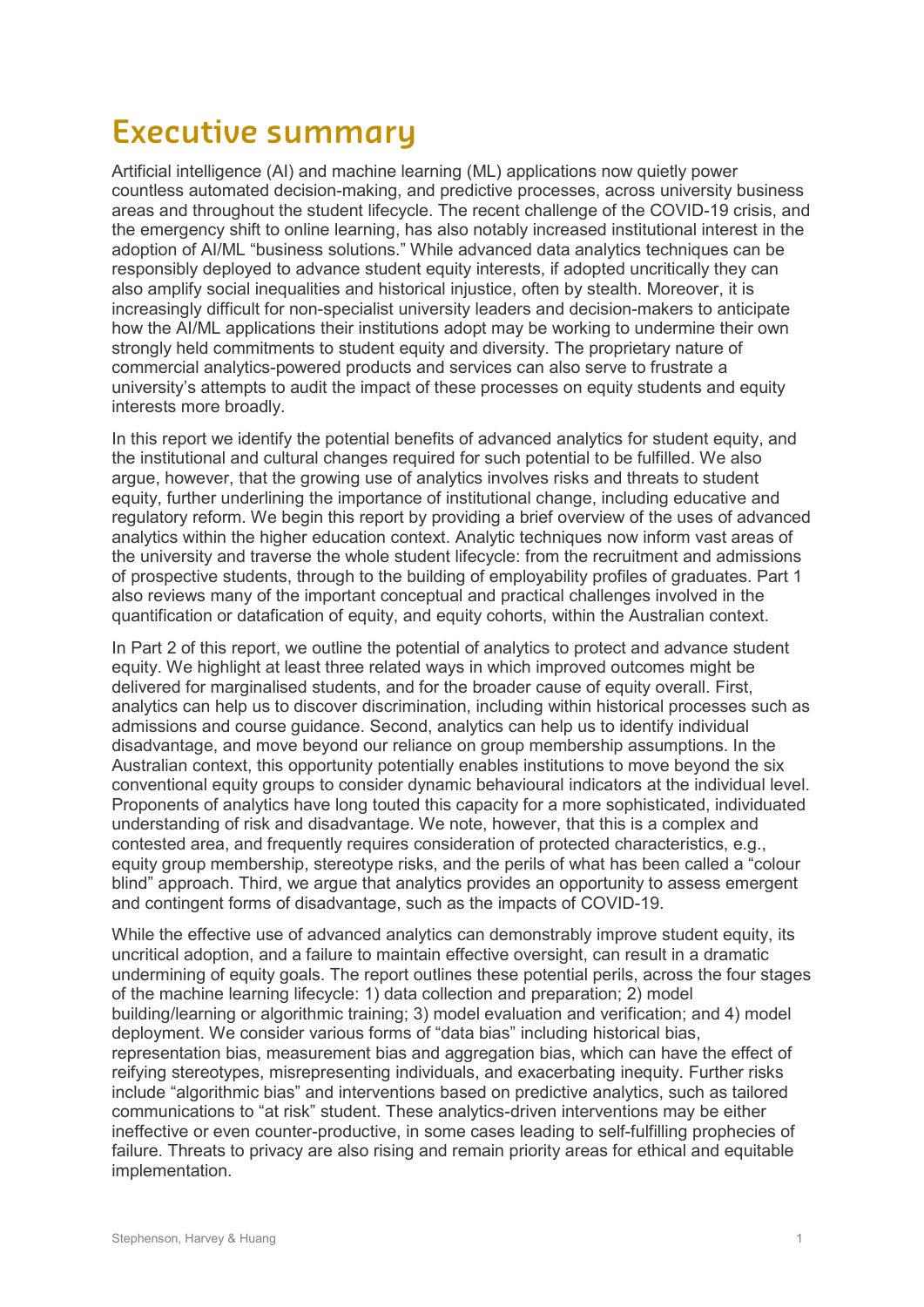# **Executive summary**

Artificial intelligence (AI) and machine learning (ML) applications now quietly power countless automated decision-making, and predictive processes, across university business areas and throughout the student lifecycle. The recent challenge of the COVID-19 crisis, and the emergency shift to online learning, has also notably increased institutional interest in the adoption of AI/ML "business solutions." While advanced data analytics techniques can be responsibly deployed to advance student equity interests, if adopted uncritically they can also amplify social inequalities and historical injustice, often by stealth. Moreover, it is increasingly difficult for non-specialist university leaders and decision-makers to anticipate how the AI/ML applications their institutions adopt may be working to undermine their own strongly held commitments to student equity and diversity. The proprietary nature of commercial analytics-powered products and services can also serve to frustrate a university's attempts to audit the impact of these processes on equity students and equity interests more broadly.

In this report we identify the potential benefits of advanced analytics for student equity, and the institutional and cultural changes required for such potential to be fulfilled. We also argue, however, that the growing use of analytics involves risks and threats to student equity, further underlining the importance of institutional change, including educative and regulatory reform. We begin this report by providing a brief overview of the uses of advanced analytics within the higher education context. Analytic techniques now inform vast areas of the university and traverse the whole student lifecycle: from the recruitment and admissions of prospective students, through to the building of employability profiles of graduates. Part 1 also reviews many of the important conceptual and practical challenges involved in the quantification or datafication of equity, and equity cohorts, within the Australian context.

In Part 2 of this report, we outline the potential of analytics to protect and advance student equity. We highlight at least three related ways in which improved outcomes might be delivered for marginalised students, and for the broader cause of equity overall. First, analytics can help us to discover discrimination, including within historical processes such as admissions and course guidance. Second, analytics can help us to identify individual disadvantage, and move beyond our reliance on group membership assumptions. In the Australian context, this opportunity potentially enables institutions to move beyond the six conventional equity groups to consider dynamic behavioural indicators at the individual level. Proponents of analytics have long touted this capacity for a more sophisticated, individuated understanding of risk and disadvantage. We note, however, that this is a complex and contested area, and frequently requires consideration of protected characteristics, e.g., equity group membership, stereotype risks, and the perils of what has been called a "colour blind" approach. Third, we argue that analytics provides an opportunity to assess emergent and contingent forms of disadvantage, such as the impacts of COVID-19.

While the effective use of advanced analytics can demonstrably improve student equity, its uncritical adoption, and a failure to maintain effective oversight, can result in a dramatic undermining of equity goals. The report outlines these potential perils, across the four stages of the machine learning lifecycle: 1) data collection and preparation; 2) model building/learning or algorithmic training; 3) model evaluation and verification; and 4) model deployment. We consider various forms of "data bias" including historical bias, representation bias, measurement bias and aggregation bias, which can have the effect of reifying stereotypes, misrepresenting individuals, and exacerbating inequity. Further risks include "algorithmic bias" and interventions based on predictive analytics, such as tailored communications to "at risk" student. These analytics-driven interventions may be either ineffective or even counter-productive, in some cases leading to self-fulfilling prophecies of failure. Threats to privacy are also rising and remain priority areas for ethical and equitable implementation.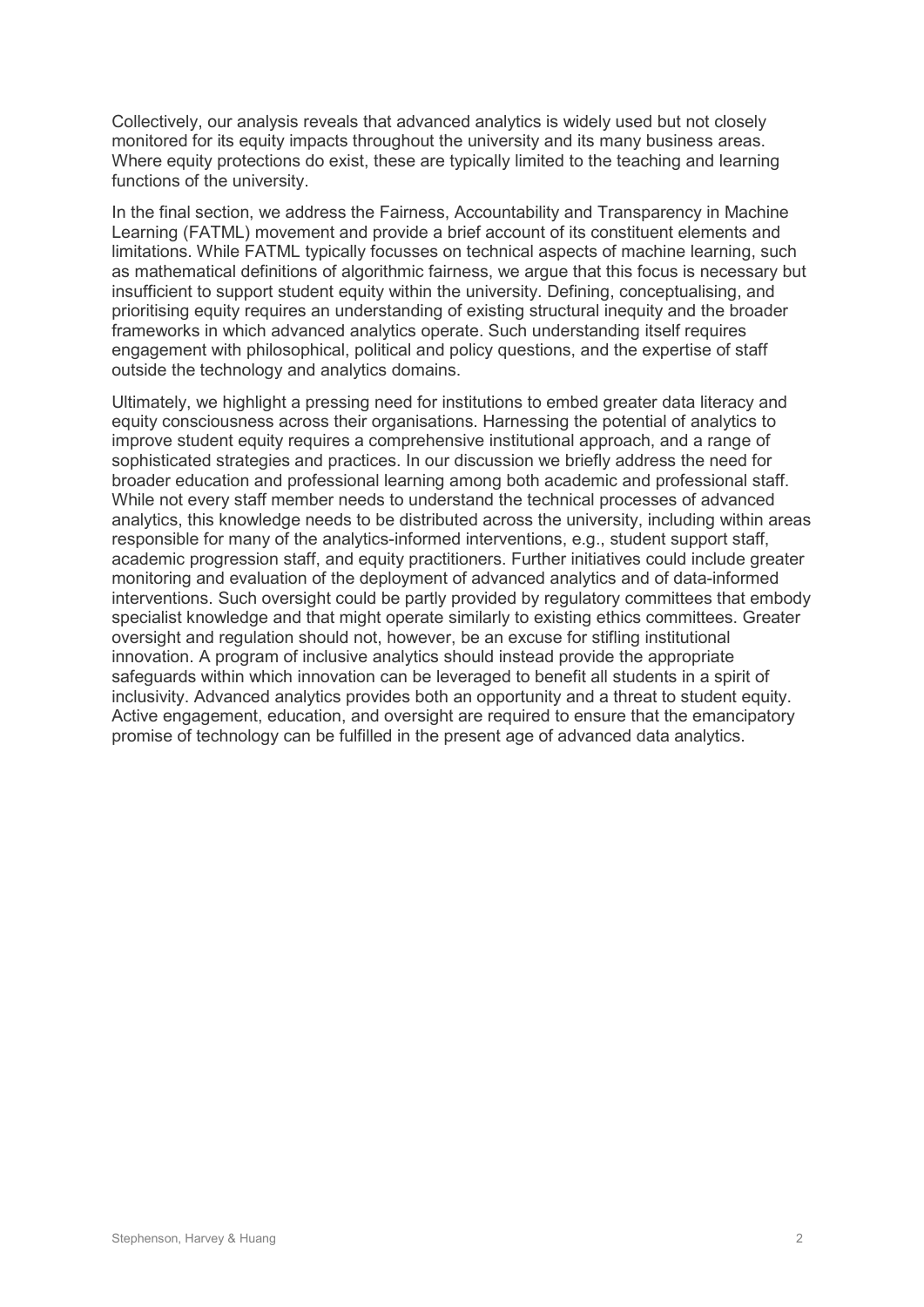Collectively, our analysis reveals that advanced analytics is widely used but not closely monitored for its equity impacts throughout the university and its many business areas. Where equity protections do exist, these are typically limited to the teaching and learning functions of the university.

In the final section, we address the Fairness, Accountability and Transparency in Machine Learning (FATML) movement and provide a brief account of its constituent elements and limitations. While FATML typically focusses on technical aspects of machine learning, such as mathematical definitions of algorithmic fairness, we argue that this focus is necessary but insufficient to support student equity within the university. Defining, conceptualising, and prioritising equity requires an understanding of existing structural inequity and the broader frameworks in which advanced analytics operate. Such understanding itself requires engagement with philosophical, political and policy questions, and the expertise of staff outside the technology and analytics domains.

Ultimately, we highlight a pressing need for institutions to embed greater data literacy and equity consciousness across their organisations. Harnessing the potential of analytics to improve student equity requires a comprehensive institutional approach, and a range of sophisticated strategies and practices. In our discussion we briefly address the need for broader education and professional learning among both academic and professional staff. While not every staff member needs to understand the technical processes of advanced analytics, this knowledge needs to be distributed across the university, including within areas responsible for many of the analytics-informed interventions, e.g., student support staff, academic progression staff, and equity practitioners. Further initiatives could include greater monitoring and evaluation of the deployment of advanced analytics and of data-informed interventions. Such oversight could be partly provided by regulatory committees that embody specialist knowledge and that might operate similarly to existing ethics committees. Greater oversight and regulation should not, however, be an excuse for stifling institutional innovation. A program of inclusive analytics should instead provide the appropriate safeguards within which innovation can be leveraged to benefit all students in a spirit of inclusivity. Advanced analytics provides both an opportunity and a threat to student equity. Active engagement, education, and oversight are required to ensure that the emancipatory promise of technology can be fulfilled in the present age of advanced data analytics.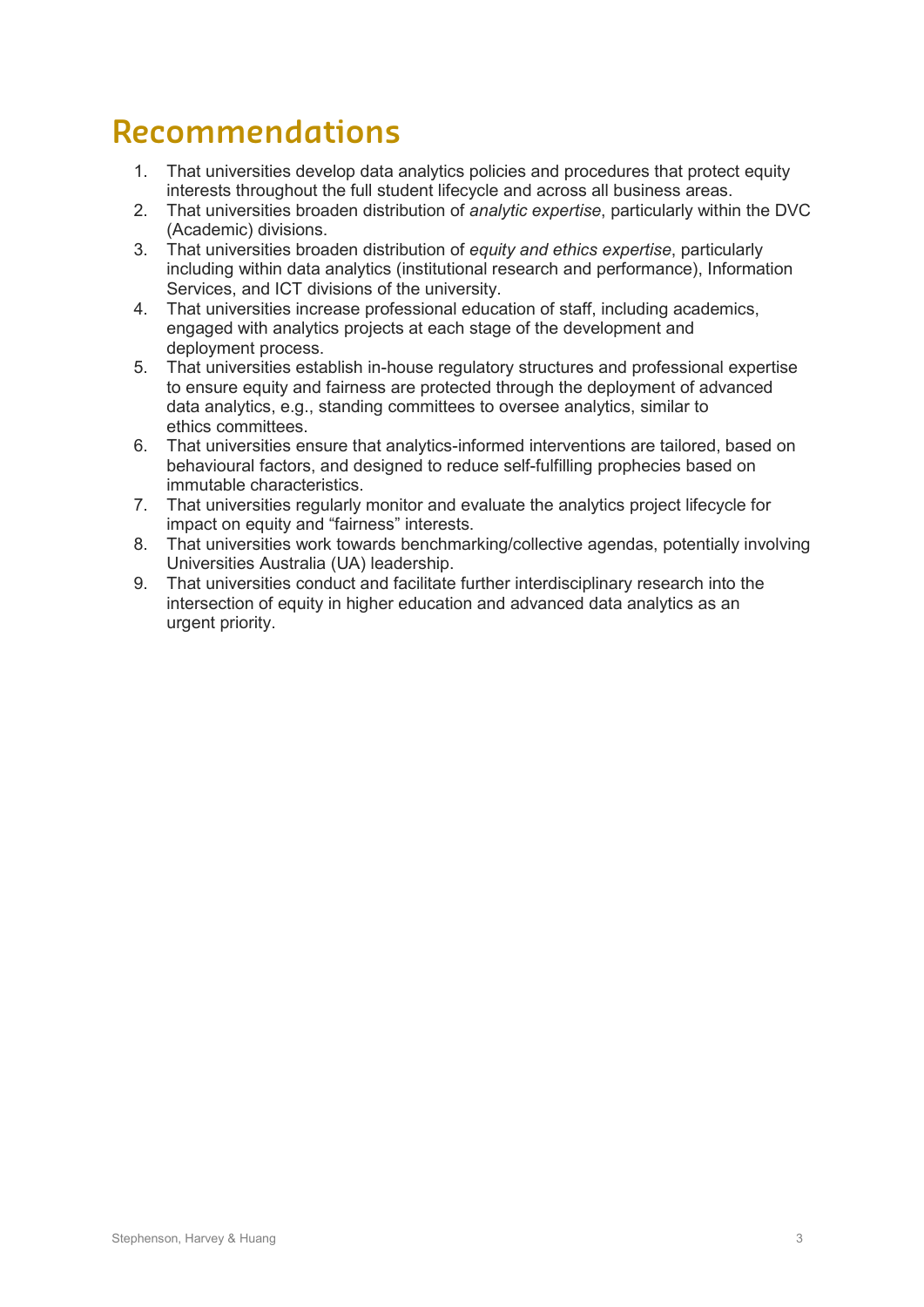# **Recommendations**

- 1. That universities develop data analytics policies and procedures that protect equity interests throughout the full student lifecycle and across all business areas.
- 2. That universities broaden distribution of *analytic expertise*, particularly within the DVC (Academic) divisions.
- 3. That universities broaden distribution of *equity and ethics expertise*, particularly including within data analytics (institutional research and performance), Information Services, and ICT divisions of the university.
- 4. That universities increase professional education of staff, including academics, engaged with analytics projects at each stage of the development and deployment process.
- 5. That universities establish in-house regulatory structures and professional expertise to ensure equity and fairness are protected through the deployment of advanced data analytics, e.g., standing committees to oversee analytics, similar to ethics committees.
- 6. That universities ensure that analytics-informed interventions are tailored, based on behavioural factors, and designed to reduce self-fulfilling prophecies based on immutable characteristics.
- 7. That universities regularly monitor and evaluate the analytics project lifecycle for impact on equity and "fairness" interests.
- 8. That universities work towards benchmarking/collective agendas, potentially involving Universities Australia (UA) leadership.
- 9. That universities conduct and facilitate further interdisciplinary research into the intersection of equity in higher education and advanced data analytics as an urgent priority.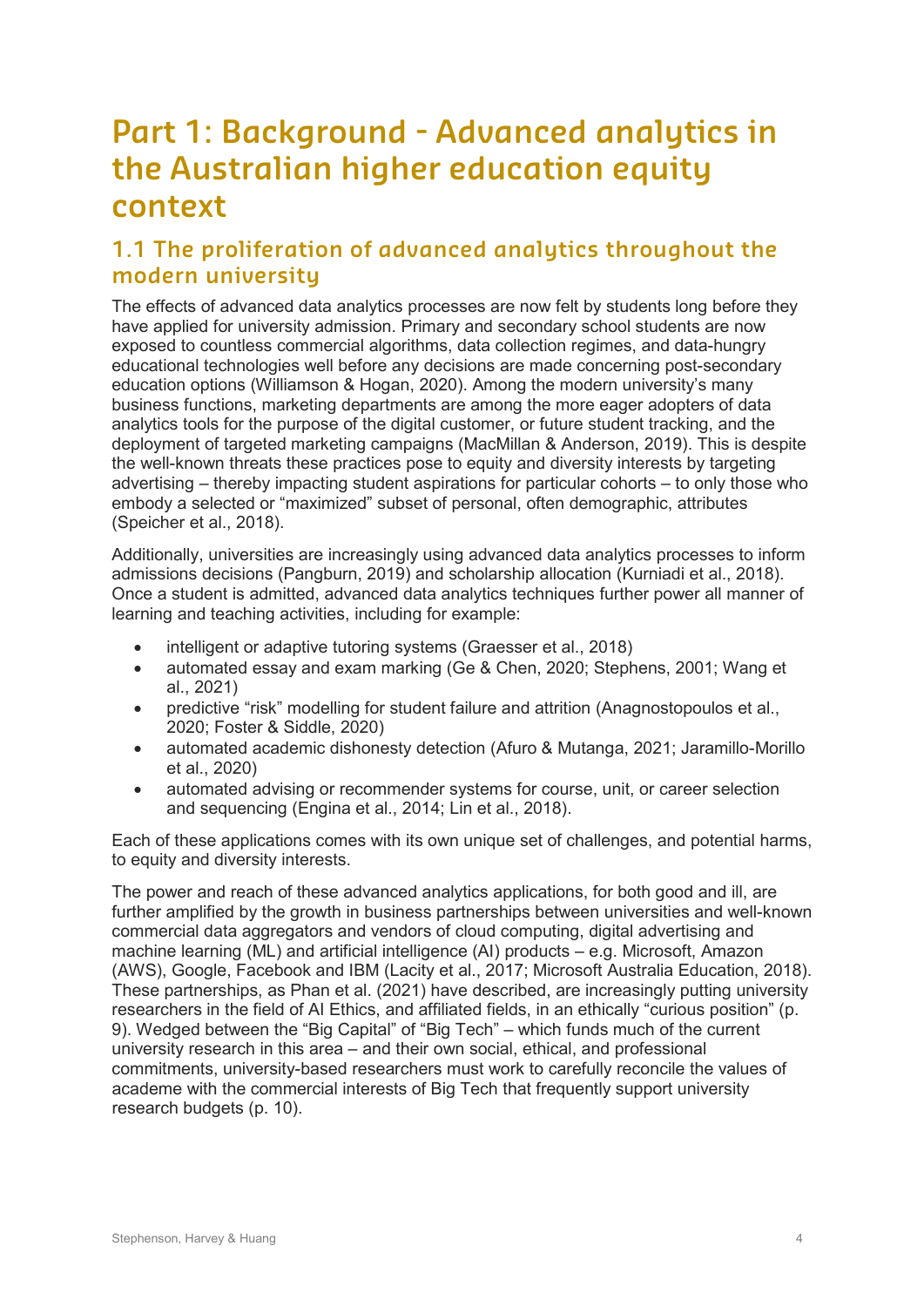# **Part 1: Background - Advanced analytics in the Australian higher education equity context**

## **1.1 The proliferation of advanced analytics throughout the modern university**

The effects of advanced data analytics processes are now felt by students long before they have applied for university admission. Primary and secondary school students are now exposed to countless commercial algorithms, data collection regimes, and data-hungry educational technologies well before any decisions are made concerning post-secondary education options (Williamson & Hogan, 2020). Among the modern university's many business functions, marketing departments are among the more eager adopters of data analytics tools for the purpose of the digital customer, or future student tracking, and the deployment of targeted marketing campaigns (MacMillan & Anderson, 2019). This is despite the well-known threats these practices pose to equity and diversity interests by targeting advertising – thereby impacting student aspirations for particular cohorts – to only those who embody a selected or "maximized" subset of personal, often demographic, attributes (Speicher et al., 2018).

Additionally, universities are increasingly using advanced data analytics processes to inform admissions decisions (Pangburn, 2019) and scholarship allocation (Kurniadi et al., 2018). Once a student is admitted, advanced data analytics techniques further power all manner of learning and teaching activities, including for example:

- intelligent or adaptive tutoring systems (Graesser et al., 2018)
- automated essay and exam marking (Ge & Chen, 2020; Stephens, 2001; Wang et al., 2021)
- predictive "risk" modelling for student failure and attrition (Anagnostopoulos et al., 2020; Foster & Siddle, 2020)
- automated academic dishonesty detection (Afuro & Mutanga, 2021; Jaramillo-Morillo et al., 2020)
- automated advising or recommender systems for course, unit, or career selection and sequencing (Engina et al., 2014; Lin et al., 2018).

Each of these applications comes with its own unique set of challenges, and potential harms, to equity and diversity interests.

The power and reach of these advanced analytics applications, for both good and ill, are further amplified by the growth in business partnerships between universities and well-known commercial data aggregators and vendors of cloud computing, digital advertising and machine learning (ML) and artificial intelligence (AI) products – e.g. Microsoft, Amazon (AWS), Google, Facebook and IBM (Lacity et al., 2017; Microsoft Australia Education, 2018). These partnerships, as Phan et al. (2021) have described, are increasingly putting university researchers in the field of AI Ethics, and affiliated fields, in an ethically "curious position" (p. 9). Wedged between the "Big Capital" of "Big Tech" – which funds much of the current university research in this area – and their own social, ethical, and professional commitments, university-based researchers must work to carefully reconcile the values of academe with the commercial interests of Big Tech that frequently support university research budgets (p. 10).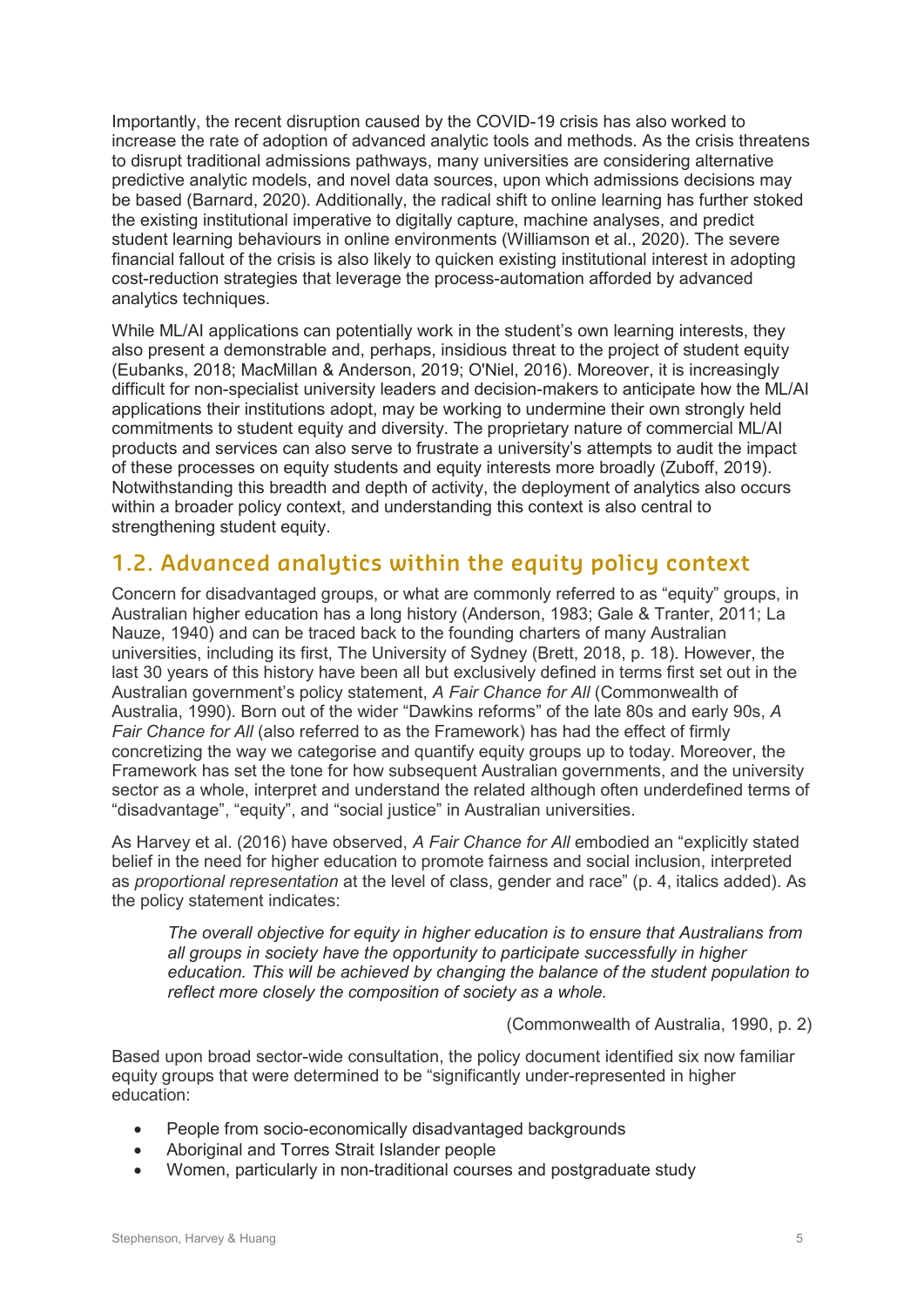Importantly, the recent disruption caused by the COVID-19 crisis has also worked to increase the rate of adoption of advanced analytic tools and methods. As the crisis threatens to disrupt traditional admissions pathways, many universities are considering alternative predictive analytic models, and novel data sources, upon which admissions decisions may be based (Barnard, 2020). Additionally, the radical shift to online learning has further stoked the existing institutional imperative to digitally capture, machine analyses, and predict student learning behaviours in online environments (Williamson et al., 2020). The severe financial fallout of the crisis is also likely to quicken existing institutional interest in adopting cost-reduction strategies that leverage the process-automation afforded by advanced analytics techniques.

While ML/AI applications can potentially work in the student's own learning interests, they also present a demonstrable and, perhaps, insidious threat to the project of student equity (Eubanks, 2018; MacMillan & Anderson, 2019; O'Niel, 2016). Moreover, it is increasingly difficult for non-specialist university leaders and decision-makers to anticipate how the ML/AI applications their institutions adopt, may be working to undermine their own strongly held commitments to student equity and diversity. The proprietary nature of commercial ML/AI products and services can also serve to frustrate a university's attempts to audit the impact of these processes on equity students and equity interests more broadly (Zuboff, 2019). Notwithstanding this breadth and depth of activity, the deployment of analytics also occurs within a broader policy context, and understanding this context is also central to strengthening student equity.

## **1.2. Advanced analytics within the equity policy context**

Concern for disadvantaged groups, or what are commonly referred to as "equity" groups, in Australian higher education has a long history (Anderson, 1983; Gale & Tranter, 2011; La Nauze, 1940) and can be traced back to the founding charters of many Australian universities, including its first, The University of Sydney (Brett, 2018, p. 18). However, the last 30 years of this history have been all but exclusively defined in terms first set out in the Australian government's policy statement, *A Fair Chance for All* (Commonwealth of Australia, 1990). Born out of the wider "Dawkins reforms" of the late 80s and early 90s, *A Fair Chance for All* (also referred to as the Framework) has had the effect of firmly concretizing the way we categorise and quantify equity groups up to today. Moreover, the Framework has set the tone for how subsequent Australian governments, and the university sector as a whole, interpret and understand the related although often underdefined terms of "disadvantage", "equity", and "social justice" in Australian universities.

As Harvey et al. (2016) have observed, *A Fair Chance for All* embodied an "explicitly stated belief in the need for higher education to promote fairness and social inclusion, interpreted as *proportional representation* at the level of class, gender and race" (p. 4, italics added). As the policy statement indicates:

*The overall objective for equity in higher education is to ensure that Australians from all groups in society have the opportunity to participate successfully in higher education. This will be achieved by changing the balance of the student population to reflect more closely the composition of society as a whole.* 

(Commonwealth of Australia, 1990, p. 2)

Based upon broad sector-wide consultation, the policy document identified six now familiar equity groups that were determined to be "significantly under-represented in higher education:

- People from socio-economically disadvantaged backgrounds
- Aboriginal and Torres Strait Islander people
- Women, particularly in non-traditional courses and postgraduate study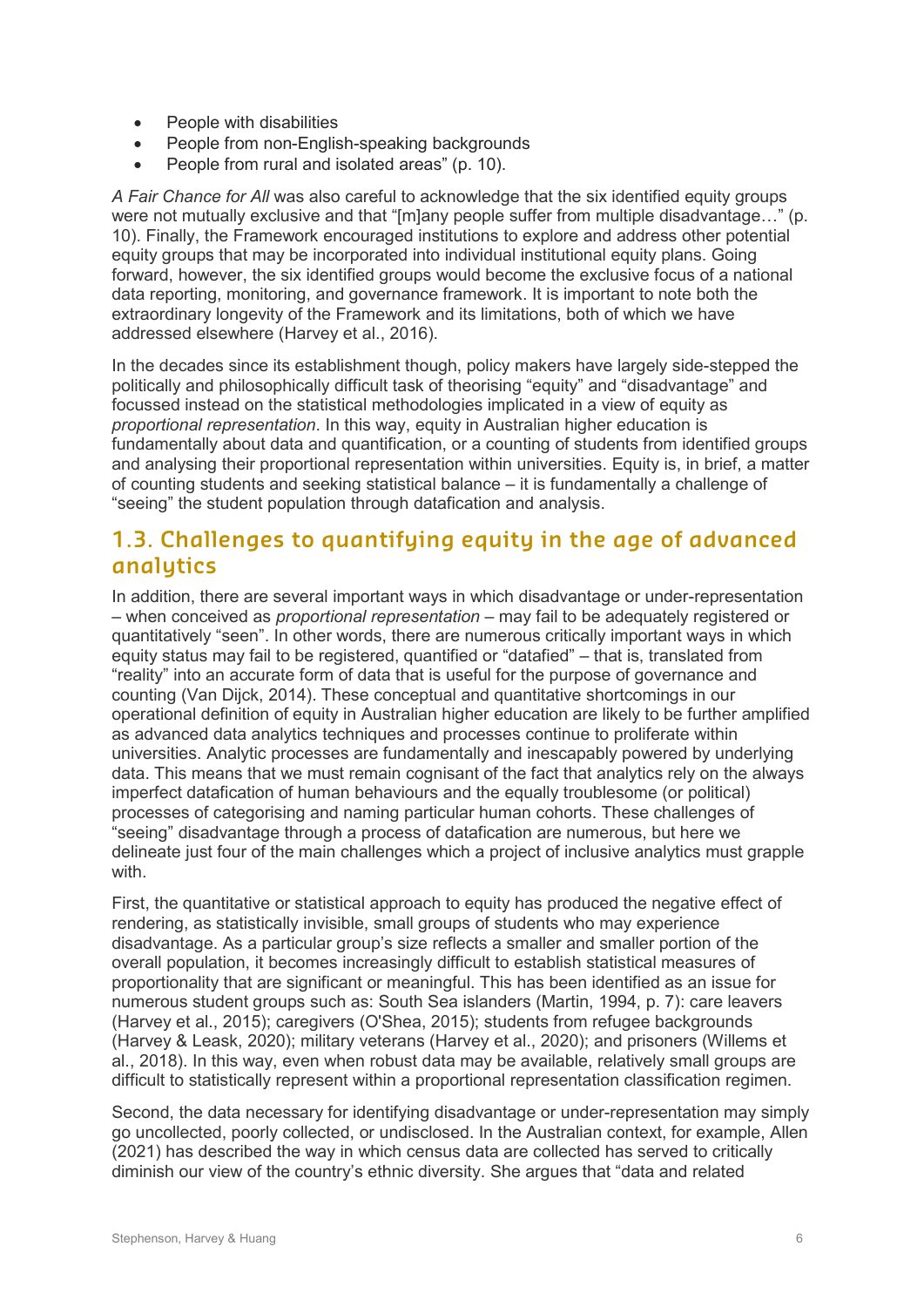- People with disabilities
- People from non-English-speaking backgrounds
- People from rural and isolated areas" (p. 10).

*A Fair Chance for All* was also careful to acknowledge that the six identified equity groups were not mutually exclusive and that "[m]any people suffer from multiple disadvantage…" (p. 10). Finally, the Framework encouraged institutions to explore and address other potential equity groups that may be incorporated into individual institutional equity plans. Going forward, however, the six identified groups would become the exclusive focus of a national data reporting, monitoring, and governance framework. It is important to note both the extraordinary longevity of the Framework and its limitations, both of which we have addressed elsewhere (Harvey et al., 2016).

In the decades since its establishment though, policy makers have largely side-stepped the politically and philosophically difficult task of theorising "equity" and "disadvantage" and focussed instead on the statistical methodologies implicated in a view of equity as *proportional representation*. In this way, equity in Australian higher education is fundamentally about data and quantification, or a counting of students from identified groups and analysing their proportional representation within universities. Equity is, in brief, a matter of counting students and seeking statistical balance – it is fundamentally a challenge of "seeing" the student population through datafication and analysis.

### **1.3. Challenges to quantifying equity in the age of advanced analytics**

In addition, there are several important ways in which disadvantage or under-representation – when conceived as *proportional representation* – may fail to be adequately registered or quantitatively "seen". In other words, there are numerous critically important ways in which equity status may fail to be registered, quantified or "datafied" – that is, translated from "reality" into an accurate form of data that is useful for the purpose of governance and counting (Van Dijck, 2014). These conceptual and quantitative shortcomings in our operational definition of equity in Australian higher education are likely to be further amplified as advanced data analytics techniques and processes continue to proliferate within universities. Analytic processes are fundamentally and inescapably powered by underlying data. This means that we must remain cognisant of the fact that analytics rely on the always imperfect datafication of human behaviours and the equally troublesome (or political) processes of categorising and naming particular human cohorts. These challenges of "seeing" disadvantage through a process of datafication are numerous, but here we delineate just four of the main challenges which a project of inclusive analytics must grapple with.

First, the quantitative or statistical approach to equity has produced the negative effect of rendering, as statistically invisible, small groups of students who may experience disadvantage. As a particular group's size reflects a smaller and smaller portion of the overall population, it becomes increasingly difficult to establish statistical measures of proportionality that are significant or meaningful. This has been identified as an issue for numerous student groups such as: South Sea islanders (Martin, 1994, p. 7): care leavers (Harvey et al., 2015); caregivers (O'Shea, 2015); students from refugee backgrounds (Harvey & Leask, 2020); military veterans (Harvey et al., 2020); and prisoners (Willems et al., 2018). In this way, even when robust data may be available, relatively small groups are difficult to statistically represent within a proportional representation classification regimen.

Second, the data necessary for identifying disadvantage or under-representation may simply go uncollected, poorly collected, or undisclosed. In the Australian context, for example, Allen (2021) has described the way in which census data are collected has served to critically diminish our view of the country's ethnic diversity. She argues that "data and related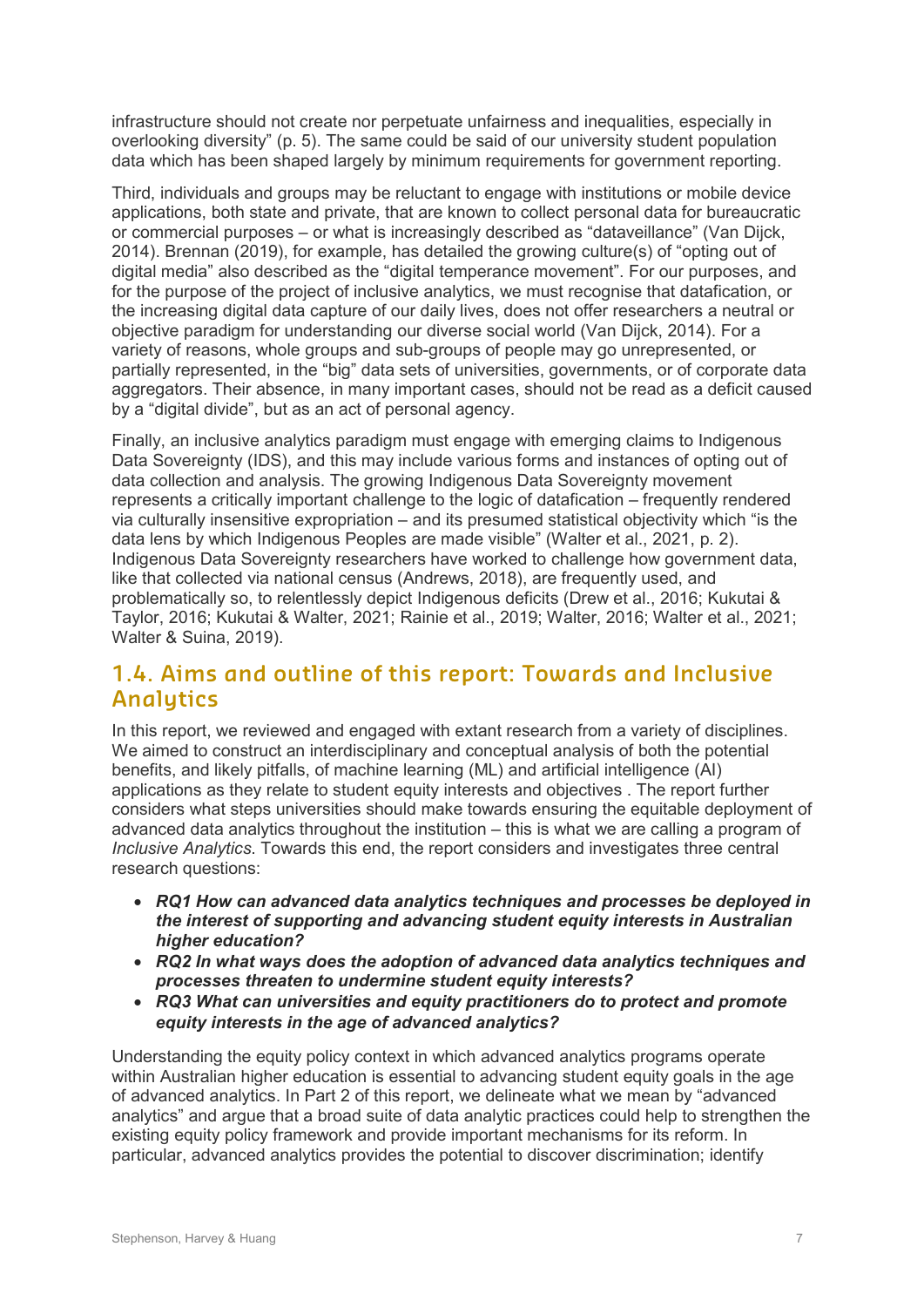infrastructure should not create nor perpetuate unfairness and inequalities, especially in overlooking diversity" (p. 5). The same could be said of our university student population data which has been shaped largely by minimum requirements for government reporting.

Third, individuals and groups may be reluctant to engage with institutions or mobile device applications, both state and private, that are known to collect personal data for bureaucratic or commercial purposes – or what is increasingly described as "dataveillance" (Van Dijck, 2014). Brennan (2019), for example, has detailed the growing culture(s) of "opting out of digital media" also described as the "digital temperance movement". For our purposes, and for the purpose of the project of inclusive analytics, we must recognise that datafication, or the increasing digital data capture of our daily lives, does not offer researchers a neutral or objective paradigm for understanding our diverse social world (Van Dijck, 2014). For a variety of reasons, whole groups and sub-groups of people may go unrepresented, or partially represented, in the "big" data sets of universities, governments, or of corporate data aggregators. Their absence, in many important cases, should not be read as a deficit caused by a "digital divide", but as an act of personal agency.

Finally, an inclusive analytics paradigm must engage with emerging claims to Indigenous Data Sovereignty (IDS), and this may include various forms and instances of opting out of data collection and analysis. The growing Indigenous Data Sovereignty movement represents a critically important challenge to the logic of datafication – frequently rendered via culturally insensitive expropriation – and its presumed statistical objectivity which "is the data lens by which Indigenous Peoples are made visible" (Walter et al., 2021, p. 2). Indigenous Data Sovereignty researchers have worked to challenge how government data, like that collected via national census (Andrews, 2018), are frequently used, and problematically so, to relentlessly depict Indigenous deficits (Drew et al., 2016; Kukutai & Taylor, 2016; Kukutai & Walter, 2021; Rainie et al., 2019; Walter, 2016; Walter et al., 2021; Walter & Suina, 2019).

### **1.4. Aims and outline of this report: Towards and Inclusive Analytics**

In this report, we reviewed and engaged with extant research from a variety of disciplines. We aimed to construct an interdisciplinary and conceptual analysis of both the potential benefits, and likely pitfalls, of machine learning (ML) and artificial intelligence (AI) applications as they relate to student equity interests and objectives . The report further considers what steps universities should make towards ensuring the equitable deployment of advanced data analytics throughout the institution – this is what we are calling a program of *Inclusive Analytics*. Towards this end, the report considers and investigates three central research questions:

- *RQ1 How can advanced data analytics techniques and processes be deployed in the interest of supporting and advancing student equity interests in Australian higher education?*
- *RQ2 In what ways does the adoption of advanced data analytics techniques and processes threaten to undermine student equity interests?*
- *RQ3 What can universities and equity practitioners do to protect and promote equity interests in the age of advanced analytics?*

Understanding the equity policy context in which advanced analytics programs operate within Australian higher education is essential to advancing student equity goals in the age of advanced analytics. In Part 2 of this report, we delineate what we mean by "advanced analytics" and argue that a broad suite of data analytic practices could help to strengthen the existing equity policy framework and provide important mechanisms for its reform. In particular, advanced analytics provides the potential to discover discrimination; identify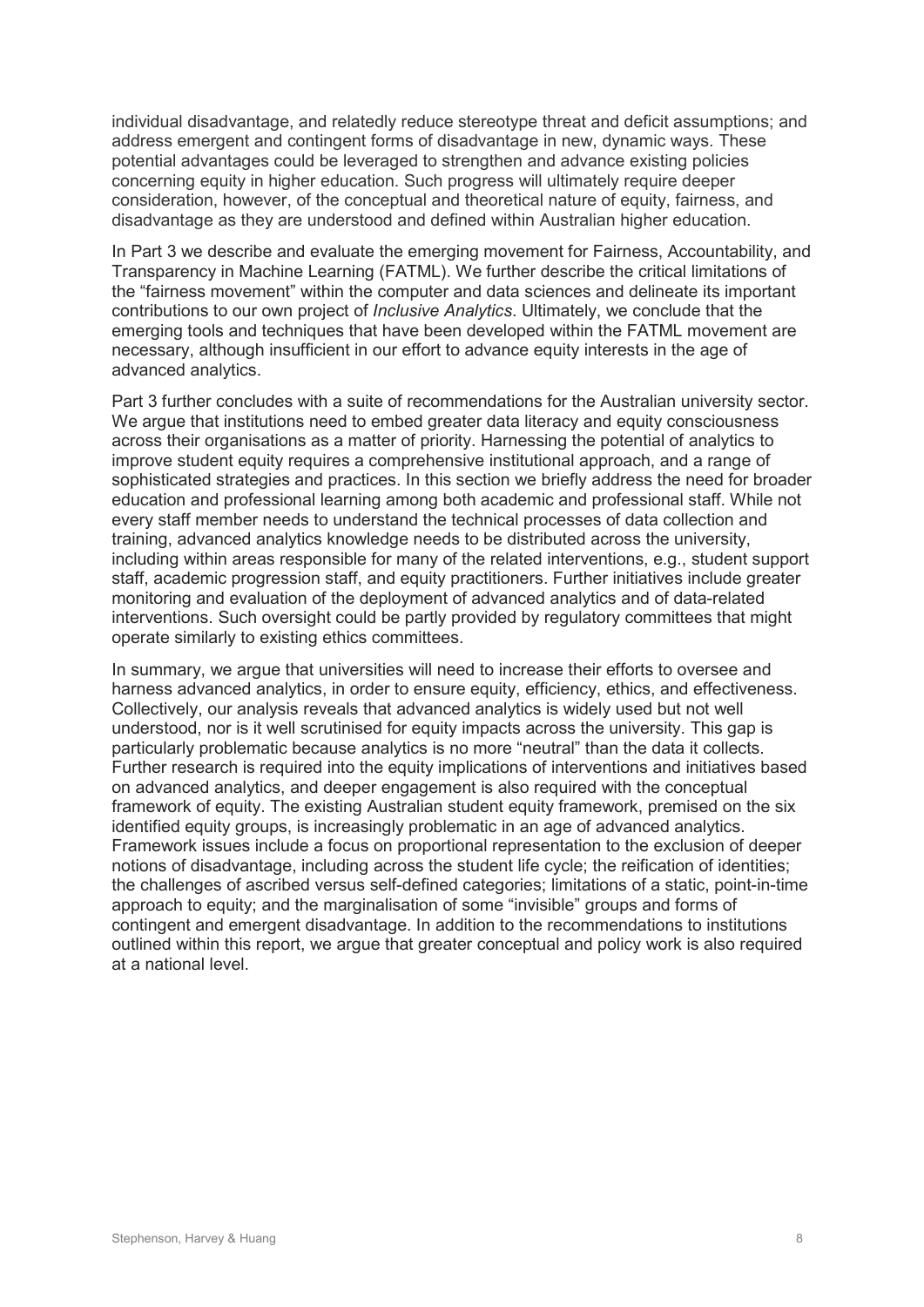individual disadvantage, and relatedly reduce stereotype threat and deficit assumptions; and address emergent and contingent forms of disadvantage in new, dynamic ways. These potential advantages could be leveraged to strengthen and advance existing policies concerning equity in higher education. Such progress will ultimately require deeper consideration, however, of the conceptual and theoretical nature of equity, fairness, and disadvantage as they are understood and defined within Australian higher education.

In Part 3 we describe and evaluate the emerging movement for Fairness, Accountability, and Transparency in Machine Learning (FATML). We further describe the critical limitations of the "fairness movement" within the computer and data sciences and delineate its important contributions to our own project of *Inclusive Analytics*. Ultimately, we conclude that the emerging tools and techniques that have been developed within the FATML movement are necessary, although insufficient in our effort to advance equity interests in the age of advanced analytics.

Part 3 further concludes with a suite of recommendations for the Australian university sector. We argue that institutions need to embed greater data literacy and equity consciousness across their organisations as a matter of priority. Harnessing the potential of analytics to improve student equity requires a comprehensive institutional approach, and a range of sophisticated strategies and practices. In this section we briefly address the need for broader education and professional learning among both academic and professional staff. While not every staff member needs to understand the technical processes of data collection and training, advanced analytics knowledge needs to be distributed across the university, including within areas responsible for many of the related interventions, e.g., student support staff, academic progression staff, and equity practitioners. Further initiatives include greater monitoring and evaluation of the deployment of advanced analytics and of data-related interventions. Such oversight could be partly provided by regulatory committees that might operate similarly to existing ethics committees.

In summary, we argue that universities will need to increase their efforts to oversee and harness advanced analytics, in order to ensure equity, efficiency, ethics, and effectiveness. Collectively, our analysis reveals that advanced analytics is widely used but not well understood, nor is it well scrutinised for equity impacts across the university. This gap is particularly problematic because analytics is no more "neutral" than the data it collects. Further research is required into the equity implications of interventions and initiatives based on advanced analytics, and deeper engagement is also required with the conceptual framework of equity. The existing Australian student equity framework, premised on the six identified equity groups, is increasingly problematic in an age of advanced analytics. Framework issues include a focus on proportional representation to the exclusion of deeper notions of disadvantage, including across the student life cycle; the reification of identities; the challenges of ascribed versus self-defined categories; limitations of a static, point-in-time approach to equity; and the marginalisation of some "invisible" groups and forms of contingent and emergent disadvantage. In addition to the recommendations to institutions outlined within this report, we argue that greater conceptual and policy work is also required at a national level.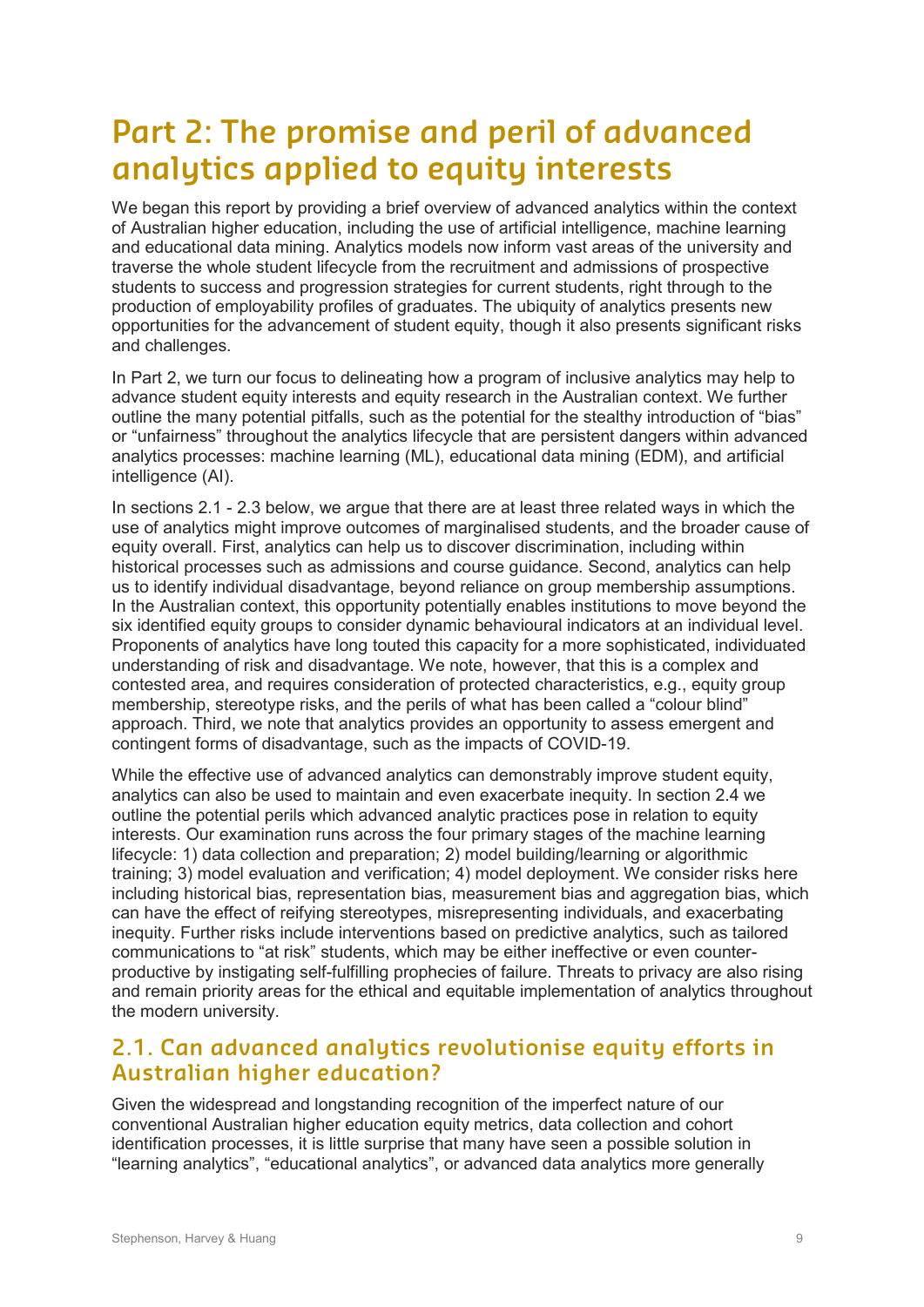# **Part 2: The promise and peril of advanced analytics applied to equity interests**

We began this report by providing a brief overview of advanced analytics within the context of Australian higher education, including the use of artificial intelligence, machine learning and educational data mining. Analytics models now inform vast areas of the university and traverse the whole student lifecycle from the recruitment and admissions of prospective students to success and progression strategies for current students, right through to the production of employability profiles of graduates. The ubiquity of analytics presents new opportunities for the advancement of student equity, though it also presents significant risks and challenges.

In Part 2, we turn our focus to delineating how a program of inclusive analytics may help to advance student equity interests and equity research in the Australian context. We further outline the many potential pitfalls, such as the potential for the stealthy introduction of "bias" or "unfairness" throughout the analytics lifecycle that are persistent dangers within advanced analytics processes: machine learning (ML), educational data mining (EDM), and artificial intelligence (AI).

In sections 2.1 - 2.3 below, we argue that there are at least three related ways in which the use of analytics might improve outcomes of marginalised students, and the broader cause of equity overall. First, analytics can help us to discover discrimination, including within historical processes such as admissions and course guidance. Second, analytics can help us to identify individual disadvantage, beyond reliance on group membership assumptions. In the Australian context, this opportunity potentially enables institutions to move beyond the six identified equity groups to consider dynamic behavioural indicators at an individual level. Proponents of analytics have long touted this capacity for a more sophisticated, individuated understanding of risk and disadvantage. We note, however, that this is a complex and contested area, and requires consideration of protected characteristics, e.g., equity group membership, stereotype risks, and the perils of what has been called a "colour blind" approach. Third, we note that analytics provides an opportunity to assess emergent and contingent forms of disadvantage, such as the impacts of COVID-19.

While the effective use of advanced analytics can demonstrably improve student equity, analytics can also be used to maintain and even exacerbate inequity. In section 2.4 we outline the potential perils which advanced analytic practices pose in relation to equity interests. Our examination runs across the four primary stages of the machine learning lifecycle: 1) data collection and preparation; 2) model building/learning or algorithmic training; 3) model evaluation and verification; 4) model deployment. We consider risks here including historical bias, representation bias, measurement bias and aggregation bias, which can have the effect of reifying stereotypes, misrepresenting individuals, and exacerbating inequity. Further risks include interventions based on predictive analytics, such as tailored communications to "at risk" students, which may be either ineffective or even counterproductive by instigating self-fulfilling prophecies of failure. Threats to privacy are also rising and remain priority areas for the ethical and equitable implementation of analytics throughout the modern university.

### **2.1. Can advanced analytics revolutionise equity efforts in Australian higher education?**

Given the widespread and longstanding recognition of the imperfect nature of our conventional Australian higher education equity metrics, data collection and cohort identification processes, it is little surprise that many have seen a possible solution in "learning analytics", "educational analytics", or advanced data analytics more generally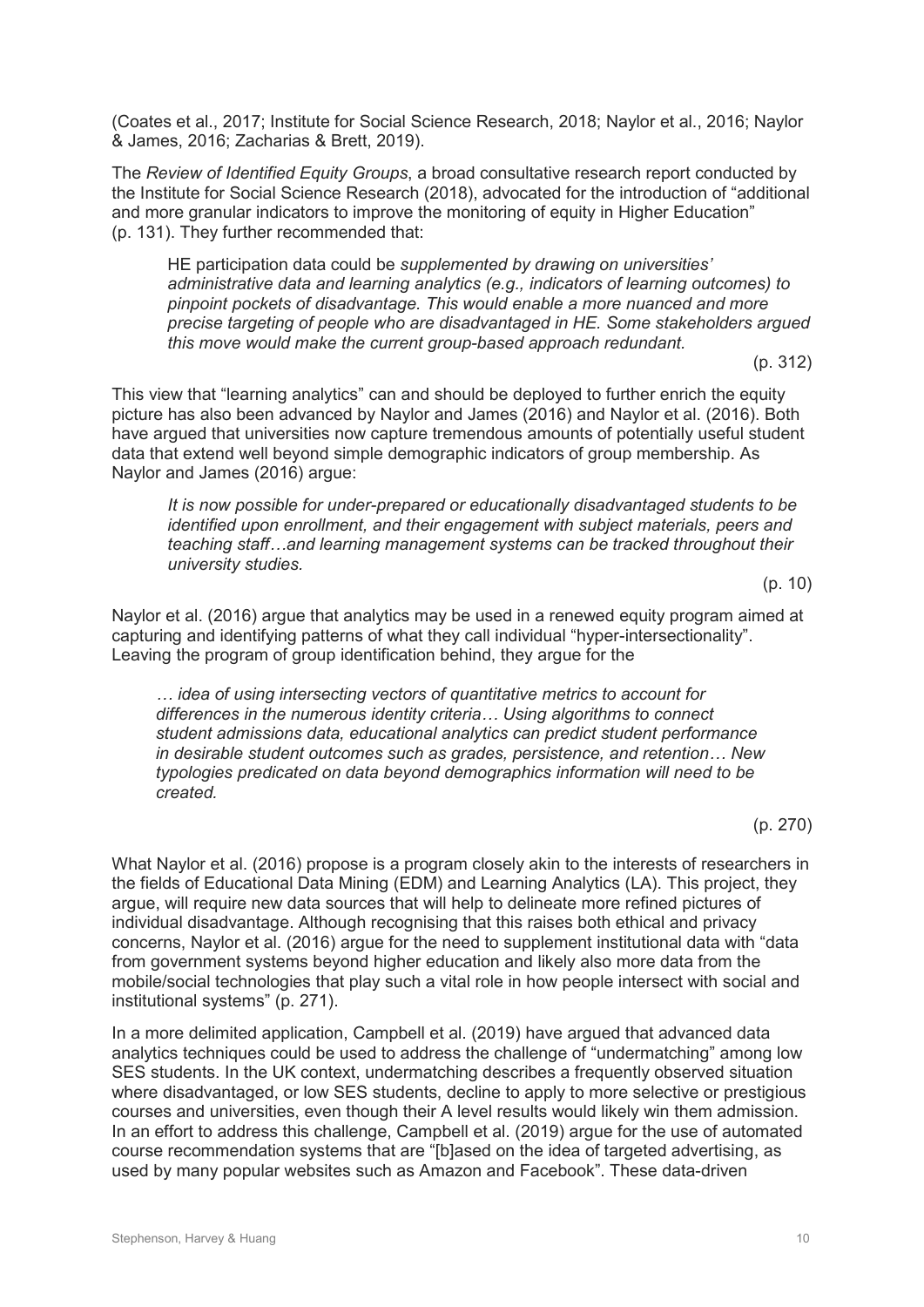(Coates et al., 2017; Institute for Social Science Research, 2018; Naylor et al., 2016; Naylor & James, 2016; Zacharias & Brett, 2019).

The *Review of Identified Equity Groups*, a broad consultative research report conducted by the Institute for Social Science Research (2018), advocated for the introduction of "additional and more granular indicators to improve the monitoring of equity in Higher Education" (p. 131). They further recommended that:

HE participation data could be *supplemented by drawing on universities' administrative data and learning analytics (e.g., indicators of learning outcomes) to pinpoint pockets of disadvantage. This would enable a more nuanced and more precise targeting of people who are disadvantaged in HE. Some stakeholders argued this move would make the current group-based approach redundant.*

(p. 312)

This view that "learning analytics" can and should be deployed to further enrich the equity picture has also been advanced by Naylor and James (2016) and Naylor et al. (2016). Both have argued that universities now capture tremendous amounts of potentially useful student data that extend well beyond simple demographic indicators of group membership. As Naylor and James (2016) argue:

*It is now possible for under-prepared or educationally disadvantaged students to be identified upon enrollment, and their engagement with subject materials, peers and teaching staff…and learning management systems can be tracked throughout their university studies.*

(p. 10)

Naylor et al. (2016) argue that analytics may be used in a renewed equity program aimed at capturing and identifying patterns of what they call individual "hyper-intersectionality". Leaving the program of group identification behind, they argue for the

*… idea of using intersecting vectors of quantitative metrics to account for differences in the numerous identity criteria… Using algorithms to connect student admissions data, educational analytics can predict student performance in desirable student outcomes such as grades, persistence, and retention… New typologies predicated on data beyond demographics information will need to be created.*

(p. 270)

What Naylor et al. (2016) propose is a program closely akin to the interests of researchers in the fields of Educational Data Mining (EDM) and Learning Analytics (LA). This project, they argue, will require new data sources that will help to delineate more refined pictures of individual disadvantage. Although recognising that this raises both ethical and privacy concerns, Naylor et al. (2016) argue for the need to supplement institutional data with "data from government systems beyond higher education and likely also more data from the mobile/social technologies that play such a vital role in how people intersect with social and institutional systems" (p. 271).

In a more delimited application, Campbell et al. (2019) have argued that advanced data analytics techniques could be used to address the challenge of "undermatching" among low SES students. In the UK context, undermatching describes a frequently observed situation where disadvantaged, or low SES students, decline to apply to more selective or prestigious courses and universities, even though their A level results would likely win them admission. In an effort to address this challenge, Campbell et al. (2019) argue for the use of automated course recommendation systems that are "[b]ased on the idea of targeted advertising, as used by many popular websites such as Amazon and Facebook". These data-driven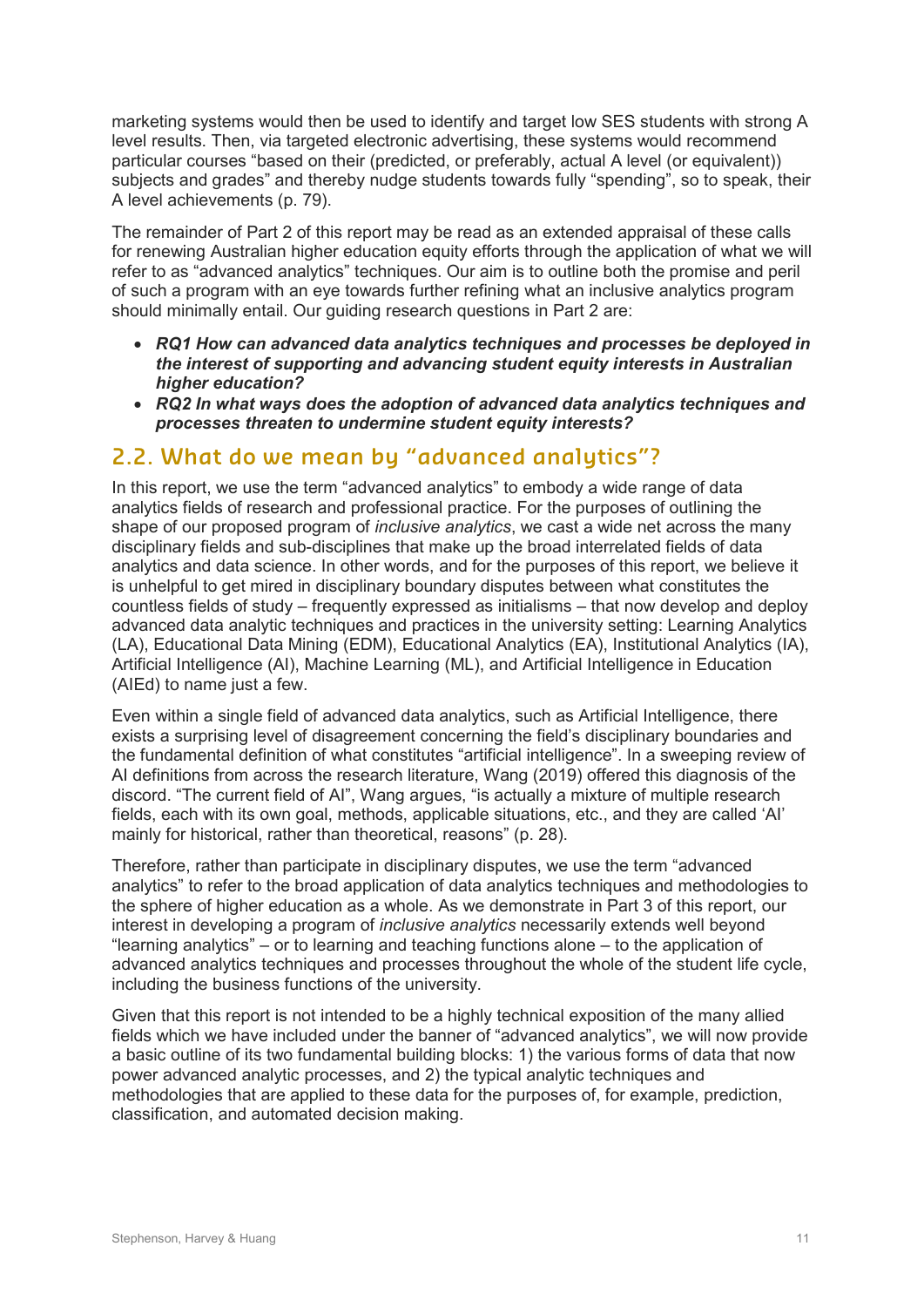marketing systems would then be used to identify and target low SES students with strong A level results. Then, via targeted electronic advertising, these systems would recommend particular courses "based on their (predicted, or preferably, actual A level (or equivalent)) subjects and grades" and thereby nudge students towards fully "spending", so to speak, their A level achievements (p. 79).

The remainder of Part 2 of this report may be read as an extended appraisal of these calls for renewing Australian higher education equity efforts through the application of what we will refer to as "advanced analytics" techniques. Our aim is to outline both the promise and peril of such a program with an eye towards further refining what an inclusive analytics program should minimally entail. Our guiding research questions in Part 2 are:

- *RQ1 How can advanced data analytics techniques and processes be deployed in the interest of supporting and advancing student equity interests in Australian higher education?*
- *RQ2 In what ways does the adoption of advanced data analytics techniques and processes threaten to undermine student equity interests?*

### **2.2. What do we mean by "advanced analytics"?**

In this report, we use the term "advanced analytics" to embody a wide range of data analytics fields of research and professional practice. For the purposes of outlining the shape of our proposed program of *inclusive analytics*, we cast a wide net across the many disciplinary fields and sub-disciplines that make up the broad interrelated fields of data analytics and data science. In other words, and for the purposes of this report, we believe it is unhelpful to get mired in disciplinary boundary disputes between what constitutes the countless fields of study – frequently expressed as initialisms – that now develop and deploy advanced data analytic techniques and practices in the university setting: Learning Analytics (LA), Educational Data Mining (EDM), Educational Analytics (EA), Institutional Analytics (IA), Artificial Intelligence (AI), Machine Learning (ML), and Artificial Intelligence in Education (AIEd) to name just a few.

Even within a single field of advanced data analytics, such as Artificial Intelligence, there exists a surprising level of disagreement concerning the field's disciplinary boundaries and the fundamental definition of what constitutes "artificial intelligence". In a sweeping review of AI definitions from across the research literature, Wang (2019) offered this diagnosis of the discord. "The current field of AI", Wang argues, "is actually a mixture of multiple research fields, each with its own goal, methods, applicable situations, etc., and they are called 'AI' mainly for historical, rather than theoretical, reasons" (p. 28).

Therefore, rather than participate in disciplinary disputes, we use the term "advanced analytics" to refer to the broad application of data analytics techniques and methodologies to the sphere of higher education as a whole. As we demonstrate in Part 3 of this report, our interest in developing a program of *inclusive analytics* necessarily extends well beyond "learning analytics" – or to learning and teaching functions alone – to the application of advanced analytics techniques and processes throughout the whole of the student life cycle, including the business functions of the university.

Given that this report is not intended to be a highly technical exposition of the many allied fields which we have included under the banner of "advanced analytics", we will now provide a basic outline of its two fundamental building blocks: 1) the various forms of data that now power advanced analytic processes, and 2) the typical analytic techniques and methodologies that are applied to these data for the purposes of, for example, prediction, classification, and automated decision making.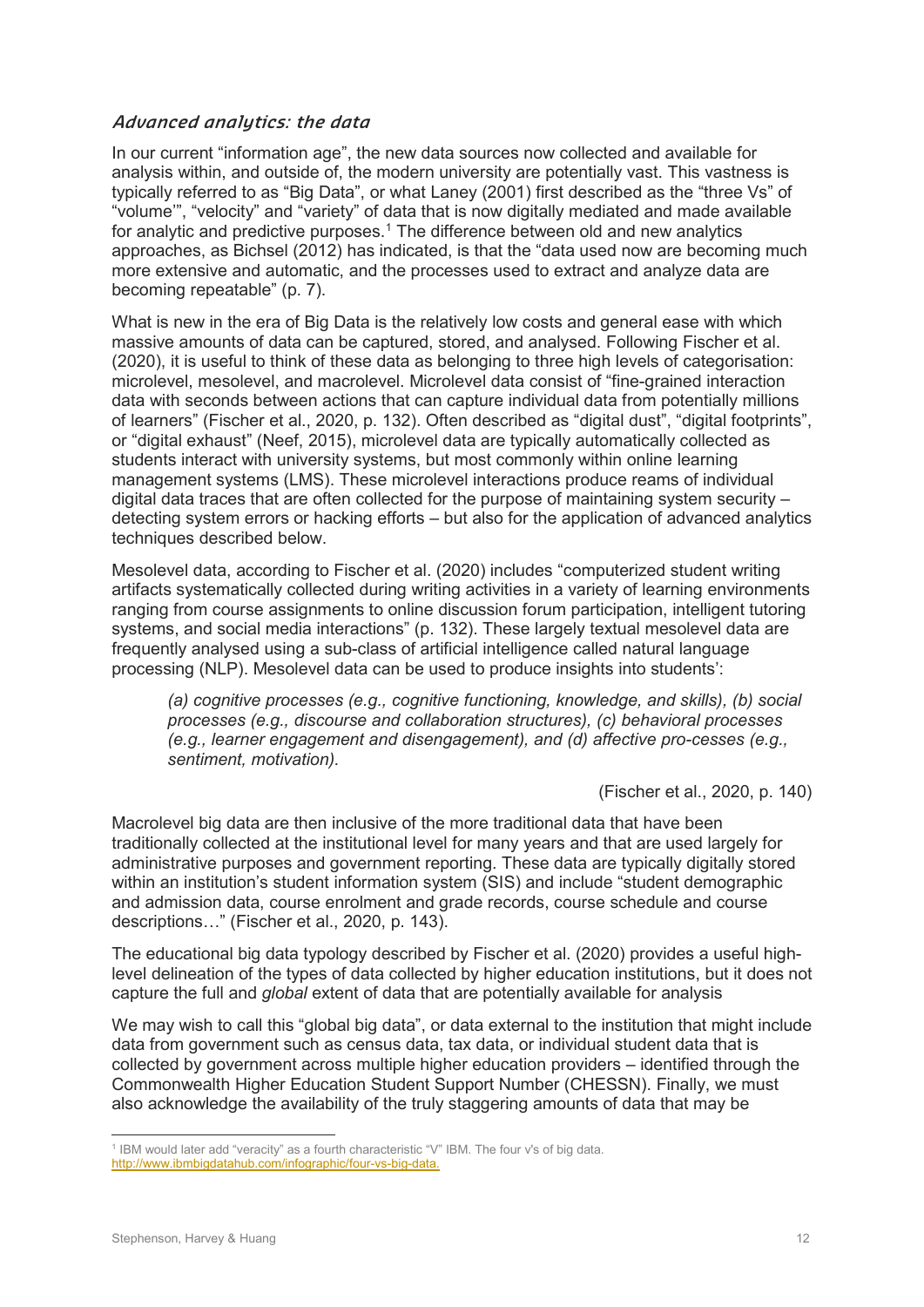#### **Advanced analytics: the data**

In our current "information age", the new data sources now collected and available for analysis within, and outside of, the modern university are potentially vast. This vastness is typically referred to as "Big Data", or what Laney (2001) first described as the "three Vs" of "volume'", "velocity" and "variety" of data that is now digitally mediated and made available for analytic and predictive purposes.<sup>[1](#page-16-0)</sup> The difference between old and new analytics approaches, as Bichsel (2012) has indicated, is that the "data used now are becoming much more extensive and automatic, and the processes used to extract and analyze data are becoming repeatable" (p. 7).

What is new in the era of Big Data is the relatively low costs and general ease with which massive amounts of data can be captured, stored, and analysed. Following Fischer et al. (2020), it is useful to think of these data as belonging to three high levels of categorisation: microlevel, mesolevel, and macrolevel. Microlevel data consist of "fine-grained interaction data with seconds between actions that can capture individual data from potentially millions of learners" (Fischer et al., 2020, p. 132). Often described as "digital dust", "digital footprints", or "digital exhaust" (Neef, 2015), microlevel data are typically automatically collected as students interact with university systems, but most commonly within online learning management systems (LMS). These microlevel interactions produce reams of individual digital data traces that are often collected for the purpose of maintaining system security – detecting system errors or hacking efforts – but also for the application of advanced analytics techniques described below.

Mesolevel data, according to Fischer et al. (2020) includes "computerized student writing artifacts systematically collected during writing activities in a variety of learning environments ranging from course assignments to online discussion forum participation, intelligent tutoring systems, and social media interactions" (p. 132). These largely textual mesolevel data are frequently analysed using a sub-class of artificial intelligence called natural language processing (NLP). Mesolevel data can be used to produce insights into students':

*(a) cognitive processes (e.g., cognitive functioning, knowledge, and skills), (b) social processes (e.g., discourse and collaboration structures), (c) behavioral processes (e.g., learner engagement and disengagement), and (d) affective pro-cesses (e.g., sentiment, motivation).*

(Fischer et al., 2020, p. 140)

Macrolevel big data are then inclusive of the more traditional data that have been traditionally collected at the institutional level for many years and that are used largely for administrative purposes and government reporting. These data are typically digitally stored within an institution's student information system (SIS) and include "student demographic and admission data, course enrolment and grade records, course schedule and course descriptions…" (Fischer et al., 2020, p. 143).

The educational big data typology described by Fischer et al. (2020) provides a useful highlevel delineation of the types of data collected by higher education institutions, but it does not capture the full and *global* extent of data that are potentially available for analysis

We may wish to call this "global big data", or data external to the institution that might include data from government such as census data, tax data, or individual student data that is collected by government across multiple higher education providers – identified through the Commonwealth Higher Education Student Support Number (CHESSN). Finally, we must also acknowledge the availability of the truly staggering amounts of data that may be

<span id="page-16-0"></span><sup>&</sup>lt;sup>1</sup> IBM would later add "veracity" as a fourth characteristic "V" IBM. The four v's of big data. http://www.ibmbigdatahub.com/infographic/four-vs-big-data.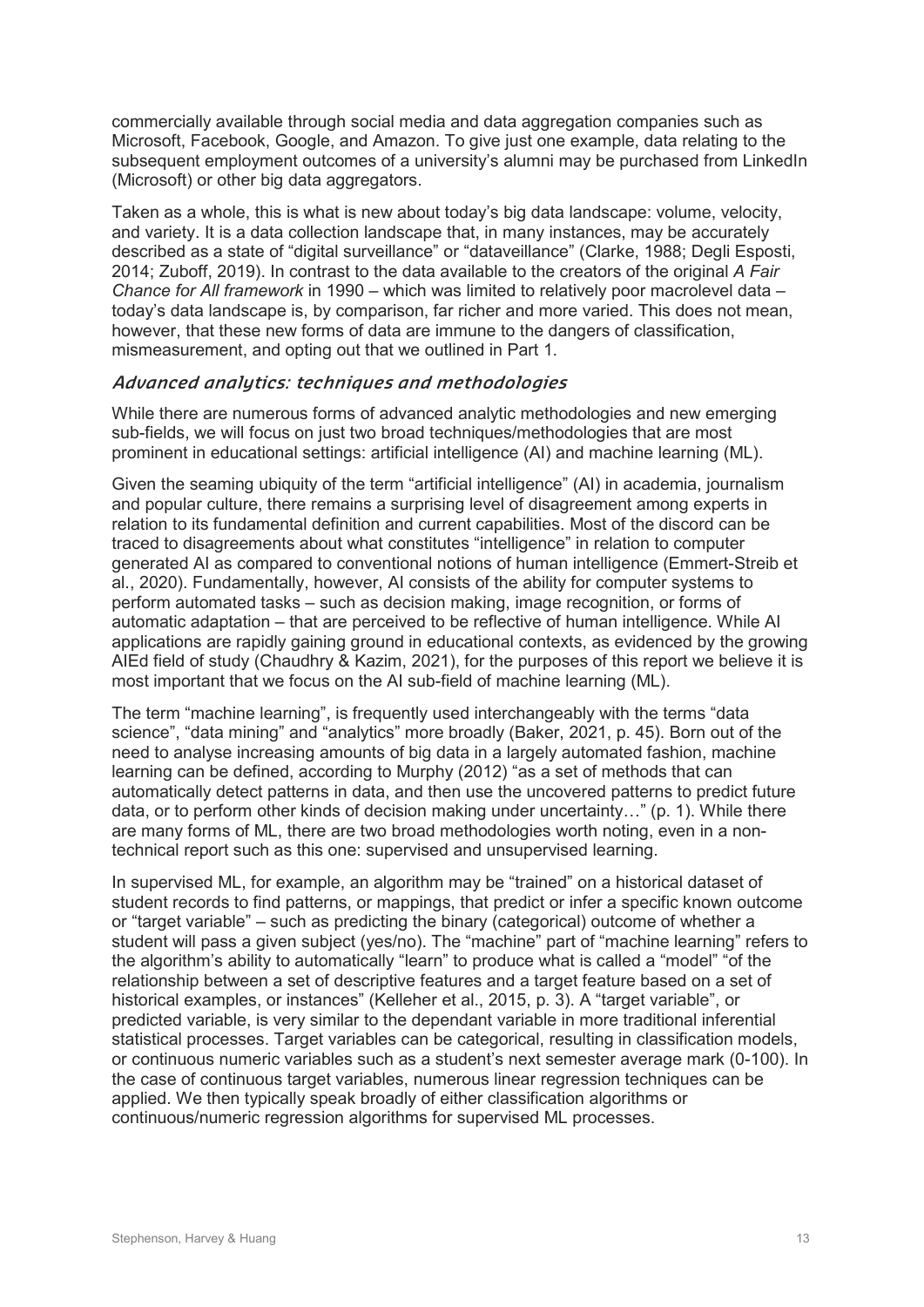commercially available through social media and data aggregation companies such as Microsoft, Facebook, Google, and Amazon. To give just one example, data relating to the subsequent employment outcomes of a university's alumni may be purchased from LinkedIn (Microsoft) or other big data aggregators.

Taken as a whole, this is what is new about today's big data landscape: volume, velocity, and variety. It is a data collection landscape that, in many instances, may be accurately described as a state of "digital surveillance" or "dataveillance" (Clarke, 1988; Degli Esposti, 2014; Zuboff, 2019). In contrast to the data available to the creators of the original *A Fair Chance for All framework* in 1990 – which was limited to relatively poor macrolevel data – today's data landscape is, by comparison, far richer and more varied. This does not mean, however, that these new forms of data are immune to the dangers of classification, mismeasurement, and opting out that we outlined in Part 1.

#### **Advanced analytics: techniques and methodologies**

While there are numerous forms of advanced analytic methodologies and new emerging sub-fields, we will focus on just two broad techniques/methodologies that are most prominent in educational settings: artificial intelligence (AI) and machine learning (ML).

Given the seaming ubiquity of the term "artificial intelligence" (AI) in academia, journalism and popular culture, there remains a surprising level of disagreement among experts in relation to its fundamental definition and current capabilities. Most of the discord can be traced to disagreements about what constitutes "intelligence" in relation to computer generated AI as compared to conventional notions of human intelligence (Emmert-Streib et al., 2020). Fundamentally, however, AI consists of the ability for computer systems to perform automated tasks – such as decision making, image recognition, or forms of automatic adaptation – that are perceived to be reflective of human intelligence. While AI applications are rapidly gaining ground in educational contexts, as evidenced by the growing AIEd field of study (Chaudhry & Kazim, 2021), for the purposes of this report we believe it is most important that we focus on the AI sub-field of machine learning (ML).

The term "machine learning", is frequently used interchangeably with the terms "data science", "data mining" and "analytics" more broadly (Baker, 2021, p. 45). Born out of the need to analyse increasing amounts of big data in a largely automated fashion, machine learning can be defined, according to Murphy (2012) "as a set of methods that can automatically detect patterns in data, and then use the uncovered patterns to predict future data, or to perform other kinds of decision making under uncertainty…" (p. 1). While there are many forms of ML, there are two broad methodologies worth noting, even in a nontechnical report such as this one: supervised and unsupervised learning.

In supervised ML, for example, an algorithm may be "trained" on a historical dataset of student records to find patterns, or mappings, that predict or infer a specific known outcome or "target variable" – such as predicting the binary (categorical) outcome of whether a student will pass a given subject (yes/no). The "machine" part of "machine learning" refers to the algorithm's ability to automatically "learn" to produce what is called a "model" "of the relationship between a set of descriptive features and a target feature based on a set of historical examples, or instances" (Kelleher et al., 2015, p. 3). A "target variable", or predicted variable, is very similar to the dependant variable in more traditional inferential statistical processes. Target variables can be categorical, resulting in classification models, or continuous numeric variables such as a student's next semester average mark (0-100). In the case of continuous target variables, numerous linear regression techniques can be applied. We then typically speak broadly of either classification algorithms or continuous/numeric regression algorithms for supervised ML processes.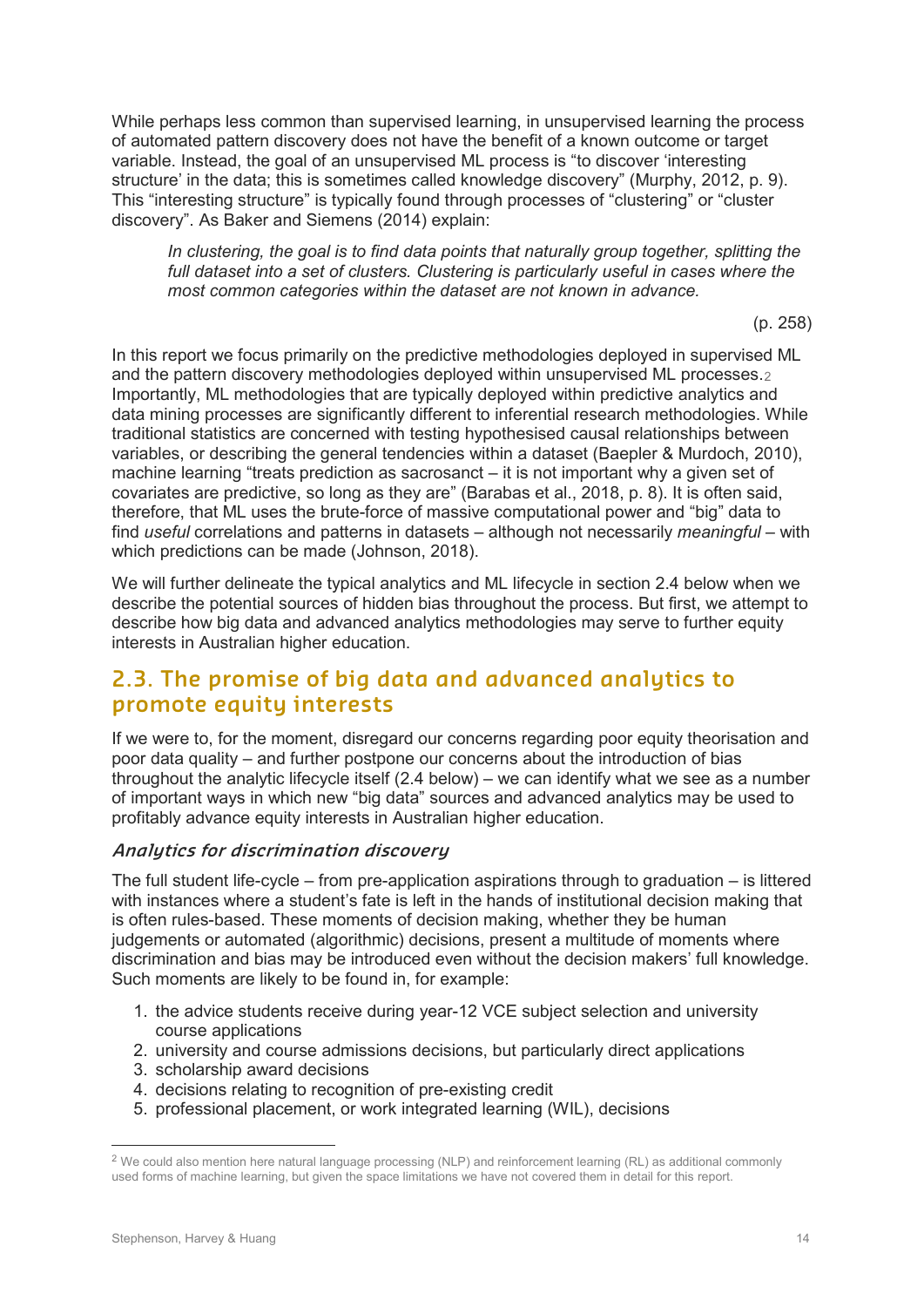While perhaps less common than supervised learning, in unsupervised learning the process of automated pattern discovery does not have the benefit of a known outcome or target variable. Instead, the goal of an unsupervised ML process is "to discover 'interesting structure' in the data; this is sometimes called knowledge discovery" (Murphy, 2012, p. 9). This "interesting structure" is typically found through processes of "clustering" or "cluster discovery". As Baker and Siemens (2014) explain:

*In clustering, the goal is to find data points that naturally group together, splitting the full dataset into a set of clusters. Clustering is particularly useful in cases where the most common categories within the dataset are not known in advance.*

(p. 258)

In this report we focus primarily on the predictive methodologies deployed in supervised ML and the pattern discovery methodologies deployed within unsupervised ML processes.[2](#page-18-0) Importantly, ML methodologies that are typically deployed within predictive analytics and data mining processes are significantly different to inferential research methodologies. While traditional statistics are concerned with testing hypothesised causal relationships between variables, or describing the general tendencies within a dataset (Baepler & Murdoch, 2010), machine learning "treats prediction as sacrosanct – it is not important why a given set of covariates are predictive, so long as they are" (Barabas et al., 2018, p. 8). It is often said, therefore, that ML uses the brute-force of massive computational power and "big" data to find *useful* correlations and patterns in datasets – although not necessarily *meaningful* – with which predictions can be made (Johnson, 2018).

We will further delineate the typical analytics and ML lifecycle in section 2.4 below when we describe the potential sources of hidden bias throughout the process. But first, we attempt to describe how big data and advanced analytics methodologies may serve to further equity interests in Australian higher education.

### **2.3. The promise of big data and advanced analytics to promote equity interests**

If we were to, for the moment, disregard our concerns regarding poor equity theorisation and poor data quality – and further postpone our concerns about the introduction of bias throughout the analytic lifecycle itself (2.4 below) – we can identify what we see as a number of important ways in which new "big data" sources and advanced analytics may be used to profitably advance equity interests in Australian higher education.

#### **Analytics for discrimination discovery**

The full student life-cycle – from pre-application aspirations through to graduation – is littered with instances where a student's fate is left in the hands of institutional decision making that is often rules-based. These moments of decision making, whether they be human judgements or automated (algorithmic) decisions, present a multitude of moments where discrimination and bias may be introduced even without the decision makers' full knowledge. Such moments are likely to be found in, for example:

- 1. the advice students receive during year-12 VCE subject selection and university course applications
- 2. university and course admissions decisions, but particularly direct applications
- 3. scholarship award decisions
- 4. decisions relating to recognition of pre-existing credit
- 5. professional placement, or work integrated learning (WIL), decisions

<span id="page-18-0"></span><sup>&</sup>lt;sup>2</sup> We could also mention here natural language processing (NLP) and reinforcement learning (RL) as additional commonly used forms of machine learning, but given the space limitations we have not covered them in detail for this report.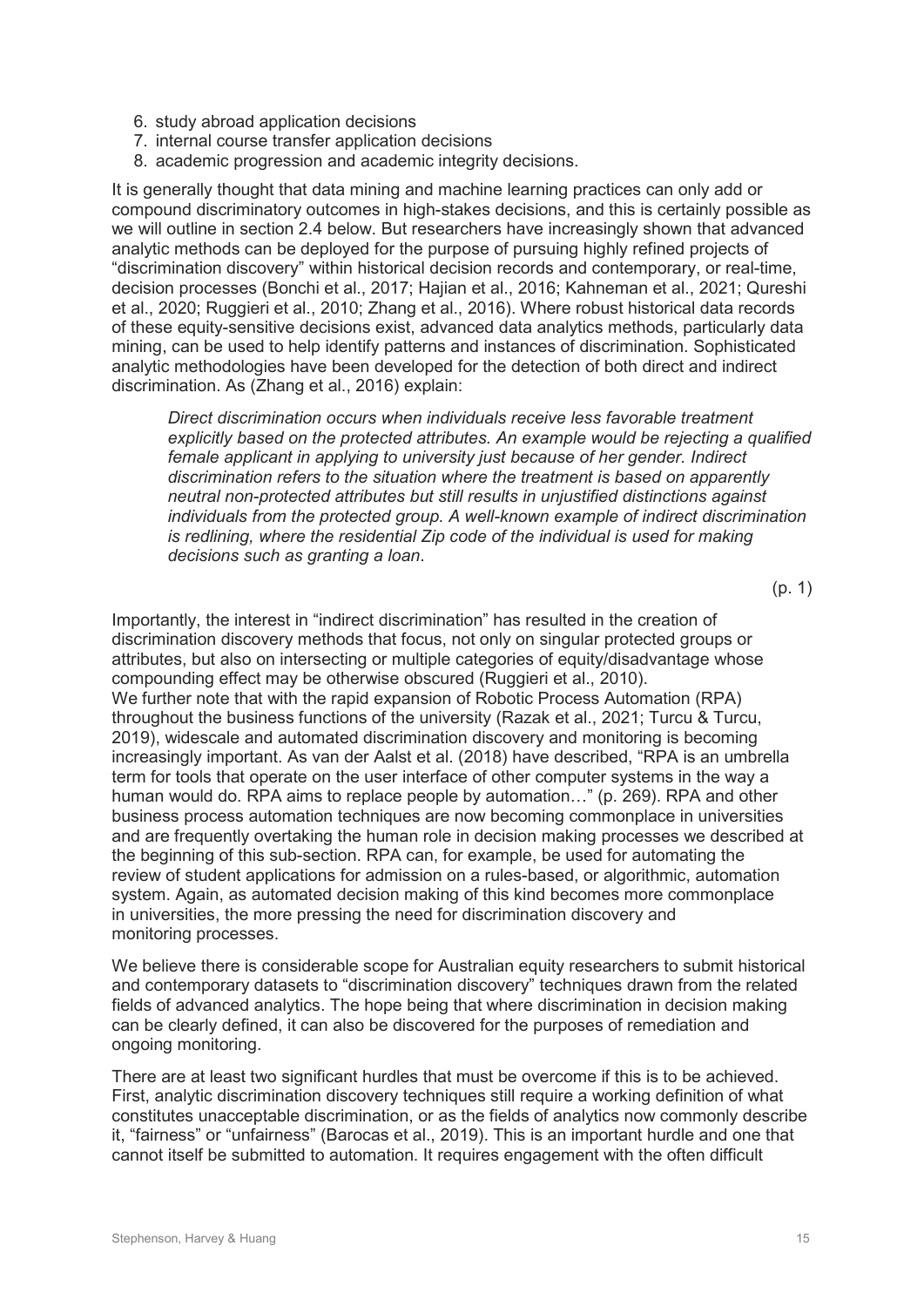- 6. study abroad application decisions
- 7. internal course transfer application decisions
- 8. academic progression and academic integrity decisions.

It is generally thought that data mining and machine learning practices can only add or compound discriminatory outcomes in high-stakes decisions, and this is certainly possible as we will outline in section 2.4 below. But researchers have increasingly shown that advanced analytic methods can be deployed for the purpose of pursuing highly refined projects of "discrimination discovery" within historical decision records and contemporary, or real-time, decision processes (Bonchi et al., 2017; Hajian et al., 2016; Kahneman et al., 2021; Qureshi et al., 2020; Ruggieri et al., 2010; Zhang et al., 2016). Where robust historical data records of these equity-sensitive decisions exist, advanced data analytics methods, particularly data mining, can be used to help identify patterns and instances of discrimination. Sophisticated analytic methodologies have been developed for the detection of both direct and indirect discrimination. As (Zhang et al., 2016) explain:

*Direct discrimination occurs when individuals receive less favorable treatment explicitly based on the protected attributes. An example would be rejecting a qualified female applicant in applying to university just because of her gender. Indirect discrimination refers to the situation where the treatment is based on apparently neutral non-protected attributes but still results in unjustified distinctions against individuals from the protected group. A well-known example of indirect discrimination is redlining, where the residential Zip code of the individual is used for making decisions such as granting a loan*.

(p. 1)

Importantly, the interest in "indirect discrimination" has resulted in the creation of discrimination discovery methods that focus, not only on singular protected groups or attributes, but also on intersecting or multiple categories of equity/disadvantage whose compounding effect may be otherwise obscured (Ruggieri et al., 2010). We further note that with the rapid expansion of Robotic Process Automation (RPA) throughout the business functions of the university (Razak et al., 2021; Turcu & Turcu, 2019), widescale and automated discrimination discovery and monitoring is becoming increasingly important. As van der Aalst et al. (2018) have described, "RPA is an umbrella term for tools that operate on the user interface of other computer systems in the way a human would do. RPA aims to replace people by automation…" (p. 269). RPA and other business process automation techniques are now becoming commonplace in universities and are frequently overtaking the human role in decision making processes we described at the beginning of this sub-section. RPA can, for example, be used for automating the review of student applications for admission on a rules-based, or algorithmic, automation system. Again, as automated decision making of this kind becomes more commonplace in universities, the more pressing the need for discrimination discovery and monitoring processes.

We believe there is considerable scope for Australian equity researchers to submit historical and contemporary datasets to "discrimination discovery" techniques drawn from the related fields of advanced analytics. The hope being that where discrimination in decision making can be clearly defined, it can also be discovered for the purposes of remediation and ongoing monitoring.

There are at least two significant hurdles that must be overcome if this is to be achieved. First, analytic discrimination discovery techniques still require a working definition of what constitutes unacceptable discrimination, or as the fields of analytics now commonly describe it, "fairness" or "unfairness" (Barocas et al., 2019). This is an important hurdle and one that cannot itself be submitted to automation. It requires engagement with the often difficult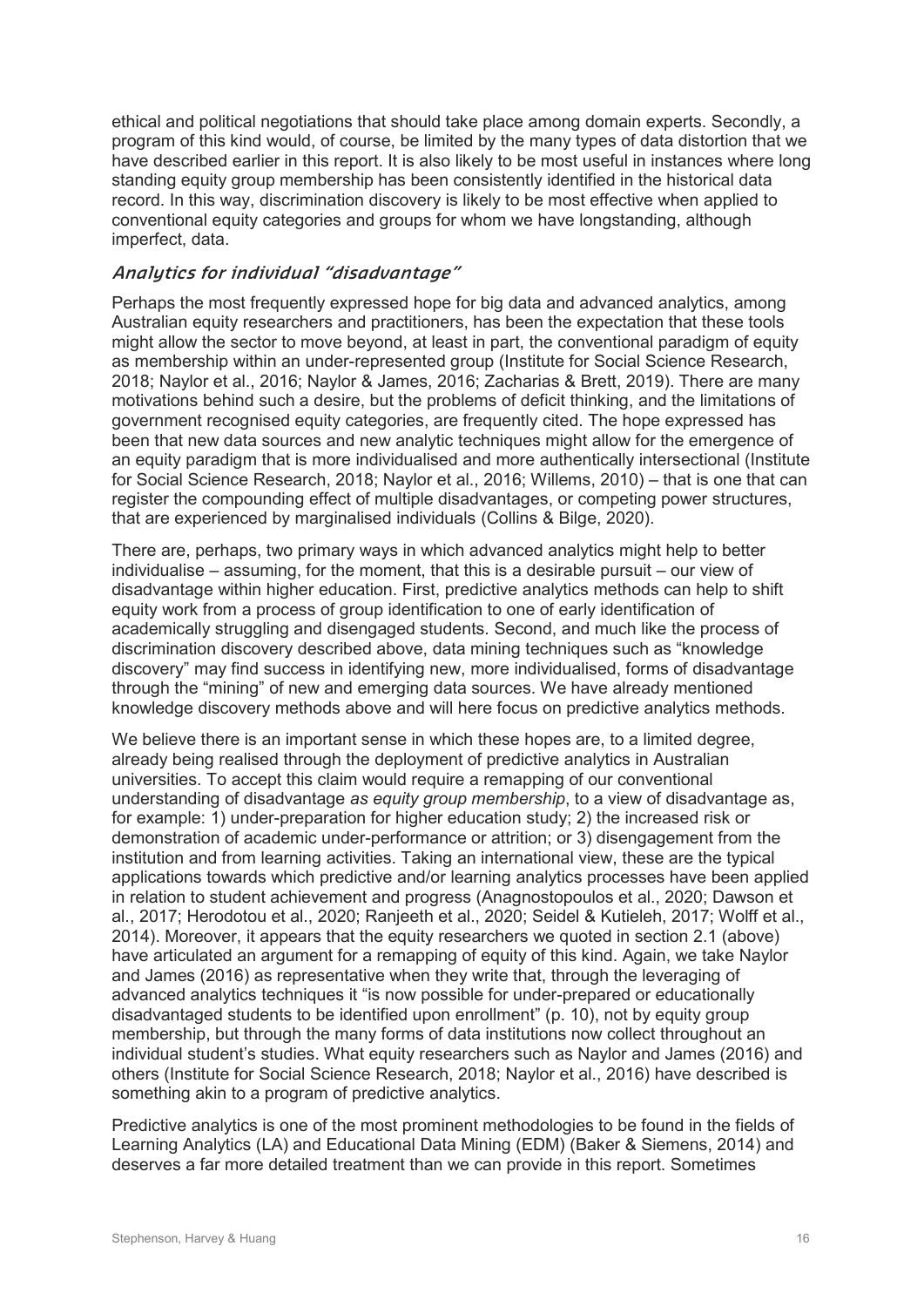ethical and political negotiations that should take place among domain experts. Secondly, a program of this kind would, of course, be limited by the many types of data distortion that we have described earlier in this report. It is also likely to be most useful in instances where long standing equity group membership has been consistently identified in the historical data record. In this way, discrimination discovery is likely to be most effective when applied to conventional equity categories and groups for whom we have longstanding, although imperfect, data.

#### **Analytics for individual "disadvantage"**

Perhaps the most frequently expressed hope for big data and advanced analytics, among Australian equity researchers and practitioners, has been the expectation that these tools might allow the sector to move beyond, at least in part, the conventional paradigm of equity as membership within an under-represented group (Institute for Social Science Research, 2018; Naylor et al., 2016; Naylor & James, 2016; Zacharias & Brett, 2019). There are many motivations behind such a desire, but the problems of deficit thinking, and the limitations of government recognised equity categories, are frequently cited. The hope expressed has been that new data sources and new analytic techniques might allow for the emergence of an equity paradigm that is more individualised and more authentically intersectional (Institute for Social Science Research, 2018; Naylor et al., 2016; Willems, 2010) – that is one that can register the compounding effect of multiple disadvantages, or competing power structures, that are experienced by marginalised individuals (Collins & Bilge, 2020).

There are, perhaps, two primary ways in which advanced analytics might help to better individualise – assuming, for the moment, that this is a desirable pursuit – our view of disadvantage within higher education. First, predictive analytics methods can help to shift equity work from a process of group identification to one of early identification of academically struggling and disengaged students. Second, and much like the process of discrimination discovery described above, data mining techniques such as "knowledge discovery" may find success in identifying new, more individualised, forms of disadvantage through the "mining" of new and emerging data sources. We have already mentioned knowledge discovery methods above and will here focus on predictive analytics methods.

We believe there is an important sense in which these hopes are, to a limited degree, already being realised through the deployment of predictive analytics in Australian universities. To accept this claim would require a remapping of our conventional understanding of disadvantage *as equity group membership*, to a view of disadvantage as, for example: 1) under-preparation for higher education study; 2) the increased risk or demonstration of academic under-performance or attrition; or 3) disengagement from the institution and from learning activities. Taking an international view, these are the typical applications towards which predictive and/or learning analytics processes have been applied in relation to student achievement and progress (Anagnostopoulos et al., 2020; Dawson et al., 2017; Herodotou et al., 2020; Ranjeeth et al., 2020; Seidel & Kutieleh, 2017; Wolff et al., 2014). Moreover, it appears that the equity researchers we quoted in section 2.1 (above) have articulated an argument for a remapping of equity of this kind. Again, we take Naylor and James (2016) as representative when they write that, through the leveraging of advanced analytics techniques it "is now possible for under-prepared or educationally disadvantaged students to be identified upon enrollment" (p. 10), not by equity group membership, but through the many forms of data institutions now collect throughout an individual student's studies. What equity researchers such as Naylor and James (2016) and others (Institute for Social Science Research, 2018; Naylor et al., 2016) have described is something akin to a program of predictive analytics.

Predictive analytics is one of the most prominent methodologies to be found in the fields of Learning Analytics (LA) and Educational Data Mining (EDM) (Baker & Siemens, 2014) and deserves a far more detailed treatment than we can provide in this report. Sometimes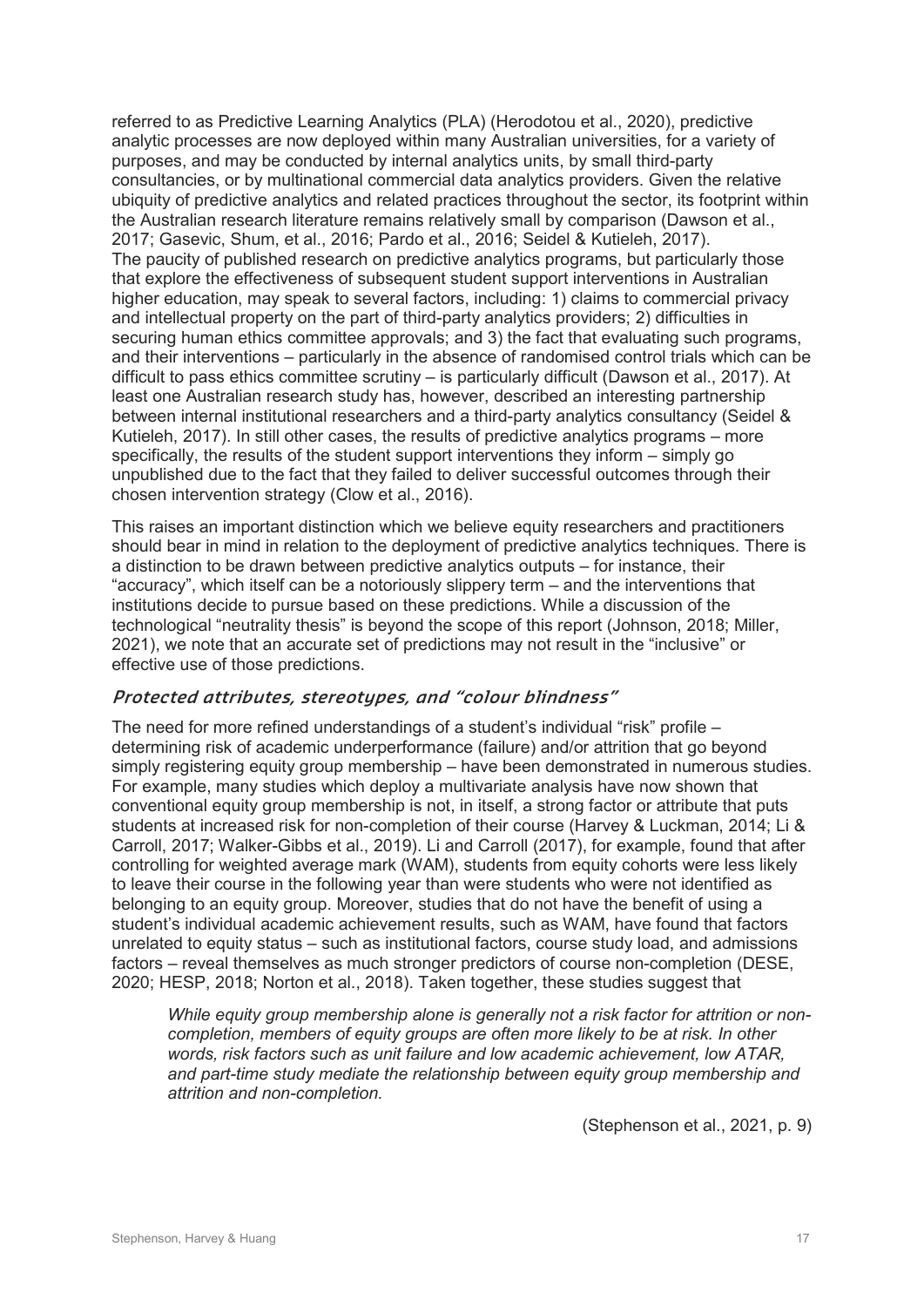referred to as Predictive Learning Analytics (PLA) (Herodotou et al., 2020), predictive analytic processes are now deployed within many Australian universities, for a variety of purposes, and may be conducted by internal analytics units, by small third-party consultancies, or by multinational commercial data analytics providers. Given the relative ubiquity of predictive analytics and related practices throughout the sector, its footprint within the Australian research literature remains relatively small by comparison (Dawson et al., 2017; Gasevic, Shum, et al., 2016; Pardo et al., 2016; Seidel & Kutieleh, 2017). The paucity of published research on predictive analytics programs, but particularly those that explore the effectiveness of subsequent student support interventions in Australian higher education, may speak to several factors, including: 1) claims to commercial privacy and intellectual property on the part of third-party analytics providers; 2) difficulties in securing human ethics committee approvals; and 3) the fact that evaluating such programs, and their interventions – particularly in the absence of randomised control trials which can be difficult to pass ethics committee scrutiny – is particularly difficult (Dawson et al., 2017). At least one Australian research study has, however, described an interesting partnership between internal institutional researchers and a third-party analytics consultancy (Seidel & Kutieleh, 2017). In still other cases, the results of predictive analytics programs – more specifically, the results of the student support interventions they inform – simply go unpublished due to the fact that they failed to deliver successful outcomes through their chosen intervention strategy (Clow et al., 2016).

This raises an important distinction which we believe equity researchers and practitioners should bear in mind in relation to the deployment of predictive analytics techniques. There is a distinction to be drawn between predictive analytics outputs – for instance, their "accuracy", which itself can be a notoriously slippery term – and the interventions that institutions decide to pursue based on these predictions. While a discussion of the technological "neutrality thesis" is beyond the scope of this report (Johnson, 2018; Miller, 2021), we note that an accurate set of predictions may not result in the "inclusive" or effective use of those predictions.

#### **Protected attributes, stereotypes, and "colour blindness"**

The need for more refined understandings of a student's individual "risk" profile  $$ determining risk of academic underperformance (failure) and/or attrition that go beyond simply registering equity group membership – have been demonstrated in numerous studies. For example, many studies which deploy a multivariate analysis have now shown that conventional equity group membership is not, in itself, a strong factor or attribute that puts students at increased risk for non-completion of their course (Harvey & Luckman, 2014; Li & Carroll, 2017; Walker-Gibbs et al., 2019). Li and Carroll (2017), for example, found that after controlling for weighted average mark (WAM), students from equity cohorts were less likely to leave their course in the following year than were students who were not identified as belonging to an equity group. Moreover, studies that do not have the benefit of using a student's individual academic achievement results, such as WAM, have found that factors unrelated to equity status – such as institutional factors, course study load, and admissions factors – reveal themselves as much stronger predictors of course non-completion (DESE, 2020; HESP, 2018; Norton et al., 2018). Taken together, these studies suggest that

*While equity group membership alone is generally not a risk factor for attrition or noncompletion, members of equity groups are often more likely to be at risk. In other words, risk factors such as unit failure and low academic achievement, low ATAR, and part-time study mediate the relationship between equity group membership and attrition and non-completion.*

(Stephenson et al., 2021, p. 9)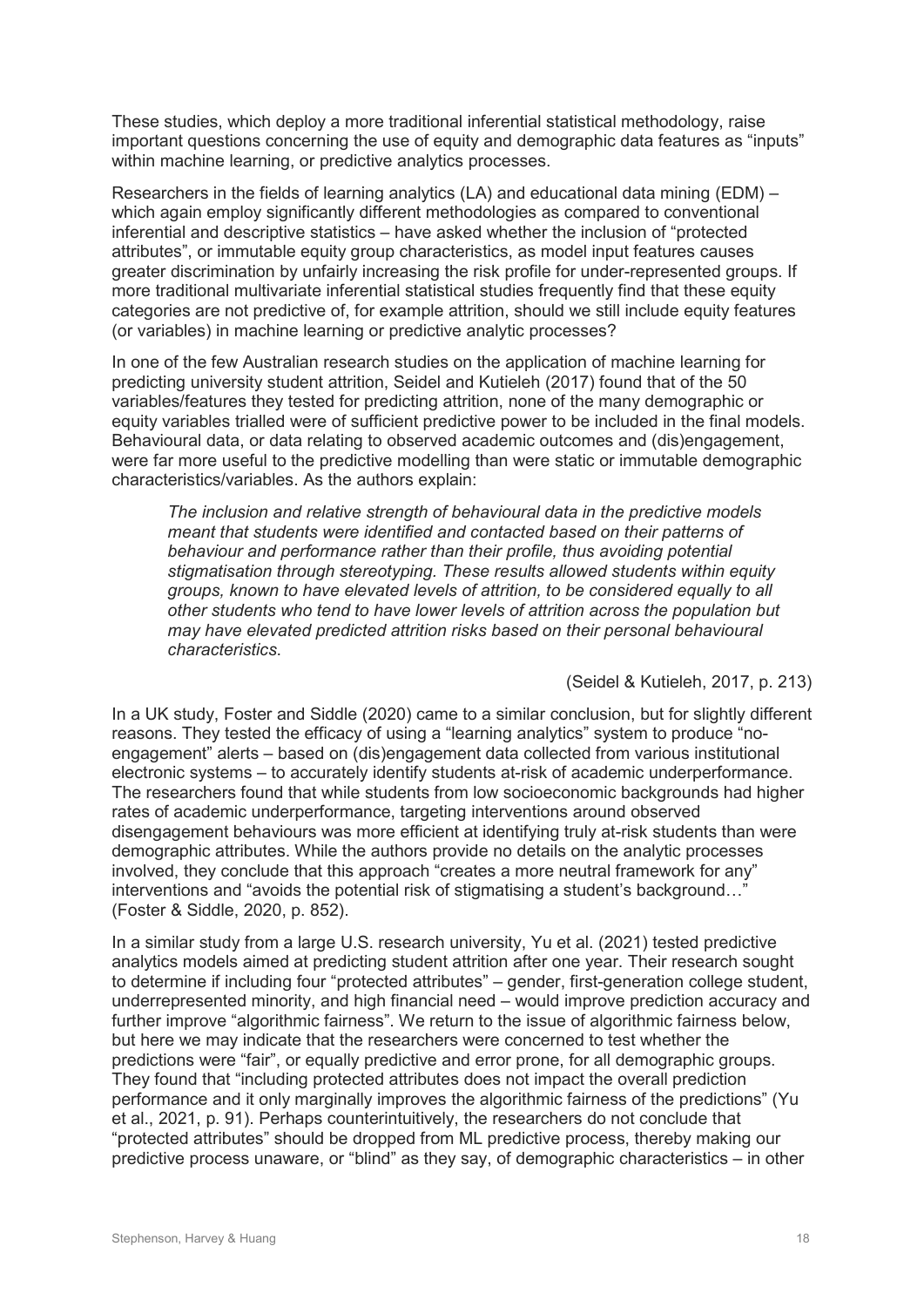These studies, which deploy a more traditional inferential statistical methodology, raise important questions concerning the use of equity and demographic data features as "inputs" within machine learning, or predictive analytics processes.

Researchers in the fields of learning analytics (LA) and educational data mining (EDM) – which again employ significantly different methodologies as compared to conventional inferential and descriptive statistics – have asked whether the inclusion of "protected attributes", or immutable equity group characteristics, as model input features causes greater discrimination by unfairly increasing the risk profile for under-represented groups. If more traditional multivariate inferential statistical studies frequently find that these equity categories are not predictive of, for example attrition, should we still include equity features (or variables) in machine learning or predictive analytic processes?

In one of the few Australian research studies on the application of machine learning for predicting university student attrition, Seidel and Kutieleh (2017) found that of the 50 variables/features they tested for predicting attrition, none of the many demographic or equity variables trialled were of sufficient predictive power to be included in the final models. Behavioural data, or data relating to observed academic outcomes and (dis)engagement, were far more useful to the predictive modelling than were static or immutable demographic characteristics/variables. As the authors explain:

*The inclusion and relative strength of behavioural data in the predictive models meant that students were identified and contacted based on their patterns of behaviour and performance rather than their profile, thus avoiding potential stigmatisation through stereotyping. These results allowed students within equity groups, known to have elevated levels of attrition, to be considered equally to all other students who tend to have lower levels of attrition across the population but may have elevated predicted attrition risks based on their personal behavioural characteristics*.

#### (Seidel & Kutieleh, 2017, p. 213)

In a UK study, Foster and Siddle (2020) came to a similar conclusion, but for slightly different reasons. They tested the efficacy of using a "learning analytics" system to produce "noengagement" alerts – based on (dis)engagement data collected from various institutional electronic systems – to accurately identify students at-risk of academic underperformance. The researchers found that while students from low socioeconomic backgrounds had higher rates of academic underperformance, targeting interventions around observed disengagement behaviours was more efficient at identifying truly at-risk students than were demographic attributes. While the authors provide no details on the analytic processes involved, they conclude that this approach "creates a more neutral framework for any" interventions and "avoids the potential risk of stigmatising a student's background…" (Foster & Siddle, 2020, p. 852).

In a similar study from a large U.S. research university, Yu et al. (2021) tested predictive analytics models aimed at predicting student attrition after one year. Their research sought to determine if including four "protected attributes" – gender, first-generation college student, underrepresented minority, and high financial need – would improve prediction accuracy and further improve "algorithmic fairness". We return to the issue of algorithmic fairness below, but here we may indicate that the researchers were concerned to test whether the predictions were "fair", or equally predictive and error prone, for all demographic groups. They found that "including protected attributes does not impact the overall prediction performance and it only marginally improves the algorithmic fairness of the predictions" (Yu et al., 2021, p. 91). Perhaps counterintuitively, the researchers do not conclude that "protected attributes" should be dropped from ML predictive process, thereby making our predictive process unaware, or "blind" as they say, of demographic characteristics – in other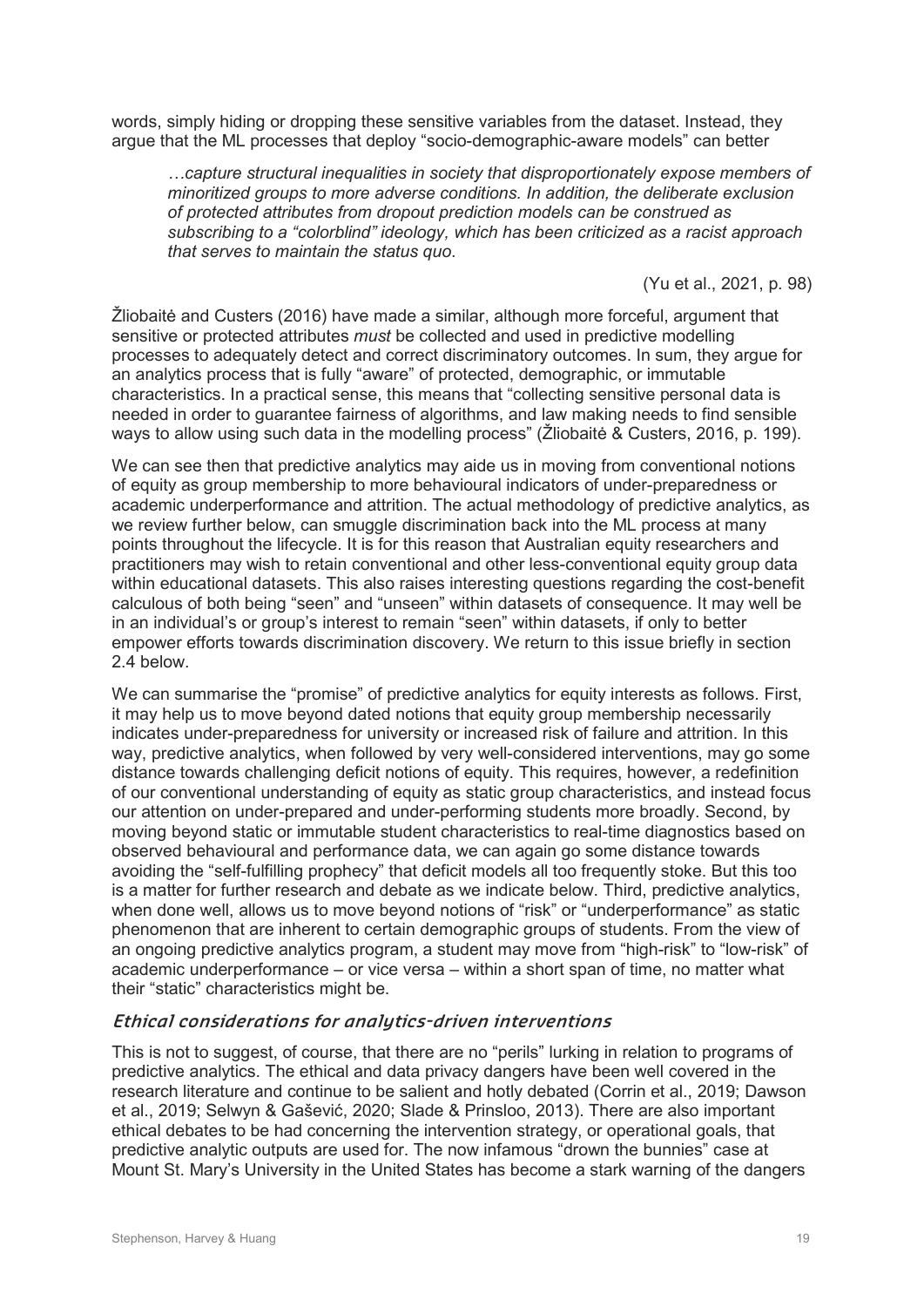words, simply hiding or dropping these sensitive variables from the dataset. Instead, they argue that the ML processes that deploy "socio-demographic-aware models" can better

*…capture structural inequalities in society that disproportionately expose members of minoritized groups to more adverse conditions. In addition, the deliberate exclusion of protected attributes from dropout prediction models can be construed as subscribing to a "colorblind" ideology, which has been criticized as a racist approach that serves to maintain the status quo*.

(Yu et al., 2021, p. 98)

Žliobaitė and Custers (2016) have made a similar, although more forceful, argument that sensitive or protected attributes *must* be collected and used in predictive modelling processes to adequately detect and correct discriminatory outcomes. In sum, they argue for an analytics process that is fully "aware" of protected, demographic, or immutable characteristics. In a practical sense, this means that "collecting sensitive personal data is needed in order to guarantee fairness of algorithms, and law making needs to find sensible ways to allow using such data in the modelling process" (Žliobaitė & Custers, 2016, p. 199).

We can see then that predictive analytics may aide us in moving from conventional notions of equity as group membership to more behavioural indicators of under-preparedness or academic underperformance and attrition. The actual methodology of predictive analytics, as we review further below, can smuggle discrimination back into the ML process at many points throughout the lifecycle. It is for this reason that Australian equity researchers and practitioners may wish to retain conventional and other less-conventional equity group data within educational datasets. This also raises interesting questions regarding the cost-benefit calculous of both being "seen" and "unseen" within datasets of consequence. It may well be in an individual's or group's interest to remain "seen" within datasets, if only to better empower efforts towards discrimination discovery. We return to this issue briefly in section 2.4 below.

We can summarise the "promise" of predictive analytics for equity interests as follows. First, it may help us to move beyond dated notions that equity group membership necessarily indicates under-preparedness for university or increased risk of failure and attrition. In this way, predictive analytics, when followed by very well-considered interventions, may go some distance towards challenging deficit notions of equity. This requires, however, a redefinition of our conventional understanding of equity as static group characteristics, and instead focus our attention on under-prepared and under-performing students more broadly. Second, by moving beyond static or immutable student characteristics to real-time diagnostics based on observed behavioural and performance data, we can again go some distance towards avoiding the "self-fulfilling prophecy" that deficit models all too frequently stoke. But this too is a matter for further research and debate as we indicate below. Third, predictive analytics, when done well, allows us to move beyond notions of "risk" or "underperformance" as static phenomenon that are inherent to certain demographic groups of students. From the view of an ongoing predictive analytics program, a student may move from "high-risk" to "low-risk" of academic underperformance – or vice versa – within a short span of time, no matter what their "static" characteristics might be.

#### **Ethical considerations for analytics-driven interventions**

This is not to suggest, of course, that there are no "perils" lurking in relation to programs of predictive analytics. The ethical and data privacy dangers have been well covered in the research literature and continue to be salient and hotly debated (Corrin et al., 2019; Dawson et al., 2019; Selwyn & Gašević, 2020; Slade & Prinsloo, 2013). There are also important ethical debates to be had concerning the intervention strategy, or operational goals, that predictive analytic outputs are used for. The now infamous "drown the bunnies" case at Mount St. Mary's University in the United States has become a stark warning of the dangers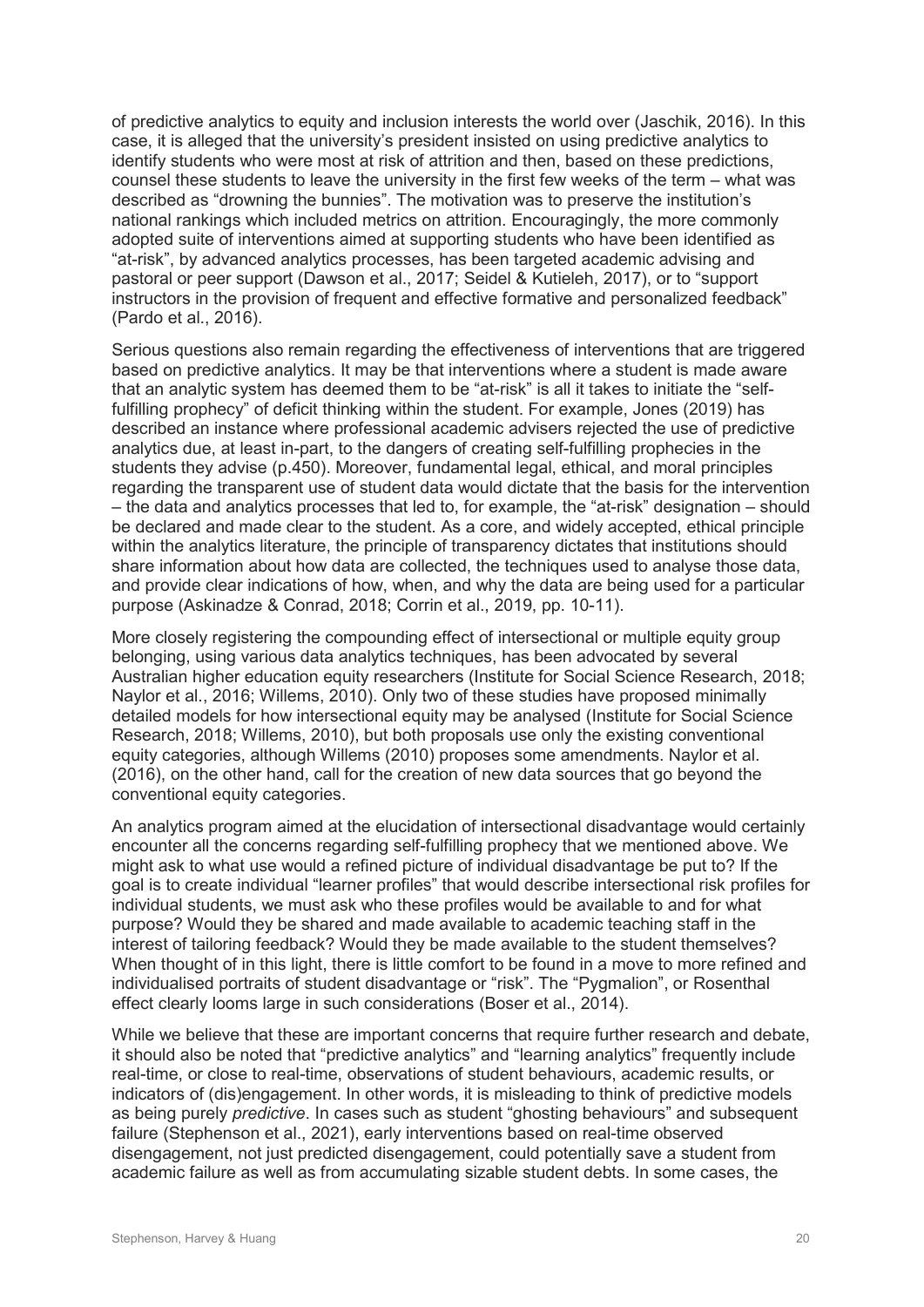of predictive analytics to equity and inclusion interests the world over (Jaschik, 2016). In this case, it is alleged that the university's president insisted on using predictive analytics to identify students who were most at risk of attrition and then, based on these predictions, counsel these students to leave the university in the first few weeks of the term – what was described as "drowning the bunnies". The motivation was to preserve the institution's national rankings which included metrics on attrition. Encouragingly, the more commonly adopted suite of interventions aimed at supporting students who have been identified as "at-risk", by advanced analytics processes, has been targeted academic advising and pastoral or peer support (Dawson et al., 2017; Seidel & Kutieleh, 2017), or to "support instructors in the provision of frequent and effective formative and personalized feedback" (Pardo et al., 2016).

Serious questions also remain regarding the effectiveness of interventions that are triggered based on predictive analytics. It may be that interventions where a student is made aware that an analytic system has deemed them to be "at-risk" is all it takes to initiate the "selffulfilling prophecy" of deficit thinking within the student. For example, Jones (2019) has described an instance where professional academic advisers rejected the use of predictive analytics due, at least in-part, to the dangers of creating self-fulfilling prophecies in the students they advise (p.450). Moreover, fundamental legal, ethical, and moral principles regarding the transparent use of student data would dictate that the basis for the intervention – the data and analytics processes that led to, for example, the "at-risk" designation – should be declared and made clear to the student. As a core, and widely accepted, ethical principle within the analytics literature, the principle of transparency dictates that institutions should share information about how data are collected, the techniques used to analyse those data, and provide clear indications of how, when, and why the data are being used for a particular purpose (Askinadze & Conrad, 2018; Corrin et al., 2019, pp. 10-11).

More closely registering the compounding effect of intersectional or multiple equity group belonging, using various data analytics techniques, has been advocated by several Australian higher education equity researchers (Institute for Social Science Research, 2018; Naylor et al., 2016; Willems, 2010). Only two of these studies have proposed minimally detailed models for how intersectional equity may be analysed (Institute for Social Science Research, 2018; Willems, 2010), but both proposals use only the existing conventional equity categories, although Willems (2010) proposes some amendments. Naylor et al. (2016), on the other hand, call for the creation of new data sources that go beyond the conventional equity categories.

An analytics program aimed at the elucidation of intersectional disadvantage would certainly encounter all the concerns regarding self-fulfilling prophecy that we mentioned above. We might ask to what use would a refined picture of individual disadvantage be put to? If the goal is to create individual "learner profiles" that would describe intersectional risk profiles for individual students, we must ask who these profiles would be available to and for what purpose? Would they be shared and made available to academic teaching staff in the interest of tailoring feedback? Would they be made available to the student themselves? When thought of in this light, there is little comfort to be found in a move to more refined and individualised portraits of student disadvantage or "risk". The "Pygmalion", or Rosenthal effect clearly looms large in such considerations (Boser et al., 2014).

While we believe that these are important concerns that require further research and debate. it should also be noted that "predictive analytics" and "learning analytics" frequently include real-time, or close to real-time, observations of student behaviours, academic results, or indicators of (dis)engagement. In other words, it is misleading to think of predictive models as being purely *predictive*. In cases such as student "ghosting behaviours" and subsequent failure (Stephenson et al., 2021), early interventions based on real-time observed disengagement, not just predicted disengagement, could potentially save a student from academic failure as well as from accumulating sizable student debts. In some cases, the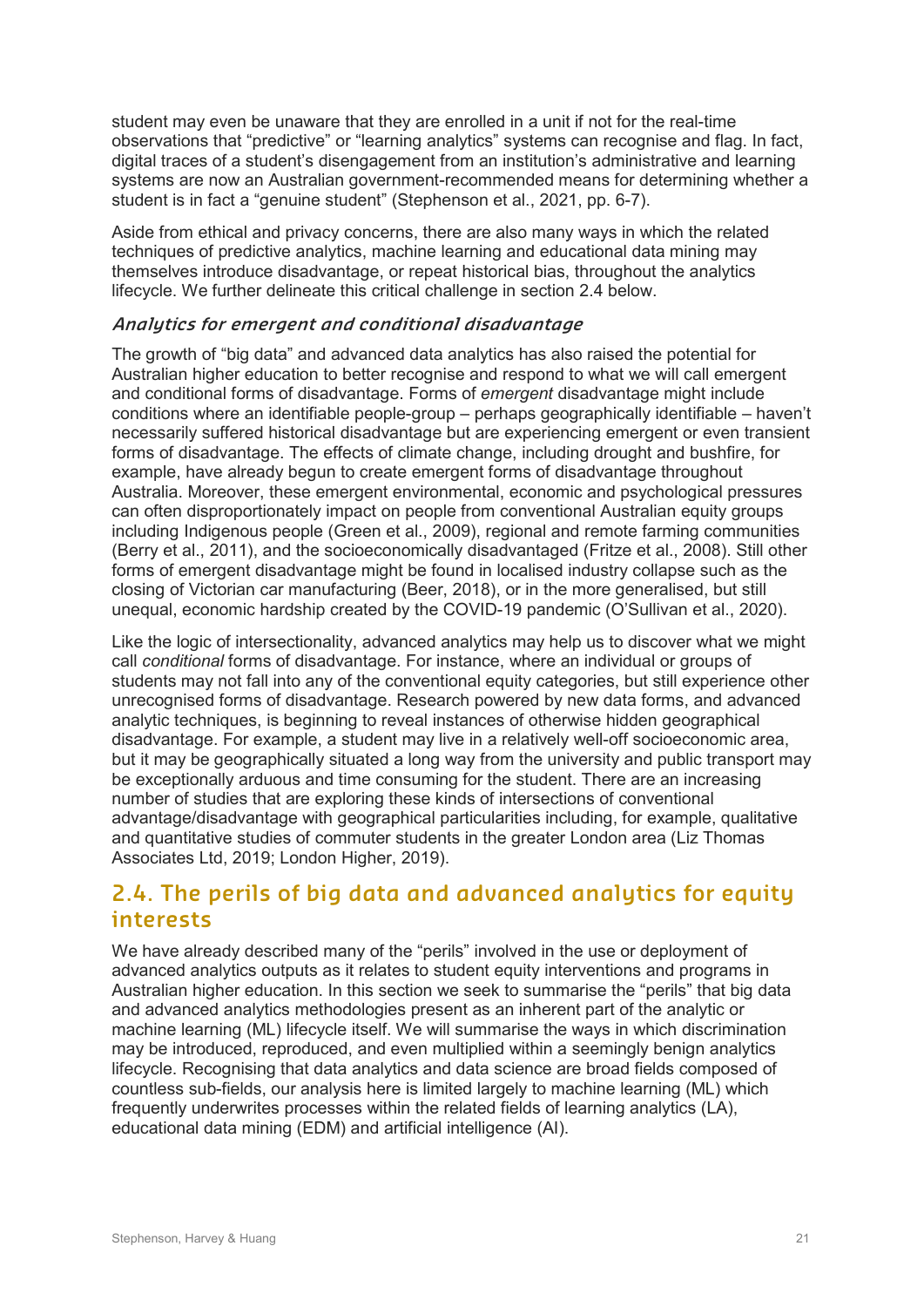student may even be unaware that they are enrolled in a unit if not for the real-time observations that "predictive" or "learning analytics" systems can recognise and flag. In fact, digital traces of a student's disengagement from an institution's administrative and learning systems are now an Australian government-recommended means for determining whether a student is in fact a "genuine student" (Stephenson et al., 2021, pp. 6-7).

Aside from ethical and privacy concerns, there are also many ways in which the related techniques of predictive analytics, machine learning and educational data mining may themselves introduce disadvantage, or repeat historical bias, throughout the analytics lifecycle. We further delineate this critical challenge in section 2.4 below.

#### **Analytics for emergent and conditional disadvantage**

The growth of "big data" and advanced data analytics has also raised the potential for Australian higher education to better recognise and respond to what we will call emergent and conditional forms of disadvantage. Forms of *emergent* disadvantage might include conditions where an identifiable people-group – perhaps geographically identifiable – haven't necessarily suffered historical disadvantage but are experiencing emergent or even transient forms of disadvantage. The effects of climate change, including drought and bushfire, for example, have already begun to create emergent forms of disadvantage throughout Australia. Moreover, these emergent environmental, economic and psychological pressures can often disproportionately impact on people from conventional Australian equity groups including Indigenous people (Green et al., 2009), regional and remote farming communities (Berry et al., 2011), and the socioeconomically disadvantaged (Fritze et al., 2008). Still other forms of emergent disadvantage might be found in localised industry collapse such as the closing of Victorian car manufacturing (Beer, 2018), or in the more generalised, but still unequal, economic hardship created by the COVID-19 pandemic (O'Sullivan et al., 2020).

Like the logic of intersectionality, advanced analytics may help us to discover what we might call *conditional* forms of disadvantage. For instance, where an individual or groups of students may not fall into any of the conventional equity categories, but still experience other unrecognised forms of disadvantage. Research powered by new data forms, and advanced analytic techniques, is beginning to reveal instances of otherwise hidden geographical disadvantage. For example, a student may live in a relatively well-off socioeconomic area, but it may be geographically situated a long way from the university and public transport may be exceptionally arduous and time consuming for the student. There are an increasing number of studies that are exploring these kinds of intersections of conventional advantage/disadvantage with geographical particularities including, for example, qualitative and quantitative studies of commuter students in the greater London area (Liz Thomas Associates Ltd, 2019; London Higher, 2019).

### **2.4. The perils of big data and advanced analytics for equity interests**

We have already described many of the "perils" involved in the use or deployment of advanced analytics outputs as it relates to student equity interventions and programs in Australian higher education. In this section we seek to summarise the "perils" that big data and advanced analytics methodologies present as an inherent part of the analytic or machine learning (ML) lifecycle itself. We will summarise the ways in which discrimination may be introduced, reproduced, and even multiplied within a seemingly benign analytics lifecycle. Recognising that data analytics and data science are broad fields composed of countless sub-fields, our analysis here is limited largely to machine learning (ML) which frequently underwrites processes within the related fields of learning analytics (LA), educational data mining (EDM) and artificial intelligence (AI).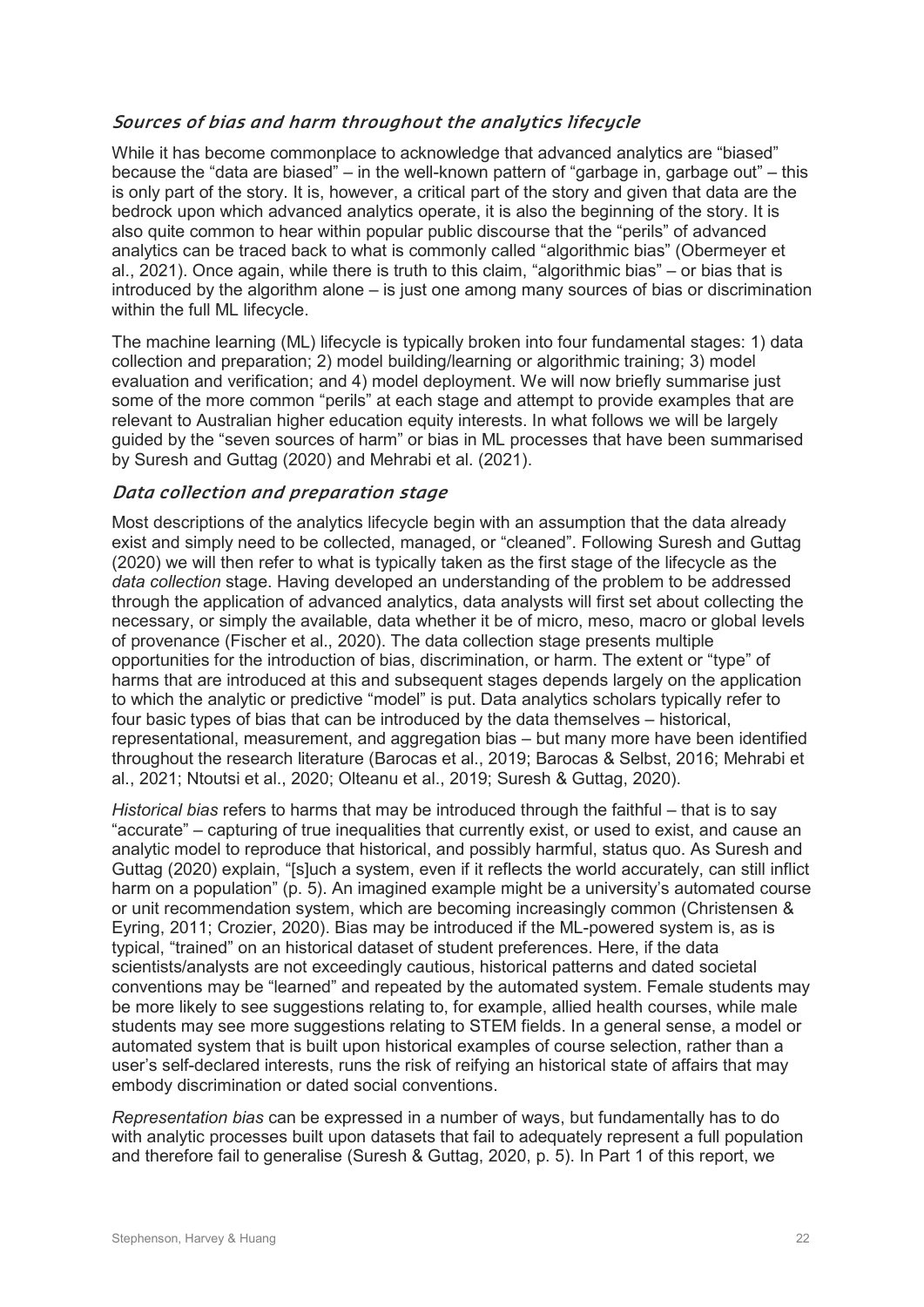#### **Sources of bias and harm throughout the analytics lifecycle**

While it has become commonplace to acknowledge that advanced analytics are "biased" because the "data are biased" – in the well-known pattern of "garbage in, garbage out" – this is only part of the story. It is, however, a critical part of the story and given that data are the bedrock upon which advanced analytics operate, it is also the beginning of the story. It is also quite common to hear within popular public discourse that the "perils" of advanced analytics can be traced back to what is commonly called "algorithmic bias" (Obermeyer et al., 2021). Once again, while there is truth to this claim, "algorithmic bias" – or bias that is introduced by the algorithm alone – is just one among many sources of bias or discrimination within the full ML lifecycle.

The machine learning (ML) lifecycle is typically broken into four fundamental stages: 1) data collection and preparation; 2) model building/learning or algorithmic training; 3) model evaluation and verification; and 4) model deployment. We will now briefly summarise just some of the more common "perils" at each stage and attempt to provide examples that are relevant to Australian higher education equity interests. In what follows we will be largely guided by the "seven sources of harm" or bias in ML processes that have been summarised by Suresh and Guttag (2020) and Mehrabi et al. (2021).

#### **Data collection and preparation stage**

Most descriptions of the analytics lifecycle begin with an assumption that the data already exist and simply need to be collected, managed, or "cleaned". Following Suresh and Guttag (2020) we will then refer to what is typically taken as the first stage of the lifecycle as the *data collection* stage. Having developed an understanding of the problem to be addressed through the application of advanced analytics, data analysts will first set about collecting the necessary, or simply the available, data whether it be of micro, meso, macro or global levels of provenance (Fischer et al., 2020). The data collection stage presents multiple opportunities for the introduction of bias, discrimination, or harm. The extent or "type" of harms that are introduced at this and subsequent stages depends largely on the application to which the analytic or predictive "model" is put. Data analytics scholars typically refer to four basic types of bias that can be introduced by the data themselves – historical, representational, measurement, and aggregation bias – but many more have been identified throughout the research literature (Barocas et al., 2019; Barocas & Selbst, 2016; Mehrabi et al., 2021; Ntoutsi et al., 2020; Olteanu et al., 2019; Suresh & Guttag, 2020).

*Historical bias* refers to harms that may be introduced through the faithful – that is to say "accurate" – capturing of true inequalities that currently exist, or used to exist, and cause an analytic model to reproduce that historical, and possibly harmful, status quo. As Suresh and Guttag (2020) explain, "[s]uch a system, even if it reflects the world accurately, can still inflict harm on a population" (p. 5). An imagined example might be a university's automated course or unit recommendation system, which are becoming increasingly common (Christensen & Eyring, 2011; Crozier, 2020). Bias may be introduced if the ML-powered system is, as is typical, "trained" on an historical dataset of student preferences. Here, if the data scientists/analysts are not exceedingly cautious, historical patterns and dated societal conventions may be "learned" and repeated by the automated system. Female students may be more likely to see suggestions relating to, for example, allied health courses, while male students may see more suggestions relating to STEM fields. In a general sense, a model or automated system that is built upon historical examples of course selection, rather than a user's self-declared interests, runs the risk of reifying an historical state of affairs that may embody discrimination or dated social conventions.

*Representation bias* can be expressed in a number of ways, but fundamentally has to do with analytic processes built upon datasets that fail to adequately represent a full population and therefore fail to generalise (Suresh & Guttag, 2020, p. 5). In Part 1 of this report, we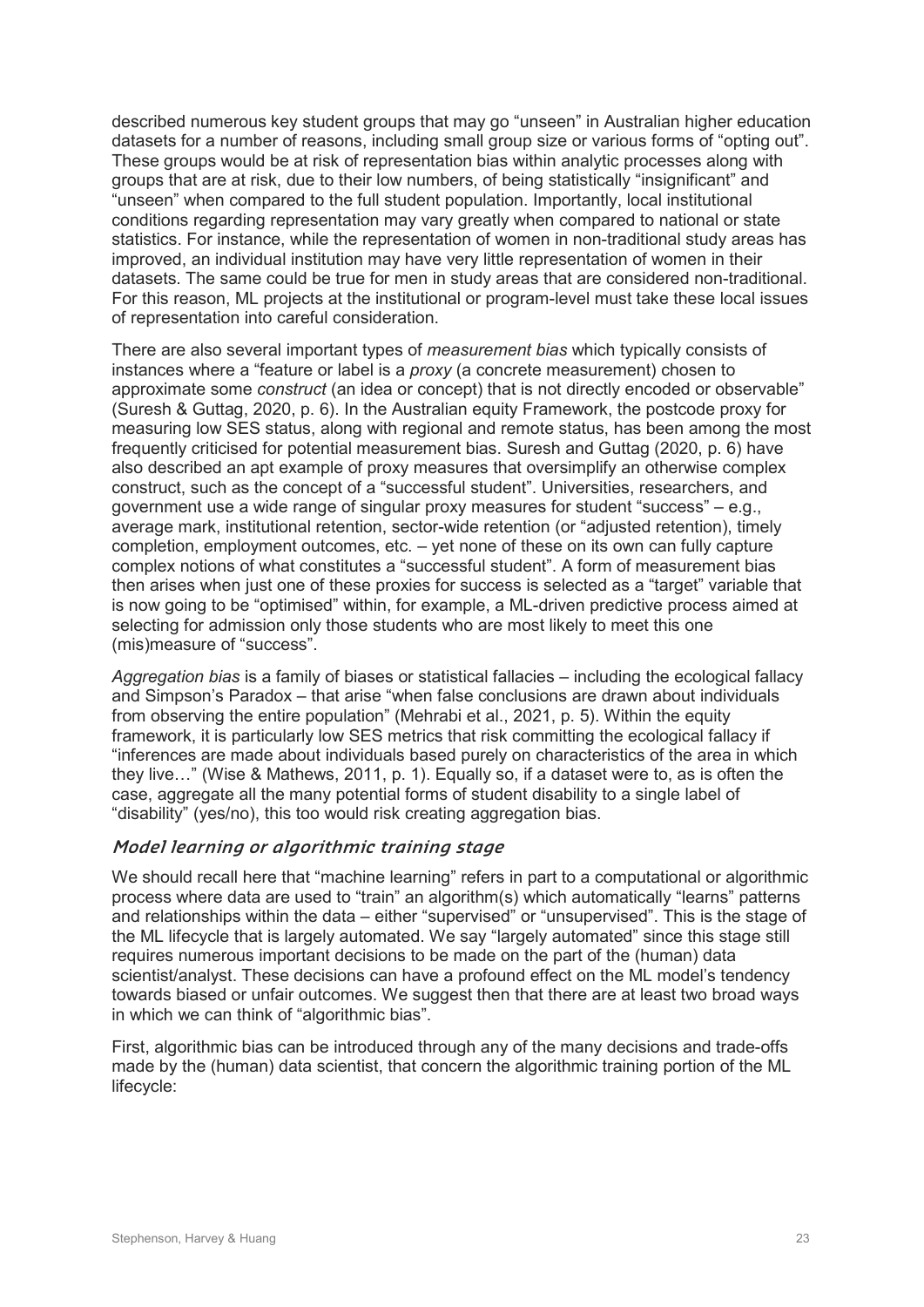described numerous key student groups that may go "unseen" in Australian higher education datasets for a number of reasons, including small group size or various forms of "opting out". These groups would be at risk of representation bias within analytic processes along with groups that are at risk, due to their low numbers, of being statistically "insignificant" and "unseen" when compared to the full student population. Importantly, local institutional conditions regarding representation may vary greatly when compared to national or state statistics. For instance, while the representation of women in non-traditional study areas has improved, an individual institution may have very little representation of women in their datasets. The same could be true for men in study areas that are considered non-traditional. For this reason, ML projects at the institutional or program-level must take these local issues of representation into careful consideration.

There are also several important types of *measurement bias* which typically consists of instances where a "feature or label is a *proxy* (a concrete measurement) chosen to approximate some *construct* (an idea or concept) that is not directly encoded or observable" (Suresh & Guttag, 2020, p. 6). In the Australian equity Framework, the postcode proxy for measuring low SES status, along with regional and remote status, has been among the most frequently criticised for potential measurement bias. Suresh and Guttag (2020, p. 6) have also described an apt example of proxy measures that oversimplify an otherwise complex construct, such as the concept of a "successful student". Universities, researchers, and government use a wide range of singular proxy measures for student "success" – e.g., average mark, institutional retention, sector-wide retention (or "adjusted retention), timely completion, employment outcomes, etc. – yet none of these on its own can fully capture complex notions of what constitutes a "successful student". A form of measurement bias then arises when just one of these proxies for success is selected as a "target" variable that is now going to be "optimised" within, for example, a ML-driven predictive process aimed at selecting for admission only those students who are most likely to meet this one (mis)measure of "success".

*Aggregation bias* is a family of biases or statistical fallacies – including the ecological fallacy and Simpson's Paradox – that arise "when false conclusions are drawn about individuals from observing the entire population" (Mehrabi et al., 2021, p. 5). Within the equity framework, it is particularly low SES metrics that risk committing the ecological fallacy if "inferences are made about individuals based purely on characteristics of the area in which they live…" (Wise & Mathews, 2011, p. 1). Equally so, if a dataset were to, as is often the case, aggregate all the many potential forms of student disability to a single label of "disability" (yes/no), this too would risk creating aggregation bias.

#### **Model learning or algorithmic training stage**

We should recall here that "machine learning" refers in part to a computational or algorithmic process where data are used to "train" an algorithm(s) which automatically "learns" patterns and relationships within the data – either "supervised" or "unsupervised". This is the stage of the ML lifecycle that is largely automated. We say "largely automated" since this stage still requires numerous important decisions to be made on the part of the (human) data scientist/analyst. These decisions can have a profound effect on the ML model's tendency towards biased or unfair outcomes. We suggest then that there are at least two broad ways in which we can think of "algorithmic bias".

First, algorithmic bias can be introduced through any of the many decisions and trade-offs made by the (human) data scientist, that concern the algorithmic training portion of the ML lifecycle: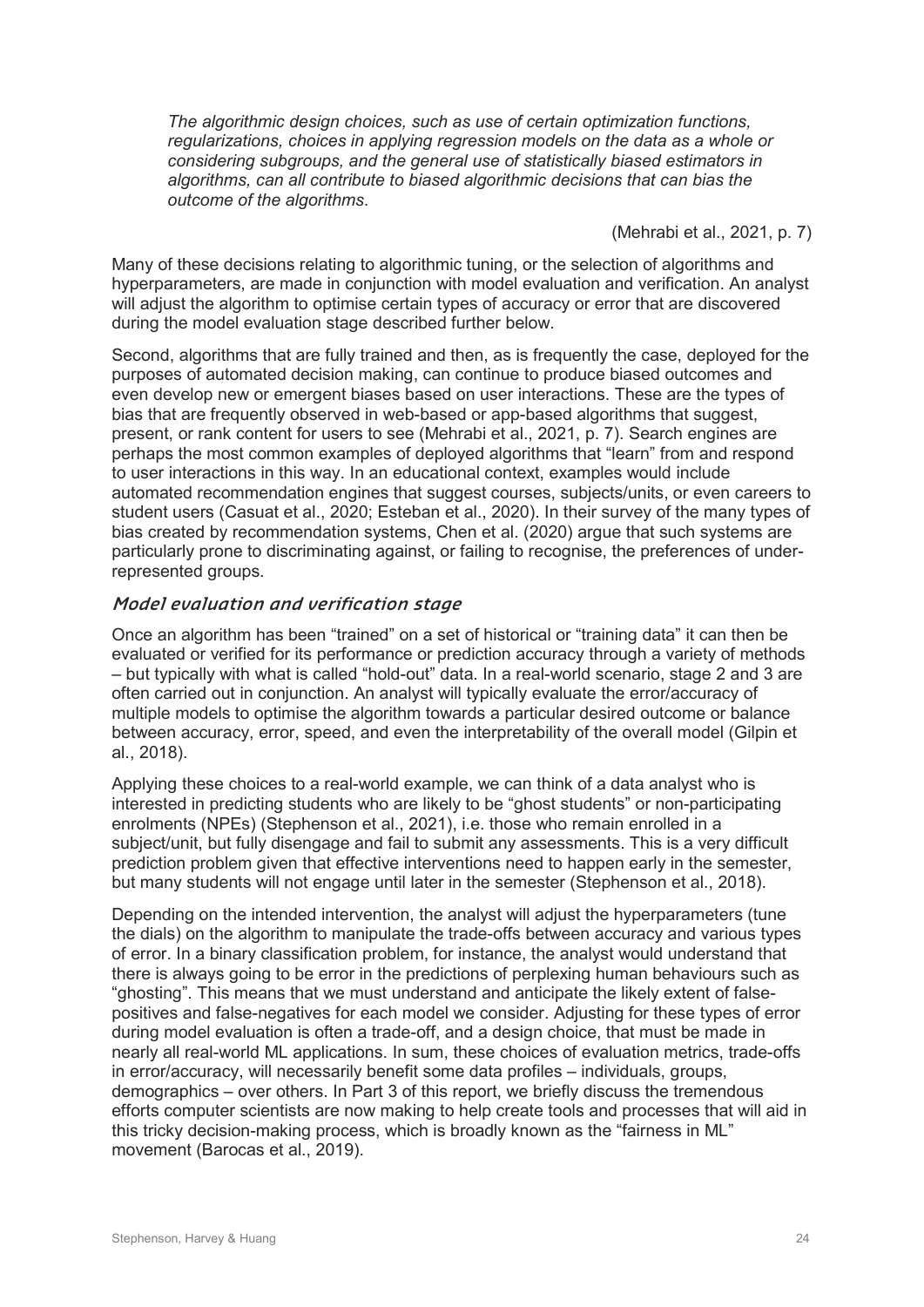*The algorithmic design choices, such as use of certain optimization functions, regularizations, choices in applying regression models on the data as a whole or considering subgroups, and the general use of statistically biased estimators in algorithms, can all contribute to biased algorithmic decisions that can bias the outcome of the algorithms*.

(Mehrabi et al., 2021, p. 7)

Many of these decisions relating to algorithmic tuning, or the selection of algorithms and hyperparameters, are made in conjunction with model evaluation and verification. An analyst will adjust the algorithm to optimise certain types of accuracy or error that are discovered during the model evaluation stage described further below.

Second, algorithms that are fully trained and then, as is frequently the case, deployed for the purposes of automated decision making, can continue to produce biased outcomes and even develop new or emergent biases based on user interactions. These are the types of bias that are frequently observed in web-based or app-based algorithms that suggest, present, or rank content for users to see (Mehrabi et al., 2021, p. 7). Search engines are perhaps the most common examples of deployed algorithms that "learn" from and respond to user interactions in this way. In an educational context, examples would include automated recommendation engines that suggest courses, subjects/units, or even careers to student users (Casuat et al., 2020; Esteban et al., 2020). In their survey of the many types of bias created by recommendation systems, Chen et al. (2020) argue that such systems are particularly prone to discriminating against, or failing to recognise, the preferences of underrepresented groups.

#### **Model evaluation and verification stage**

Once an algorithm has been "trained" on a set of historical or "training data" it can then be evaluated or verified for its performance or prediction accuracy through a variety of methods – but typically with what is called "hold-out" data. In a real-world scenario, stage 2 and 3 are often carried out in conjunction. An analyst will typically evaluate the error/accuracy of multiple models to optimise the algorithm towards a particular desired outcome or balance between accuracy, error, speed, and even the interpretability of the overall model (Gilpin et al., 2018).

Applying these choices to a real-world example, we can think of a data analyst who is interested in predicting students who are likely to be "ghost students" or non-participating enrolments (NPEs) (Stephenson et al., 2021), i.e. those who remain enrolled in a subject/unit, but fully disengage and fail to submit any assessments. This is a very difficult prediction problem given that effective interventions need to happen early in the semester, but many students will not engage until later in the semester (Stephenson et al., 2018).

Depending on the intended intervention, the analyst will adjust the hyperparameters (tune the dials) on the algorithm to manipulate the trade-offs between accuracy and various types of error. In a binary classification problem, for instance, the analyst would understand that there is always going to be error in the predictions of perplexing human behaviours such as "ghosting". This means that we must understand and anticipate the likely extent of falsepositives and false-negatives for each model we consider. Adjusting for these types of error during model evaluation is often a trade-off, and a design choice, that must be made in nearly all real-world ML applications. In sum, these choices of evaluation metrics, trade-offs in error/accuracy, will necessarily benefit some data profiles – individuals, groups, demographics – over others. In Part 3 of this report, we briefly discuss the tremendous efforts computer scientists are now making to help create tools and processes that will aid in this tricky decision-making process, which is broadly known as the "fairness in ML" movement (Barocas et al., 2019).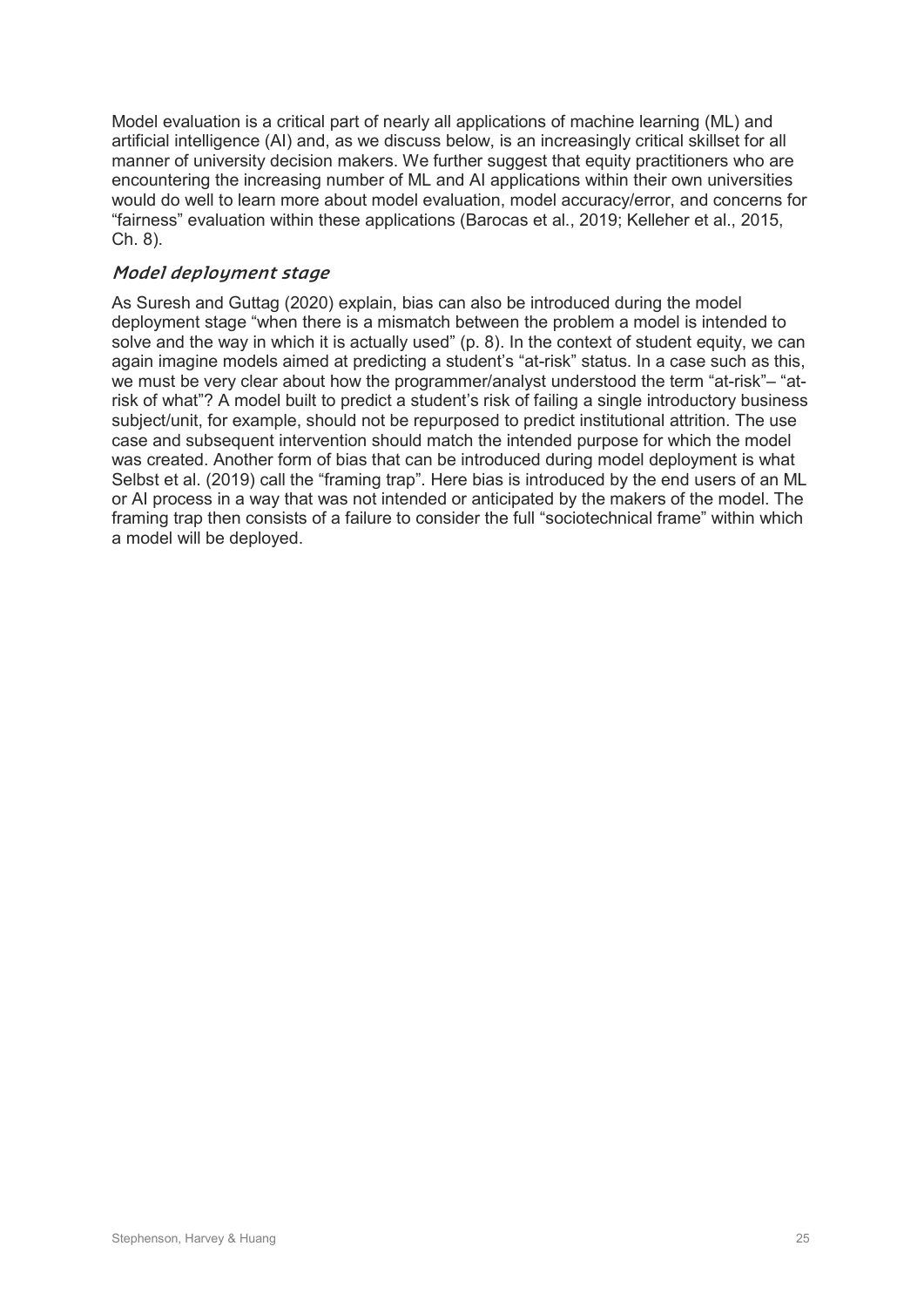Model evaluation is a critical part of nearly all applications of machine learning (ML) and artificial intelligence (AI) and, as we discuss below, is an increasingly critical skillset for all manner of university decision makers. We further suggest that equity practitioners who are encountering the increasing number of ML and AI applications within their own universities would do well to learn more about model evaluation, model accuracy/error, and concerns for "fairness" evaluation within these applications (Barocas et al., 2019; Kelleher et al., 2015, Ch. 8).

#### **Model deployment stage**

As Suresh and Guttag (2020) explain, bias can also be introduced during the model deployment stage "when there is a mismatch between the problem a model is intended to solve and the way in which it is actually used" (p. 8). In the context of student equity, we can again imagine models aimed at predicting a student's "at-risk" status. In a case such as this, we must be very clear about how the programmer/analyst understood the term "at-risk"– "atrisk of what"? A model built to predict a student's risk of failing a single introductory business subject/unit, for example, should not be repurposed to predict institutional attrition. The use case and subsequent intervention should match the intended purpose for which the model was created. Another form of bias that can be introduced during model deployment is what Selbst et al. (2019) call the "framing trap". Here bias is introduced by the end users of an ML or AI process in a way that was not intended or anticipated by the makers of the model. The framing trap then consists of a failure to consider the full "sociotechnical frame" within which a model will be deployed.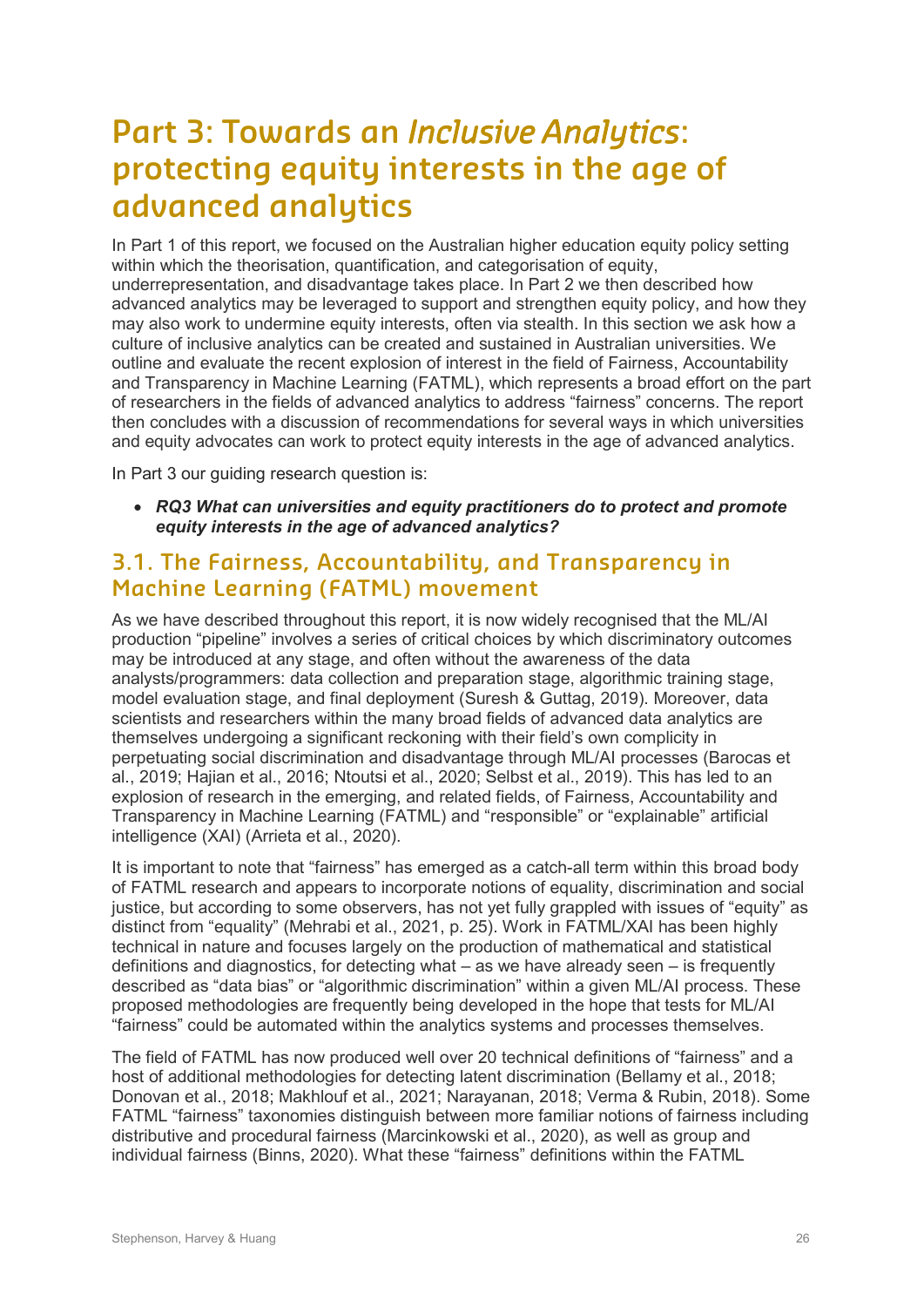# **Part 3: Towards an** *Inclusive Analytics***: protecting equity interests in the age of advanced analytics**

In Part 1 of this report, we focused on the Australian higher education equity policy setting within which the theorisation, quantification, and categorisation of equity, underrepresentation, and disadvantage takes place. In Part 2 we then described how advanced analytics may be leveraged to support and strengthen equity policy, and how they may also work to undermine equity interests, often via stealth. In this section we ask how a culture of inclusive analytics can be created and sustained in Australian universities. We outline and evaluate the recent explosion of interest in the field of Fairness, Accountability and Transparency in Machine Learning (FATML), which represents a broad effort on the part of researchers in the fields of advanced analytics to address "fairness" concerns. The report then concludes with a discussion of recommendations for several ways in which universities and equity advocates can work to protect equity interests in the age of advanced analytics.

In Part 3 our guiding research question is:

• *RQ3 What can universities and equity practitioners do to protect and promote equity interests in the age of advanced analytics?*

## **3.1. The Fairness, Accountability, and Transparency in Machine Learning (FATML) movement**

As we have described throughout this report, it is now widely recognised that the ML/AI production "pipeline" involves a series of critical choices by which discriminatory outcomes may be introduced at any stage, and often without the awareness of the data analysts/programmers: data collection and preparation stage, algorithmic training stage, model evaluation stage, and final deployment (Suresh & Guttag, 2019). Moreover, data scientists and researchers within the many broad fields of advanced data analytics are themselves undergoing a significant reckoning with their field's own complicity in perpetuating social discrimination and disadvantage through ML/AI processes (Barocas et al., 2019; Hajian et al., 2016; Ntoutsi et al., 2020; Selbst et al., 2019). This has led to an explosion of research in the emerging, and related fields, of Fairness, Accountability and Transparency in Machine Learning (FATML) and "responsible" or "explainable" artificial intelligence (XAI) (Arrieta et al., 2020).

It is important to note that "fairness" has emerged as a catch-all term within this broad body of FATML research and appears to incorporate notions of equality, discrimination and social justice, but according to some observers, has not yet fully grappled with issues of "equity" as distinct from "equality" (Mehrabi et al., 2021, p. 25). Work in FATML/XAI has been highly technical in nature and focuses largely on the production of mathematical and statistical definitions and diagnostics, for detecting what – as we have already seen – is frequently described as "data bias" or "algorithmic discrimination" within a given ML/AI process. These proposed methodologies are frequently being developed in the hope that tests for ML/AI "fairness" could be automated within the analytics systems and processes themselves.

The field of FATML has now produced well over 20 technical definitions of "fairness" and a host of additional methodologies for detecting latent discrimination (Bellamy et al., 2018; Donovan et al., 2018; Makhlouf et al., 2021; Narayanan, 2018; Verma & Rubin, 2018). Some FATML "fairness" taxonomies distinguish between more familiar notions of fairness including distributive and procedural fairness (Marcinkowski et al., 2020), as well as group and individual fairness (Binns, 2020). What these "fairness" definitions within the FATML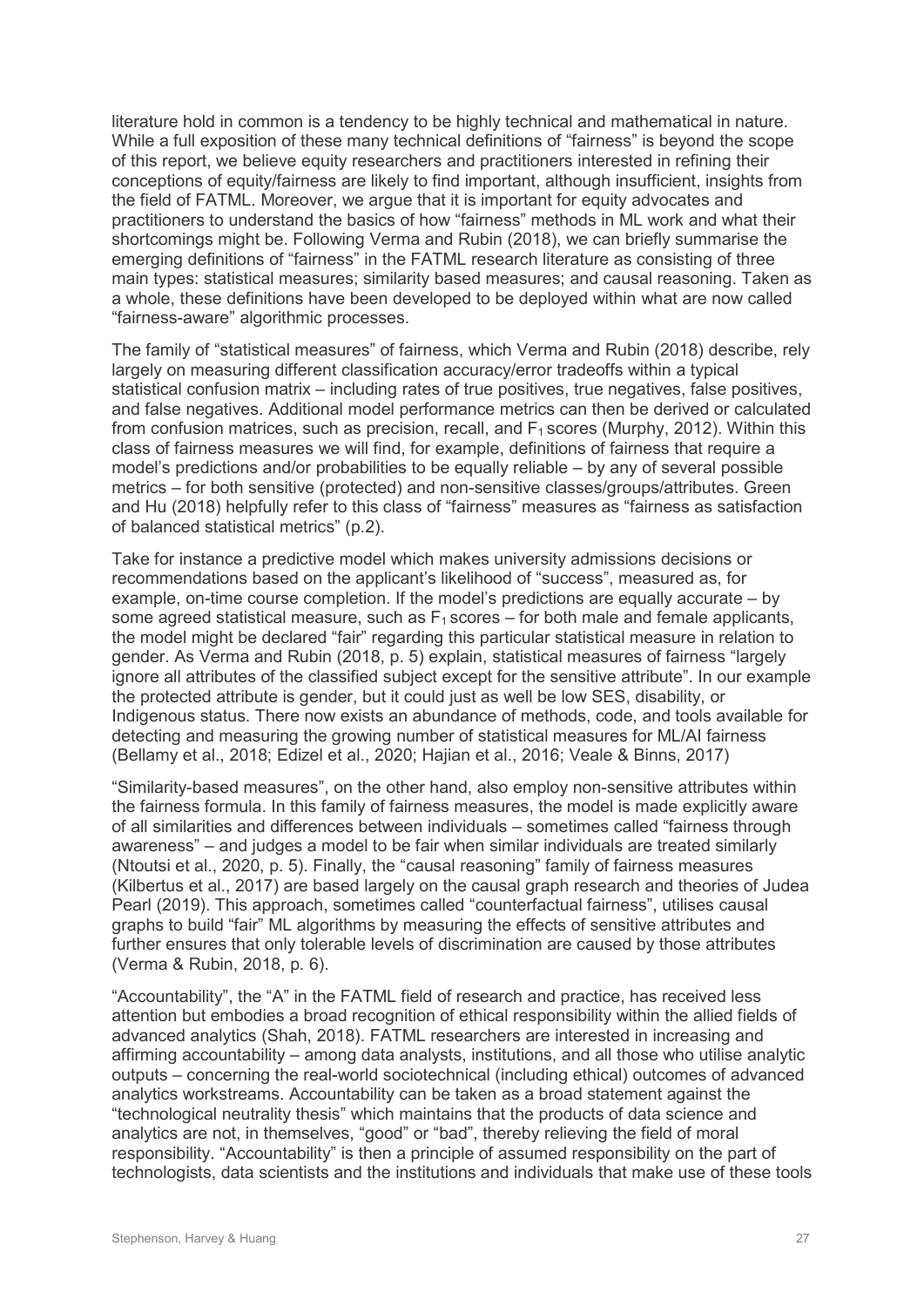literature hold in common is a tendency to be highly technical and mathematical in nature. While a full exposition of these many technical definitions of "fairness" is beyond the scope of this report, we believe equity researchers and practitioners interested in refining their conceptions of equity/fairness are likely to find important, although insufficient, insights from the field of FATML. Moreover, we argue that it is important for equity advocates and practitioners to understand the basics of how "fairness" methods in ML work and what their shortcomings might be. Following Verma and Rubin (2018), we can briefly summarise the emerging definitions of "fairness" in the FATML research literature as consisting of three main types: statistical measures; similarity based measures; and causal reasoning. Taken as a whole, these definitions have been developed to be deployed within what are now called "fairness-aware" algorithmic processes.

The family of "statistical measures" of fairness, which Verma and Rubin (2018) describe, rely largely on measuring different classification accuracy/error tradeoffs within a typical statistical confusion matrix – including rates of true positives, true negatives, false positives, and false negatives. Additional model performance metrics can then be derived or calculated from confusion matrices, such as precision, recall, and  $F_1$  scores (Murphy, 2012). Within this class of fairness measures we will find, for example, definitions of fairness that require a model's predictions and/or probabilities to be equally reliable – by any of several possible metrics – for both sensitive (protected) and non-sensitive classes/groups/attributes. Green and Hu (2018) helpfully refer to this class of "fairness" measures as "fairness as satisfaction of balanced statistical metrics" (p.2).

Take for instance a predictive model which makes university admissions decisions or recommendations based on the applicant's likelihood of "success", measured as, for example, on-time course completion. If the model's predictions are equally accurate – by some agreed statistical measure, such as  $F_1$  scores – for both male and female applicants, the model might be declared "fair" regarding this particular statistical measure in relation to gender. As Verma and Rubin (2018, p. 5) explain, statistical measures of fairness "largely ignore all attributes of the classified subject except for the sensitive attribute". In our example the protected attribute is gender, but it could just as well be low SES, disability, or Indigenous status. There now exists an abundance of methods, code, and tools available for detecting and measuring the growing number of statistical measures for ML/AI fairness (Bellamy et al., 2018; Edizel et al., 2020; Hajian et al., 2016; Veale & Binns, 2017)

"Similarity-based measures", on the other hand, also employ non-sensitive attributes within the fairness formula. In this family of fairness measures, the model is made explicitly aware of all similarities and differences between individuals – sometimes called "fairness through awareness" – and judges a model to be fair when similar individuals are treated similarly (Ntoutsi et al., 2020, p. 5). Finally, the "causal reasoning" family of fairness measures (Kilbertus et al., 2017) are based largely on the causal graph research and theories of Judea Pearl (2019). This approach, sometimes called "counterfactual fairness", utilises causal graphs to build "fair" ML algorithms by measuring the effects of sensitive attributes and further ensures that only tolerable levels of discrimination are caused by those attributes (Verma & Rubin, 2018, p. 6).

"Accountability", the "A" in the FATML field of research and practice, has received less attention but embodies a broad recognition of ethical responsibility within the allied fields of advanced analytics (Shah, 2018). FATML researchers are interested in increasing and affirming accountability – among data analysts, institutions, and all those who utilise analytic outputs – concerning the real-world sociotechnical (including ethical) outcomes of advanced analytics workstreams. Accountability can be taken as a broad statement against the "technological neutrality thesis" which maintains that the products of data science and analytics are not, in themselves, "good" or "bad", thereby relieving the field of moral responsibility. "Accountability" is then a principle of assumed responsibility on the part of technologists, data scientists and the institutions and individuals that make use of these tools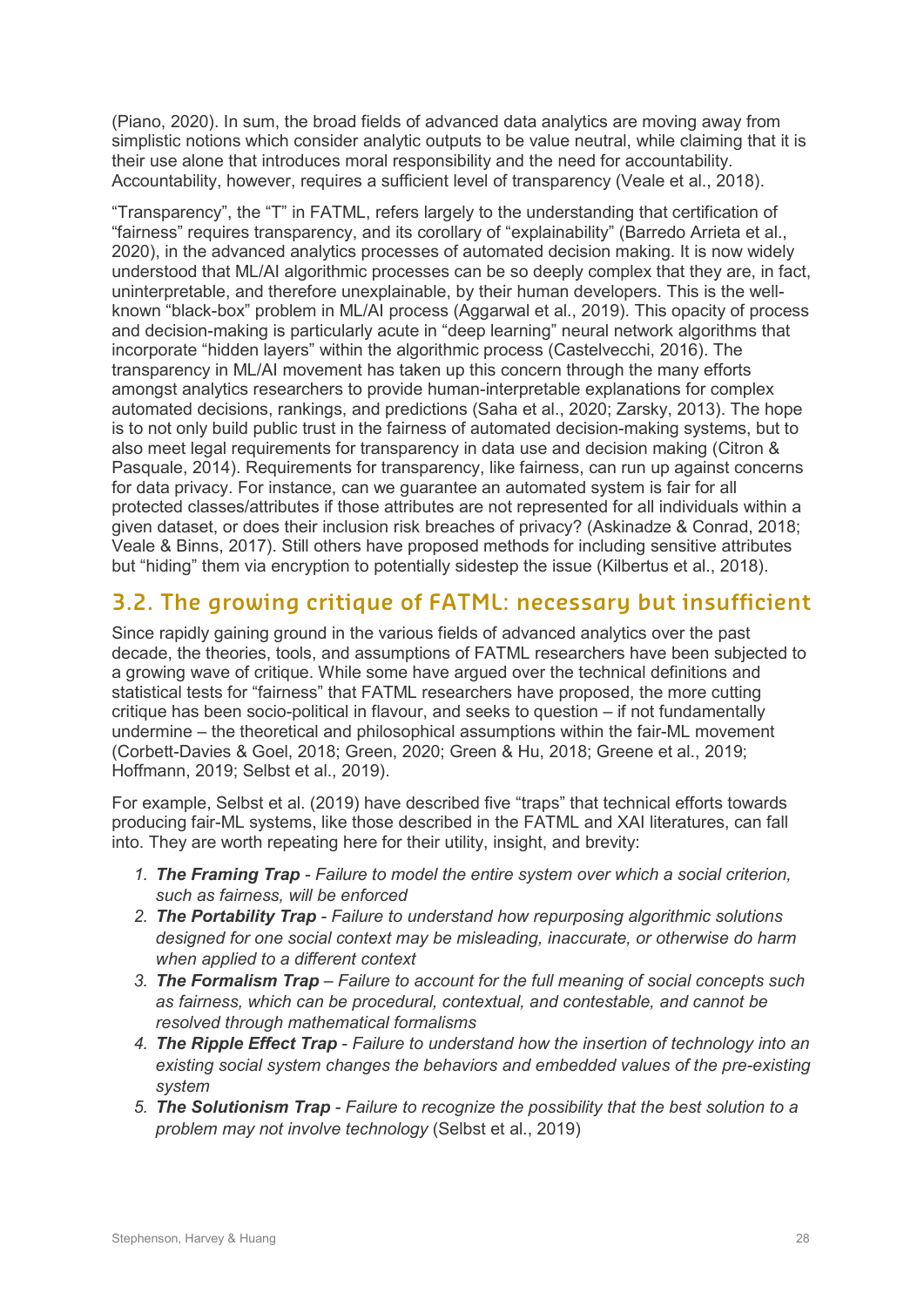(Piano, 2020). In sum, the broad fields of advanced data analytics are moving away from simplistic notions which consider analytic outputs to be value neutral, while claiming that it is their use alone that introduces moral responsibility and the need for accountability. Accountability, however, requires a sufficient level of transparency (Veale et al., 2018).

"Transparency", the "T" in FATML, refers largely to the understanding that certification of "fairness" requires transparency, and its corollary of "explainability" (Barredo Arrieta et al., 2020), in the advanced analytics processes of automated decision making. It is now widely understood that ML/AI algorithmic processes can be so deeply complex that they are, in fact, uninterpretable, and therefore unexplainable, by their human developers. This is the wellknown "black-box" problem in ML/AI process (Aggarwal et al., 2019). This opacity of process and decision-making is particularly acute in "deep learning" neural network algorithms that incorporate "hidden layers" within the algorithmic process (Castelvecchi, 2016). The transparency in ML/AI movement has taken up this concern through the many efforts amongst analytics researchers to provide human-interpretable explanations for complex automated decisions, rankings, and predictions (Saha et al., 2020; Zarsky, 2013). The hope is to not only build public trust in the fairness of automated decision-making systems, but to also meet legal requirements for transparency in data use and decision making (Citron & Pasquale, 2014). Requirements for transparency, like fairness, can run up against concerns for data privacy. For instance, can we guarantee an automated system is fair for all protected classes/attributes if those attributes are not represented for all individuals within a given dataset, or does their inclusion risk breaches of privacy? (Askinadze & Conrad, 2018; Veale & Binns, 2017). Still others have proposed methods for including sensitive attributes but "hiding" them via encryption to potentially sidestep the issue (Kilbertus et al., 2018).

### **3.2. The growing critique of FATML: necessary but insufficient**

Since rapidly gaining ground in the various fields of advanced analytics over the past decade, the theories, tools, and assumptions of FATML researchers have been subjected to a growing wave of critique. While some have argued over the technical definitions and statistical tests for "fairness" that FATML researchers have proposed, the more cutting critique has been socio-political in flavour, and seeks to question – if not fundamentally undermine – the theoretical and philosophical assumptions within the fair-ML movement (Corbett-Davies & Goel, 2018; Green, 2020; Green & Hu, 2018; Greene et al., 2019; Hoffmann, 2019; Selbst et al., 2019).

For example, Selbst et al. (2019) have described five "traps" that technical efforts towards producing fair-ML systems, like those described in the FATML and XAI literatures, can fall into. They are worth repeating here for their utility, insight, and brevity:

- *1. The Framing Trap Failure to model the entire system over which a social criterion, such as fairness, will be enforced*
- *2. The Portability Trap Failure to understand how repurposing algorithmic solutions designed for one social context may be misleading, inaccurate, or otherwise do harm when applied to a different context*
- *3. The Formalism Trap Failure to account for the full meaning of social concepts such as fairness, which can be procedural, contextual, and contestable, and cannot be resolved through mathematical formalisms*
- *4. The Ripple Effect Trap Failure to understand how the insertion of technology into an existing social system changes the behaviors and embedded values of the pre-existing system*
- *5. The Solutionism Trap Failure to recognize the possibility that the best solution to a problem may not involve technology* (Selbst et al., 2019)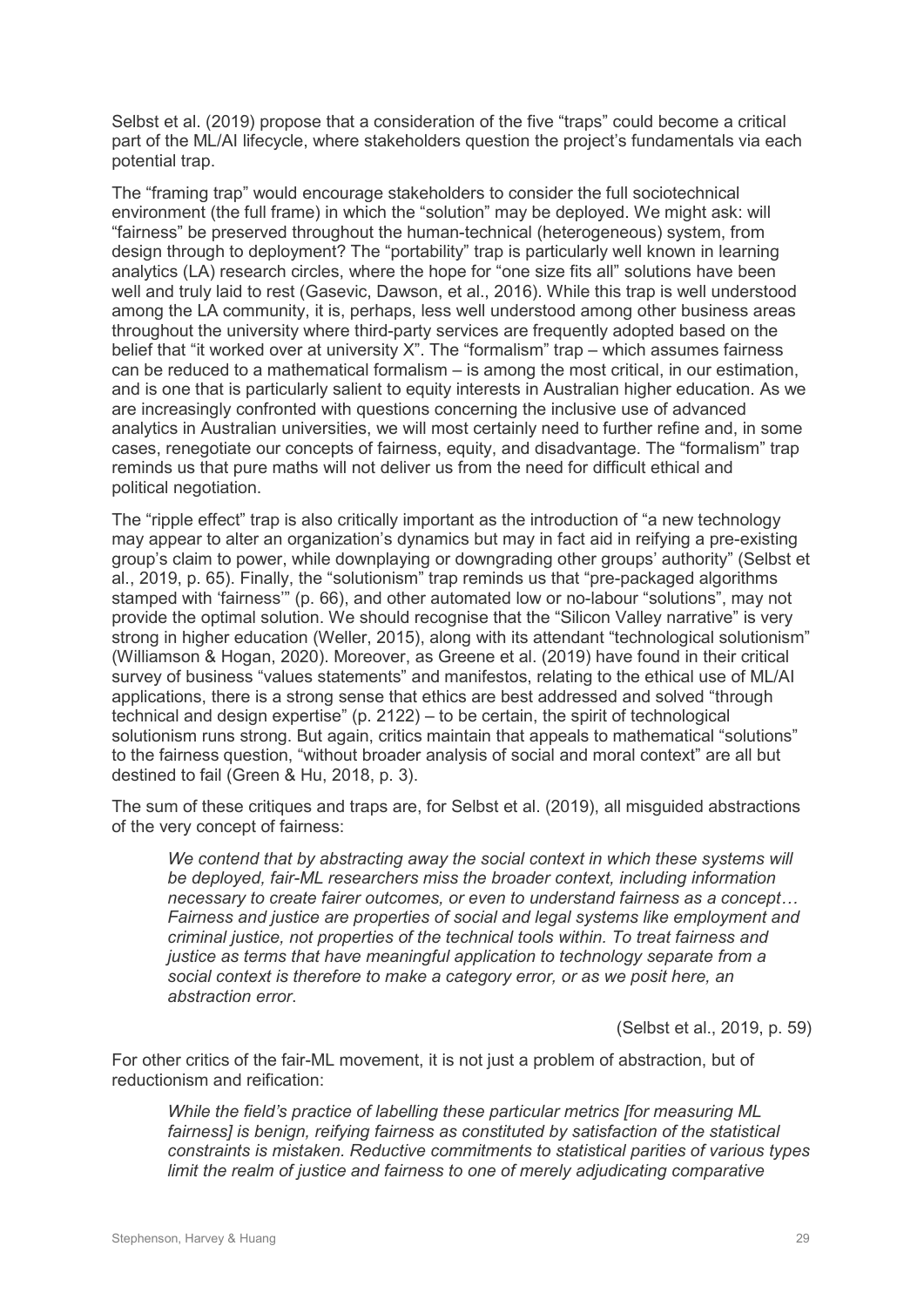Selbst et al. (2019) propose that a consideration of the five "traps" could become a critical part of the ML/AI lifecycle, where stakeholders question the project's fundamentals via each potential trap.

The "framing trap" would encourage stakeholders to consider the full sociotechnical environment (the full frame) in which the "solution" may be deployed. We might ask: will "fairness" be preserved throughout the human-technical (heterogeneous) system, from design through to deployment? The "portability" trap is particularly well known in learning analytics (LA) research circles, where the hope for "one size fits all" solutions have been well and truly laid to rest (Gasevic, Dawson, et al., 2016). While this trap is well understood among the LA community, it is, perhaps, less well understood among other business areas throughout the university where third-party services are frequently adopted based on the belief that "it worked over at university X". The "formalism" trap – which assumes fairness can be reduced to a mathematical formalism – is among the most critical, in our estimation, and is one that is particularly salient to equity interests in Australian higher education. As we are increasingly confronted with questions concerning the inclusive use of advanced analytics in Australian universities, we will most certainly need to further refine and, in some cases, renegotiate our concepts of fairness, equity, and disadvantage. The "formalism" trap reminds us that pure maths will not deliver us from the need for difficult ethical and political negotiation.

The "ripple effect" trap is also critically important as the introduction of "a new technology may appear to alter an organization's dynamics but may in fact aid in reifying a pre-existing group's claim to power, while downplaying or downgrading other groups' authority" (Selbst et al., 2019, p. 65). Finally, the "solutionism" trap reminds us that "pre-packaged algorithms stamped with 'fairness'" (p. 66), and other automated low or no-labour "solutions", may not provide the optimal solution. We should recognise that the "Silicon Valley narrative" is very strong in higher education (Weller, 2015), along with its attendant "technological solutionism" (Williamson & Hogan, 2020). Moreover, as Greene et al. (2019) have found in their critical survey of business "values statements" and manifestos, relating to the ethical use of ML/AI applications, there is a strong sense that ethics are best addressed and solved "through technical and design expertise" (p. 2122) – to be certain, the spirit of technological solutionism runs strong. But again, critics maintain that appeals to mathematical "solutions" to the fairness question, "without broader analysis of social and moral context" are all but destined to fail (Green & Hu, 2018, p. 3).

The sum of these critiques and traps are, for Selbst et al. (2019), all misguided abstractions of the very concept of fairness:

We contend that by abstracting away the social context in which these systems will *be deployed, fair-ML researchers miss the broader context, including information necessary to create fairer outcomes, or even to understand fairness as a concept… Fairness and justice are properties of social and legal systems like employment and criminal justice, not properties of the technical tools within. To treat fairness and justice as terms that have meaningful application to technology separate from a social context is therefore to make a category error, or as we posit here, an abstraction error*.

(Selbst et al., 2019, p. 59)

For other critics of the fair-ML movement, it is not just a problem of abstraction, but of reductionism and reification:

*While the field's practice of labelling these particular metrics [for measuring ML fairness] is benign, reifying fairness as constituted by satisfaction of the statistical constraints is mistaken. Reductive commitments to statistical parities of various types limit the realm of justice and fairness to one of merely adjudicating comparative*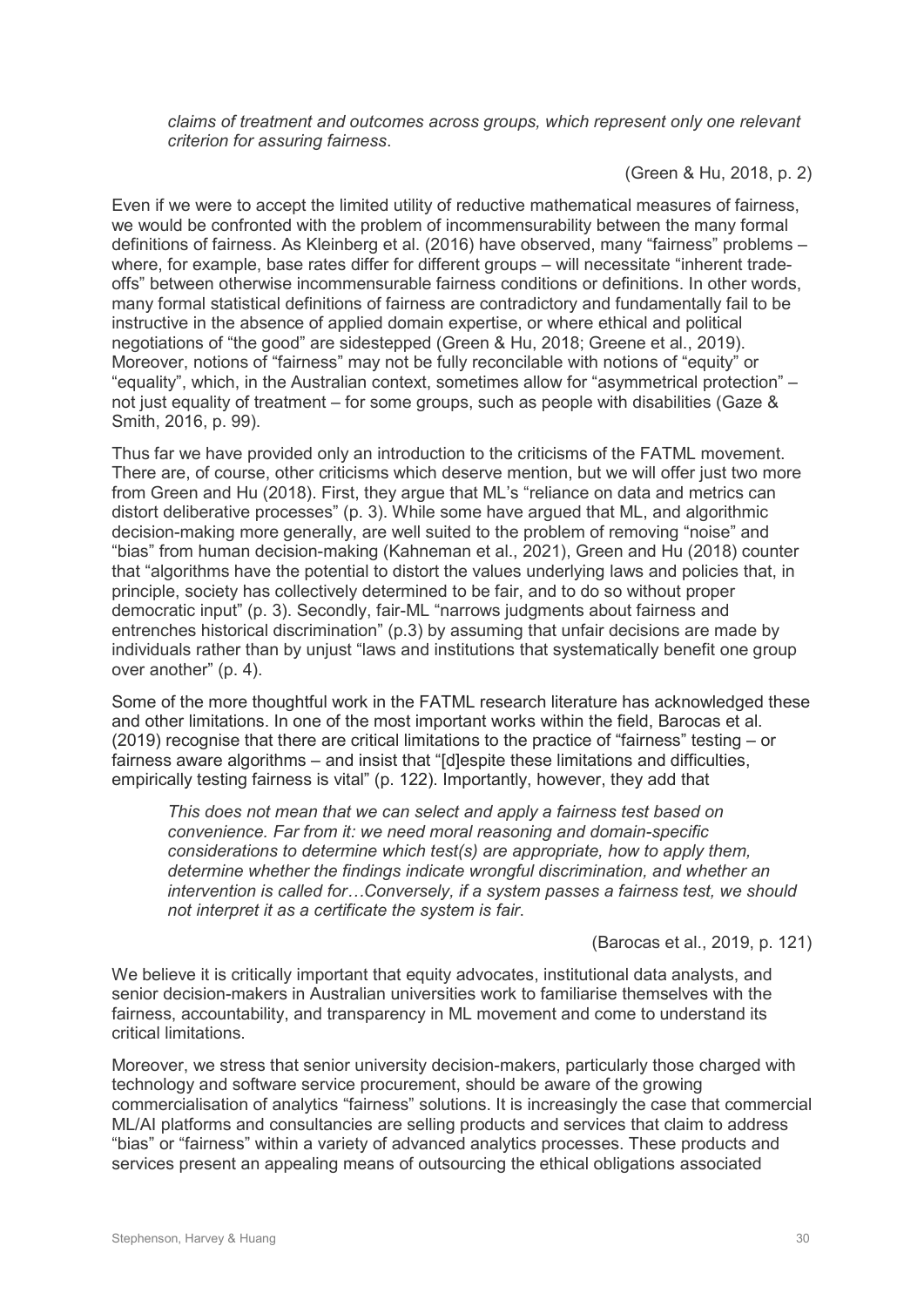*claims of treatment and outcomes across groups, which represent only one relevant criterion for assuring fairness*.

(Green & Hu, 2018, p. 2)

Even if we were to accept the limited utility of reductive mathematical measures of fairness, we would be confronted with the problem of incommensurability between the many formal definitions of fairness. As Kleinberg et al. (2016) have observed, many "fairness" problems – where, for example, base rates differ for different groups – will necessitate "inherent tradeoffs" between otherwise incommensurable fairness conditions or definitions. In other words, many formal statistical definitions of fairness are contradictory and fundamentally fail to be instructive in the absence of applied domain expertise, or where ethical and political negotiations of "the good" are sidestepped (Green & Hu, 2018; Greene et al., 2019). Moreover, notions of "fairness" may not be fully reconcilable with notions of "equity" or "equality", which, in the Australian context, sometimes allow for "asymmetrical protection" – not just equality of treatment – for some groups, such as people with disabilities (Gaze & Smith, 2016, p. 99).

Thus far we have provided only an introduction to the criticisms of the FATML movement. There are, of course, other criticisms which deserve mention, but we will offer just two more from Green and Hu (2018). First, they argue that ML's "reliance on data and metrics can distort deliberative processes" (p. 3). While some have argued that ML, and algorithmic decision-making more generally, are well suited to the problem of removing "noise" and "bias" from human decision-making (Kahneman et al., 2021), Green and Hu (2018) counter that "algorithms have the potential to distort the values underlying laws and policies that, in principle, society has collectively determined to be fair, and to do so without proper democratic input" (p. 3). Secondly, fair-ML "narrows judgments about fairness and entrenches historical discrimination" (p.3) by assuming that unfair decisions are made by individuals rather than by unjust "laws and institutions that systematically benefit one group over another" (p. 4).

Some of the more thoughtful work in the FATML research literature has acknowledged these and other limitations. In one of the most important works within the field, Barocas et al. (2019) recognise that there are critical limitations to the practice of "fairness" testing – or fairness aware algorithms – and insist that "[d]espite these limitations and difficulties, empirically testing fairness is vital" (p. 122). Importantly, however, they add that

*This does not mean that we can select and apply a fairness test based on convenience. Far from it: we need moral reasoning and domain-specific considerations to determine which test(s) are appropriate, how to apply them, determine whether the findings indicate wrongful discrimination, and whether an intervention is called for…Conversely, if a system passes a fairness test, we should not interpret it as a certificate the system is fair*.

(Barocas et al., 2019, p. 121)

We believe it is critically important that equity advocates, institutional data analysts, and senior decision-makers in Australian universities work to familiarise themselves with the fairness, accountability, and transparency in ML movement and come to understand its critical limitations.

Moreover, we stress that senior university decision-makers, particularly those charged with technology and software service procurement, should be aware of the growing commercialisation of analytics "fairness" solutions. It is increasingly the case that commercial ML/AI platforms and consultancies are selling products and services that claim to address "bias" or "fairness" within a variety of advanced analytics processes. These products and services present an appealing means of outsourcing the ethical obligations associated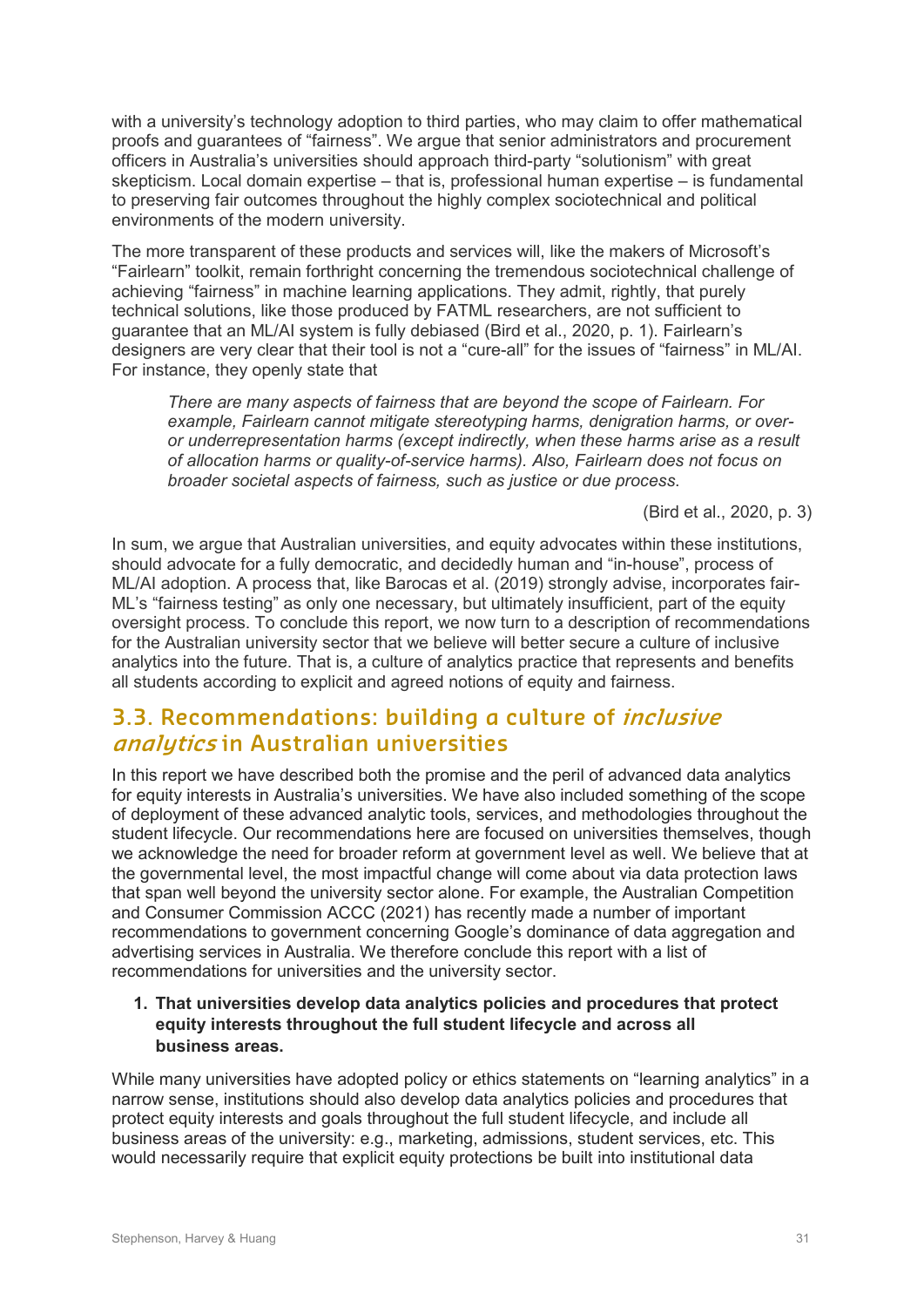with a university's technology adoption to third parties, who may claim to offer mathematical proofs and guarantees of "fairness". We argue that senior administrators and procurement officers in Australia's universities should approach third-party "solutionism" with great skepticism. Local domain expertise – that is, professional human expertise – is fundamental to preserving fair outcomes throughout the highly complex sociotechnical and political environments of the modern university.

The more transparent of these products and services will, like the makers of Microsoft's "Fairlearn" toolkit, remain forthright concerning the tremendous sociotechnical challenge of achieving "fairness" in machine learning applications. They admit, rightly, that purely technical solutions, like those produced by FATML researchers, are not sufficient to guarantee that an ML/AI system is fully debiased (Bird et al., 2020, p. 1). Fairlearn's designers are very clear that their tool is not a "cure-all" for the issues of "fairness" in ML/AI. For instance, they openly state that

*There are many aspects of fairness that are beyond the scope of Fairlearn. For example, Fairlearn cannot mitigate stereotyping harms, denigration harms, or overor underrepresentation harms (except indirectly, when these harms arise as a result of allocation harms or quality-of-service harms). Also, Fairlearn does not focus on broader societal aspects of fairness, such as justice or due process*.

(Bird et al., 2020, p. 3)

In sum, we argue that Australian universities, and equity advocates within these institutions, should advocate for a fully democratic, and decidedly human and "in-house", process of ML/AI adoption. A process that, like Barocas et al. (2019) strongly advise, incorporates fair-ML's "fairness testing" as only one necessary, but ultimately insufficient, part of the equity oversight process. To conclude this report, we now turn to a description of recommendations for the Australian university sector that we believe will better secure a culture of inclusive analytics into the future. That is, a culture of analytics practice that represents and benefits all students according to explicit and agreed notions of equity and fairness.

### **3.3. Recommendations: building a culture of inclusive analytics in Australian universities**

In this report we have described both the promise and the peril of advanced data analytics for equity interests in Australia's universities. We have also included something of the scope of deployment of these advanced analytic tools, services, and methodologies throughout the student lifecycle. Our recommendations here are focused on universities themselves, though we acknowledge the need for broader reform at government level as well. We believe that at the governmental level, the most impactful change will come about via data protection laws that span well beyond the university sector alone. For example, the Australian Competition and Consumer Commission ACCC (2021) has recently made a number of important recommendations to government concerning Google's dominance of data aggregation and advertising services in Australia. We therefore conclude this report with a list of recommendations for universities and the university sector.

#### **1. That universities develop data analytics policies and procedures that protect equity interests throughout the full student lifecycle and across all business areas.**

While many universities have adopted policy or ethics statements on "learning analytics" in a narrow sense, institutions should also develop data analytics policies and procedures that protect equity interests and goals throughout the full student lifecycle, and include all business areas of the university: e.g., marketing, admissions, student services, etc. This would necessarily require that explicit equity protections be built into institutional data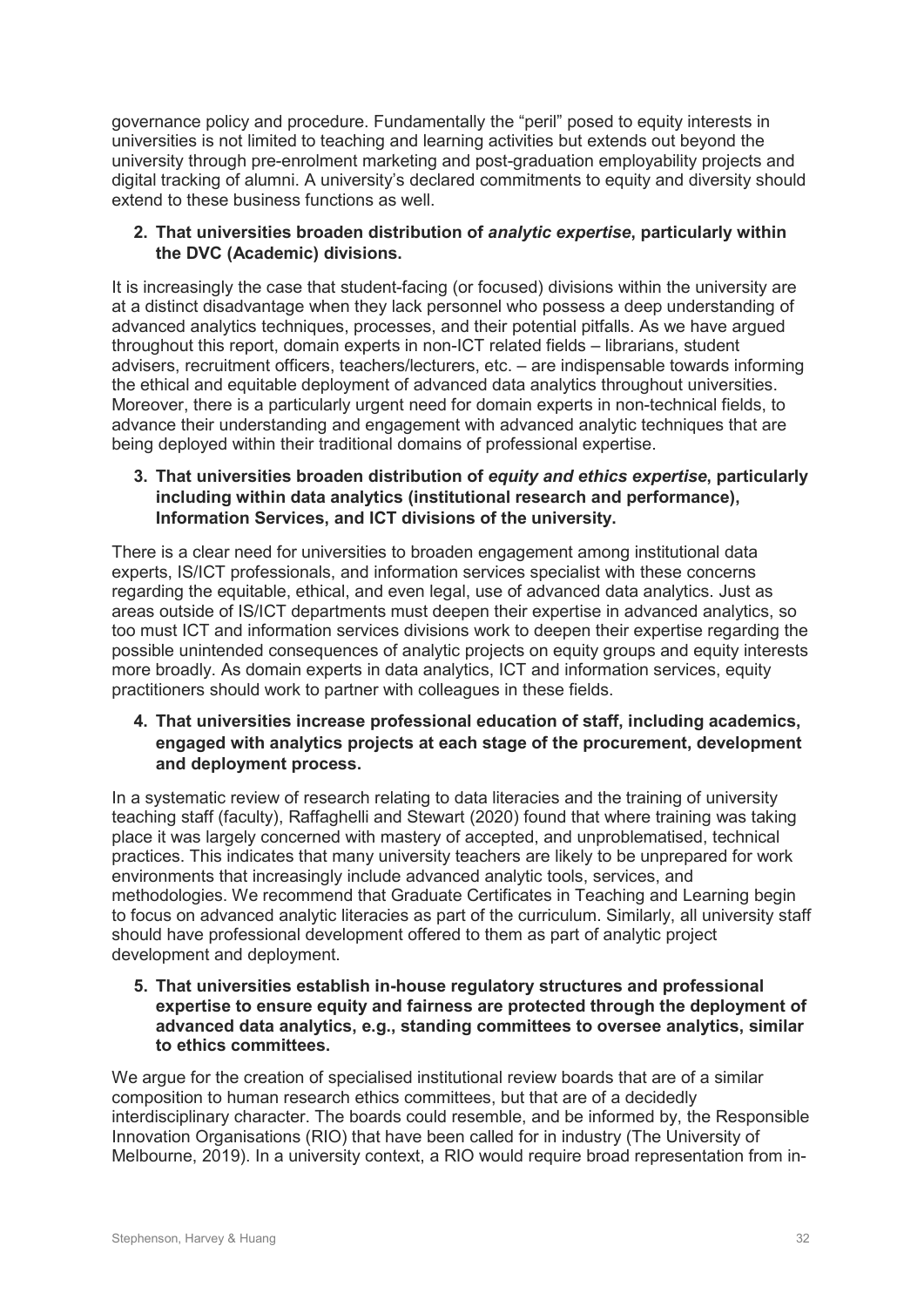governance policy and procedure. Fundamentally the "peril" posed to equity interests in universities is not limited to teaching and learning activities but extends out beyond the university through pre-enrolment marketing and post-graduation employability projects and digital tracking of alumni. A university's declared commitments to equity and diversity should extend to these business functions as well.

#### **2. That universities broaden distribution of** *analytic expertise***, particularly within the DVC (Academic) divisions.**

It is increasingly the case that student-facing (or focused) divisions within the university are at a distinct disadvantage when they lack personnel who possess a deep understanding of advanced analytics techniques, processes, and their potential pitfalls. As we have argued throughout this report, domain experts in non-ICT related fields – librarians, student advisers, recruitment officers, teachers/lecturers, etc. – are indispensable towards informing the ethical and equitable deployment of advanced data analytics throughout universities. Moreover, there is a particularly urgent need for domain experts in non-technical fields, to advance their understanding and engagement with advanced analytic techniques that are being deployed within their traditional domains of professional expertise.

#### **3. That universities broaden distribution of** *equity and ethics expertise***, particularly including within data analytics (institutional research and performance), Information Services, and ICT divisions of the university.**

There is a clear need for universities to broaden engagement among institutional data experts, IS/ICT professionals, and information services specialist with these concerns regarding the equitable, ethical, and even legal, use of advanced data analytics. Just as areas outside of IS/ICT departments must deepen their expertise in advanced analytics, so too must ICT and information services divisions work to deepen their expertise regarding the possible unintended consequences of analytic projects on equity groups and equity interests more broadly. As domain experts in data analytics, ICT and information services, equity practitioners should work to partner with colleagues in these fields.

#### **4. That universities increase professional education of staff, including academics, engaged with analytics projects at each stage of the procurement, development and deployment process.**

In a systematic review of research relating to data literacies and the training of university teaching staff (faculty), Raffaghelli and Stewart (2020) found that where training was taking place it was largely concerned with mastery of accepted, and unproblematised, technical practices. This indicates that many university teachers are likely to be unprepared for work environments that increasingly include advanced analytic tools, services, and methodologies. We recommend that Graduate Certificates in Teaching and Learning begin to focus on advanced analytic literacies as part of the curriculum. Similarly, all university staff should have professional development offered to them as part of analytic project development and deployment.

**5. That universities establish in-house regulatory structures and professional expertise to ensure equity and fairness are protected through the deployment of advanced data analytics, e.g., standing committees to oversee analytics, similar to ethics committees.**

We argue for the creation of specialised institutional review boards that are of a similar composition to human research ethics committees, but that are of a decidedly interdisciplinary character. The boards could resemble, and be informed by, the Responsible Innovation Organisations (RIO) that have been called for in industry (The University of Melbourne, 2019). In a university context, a RIO would require broad representation from in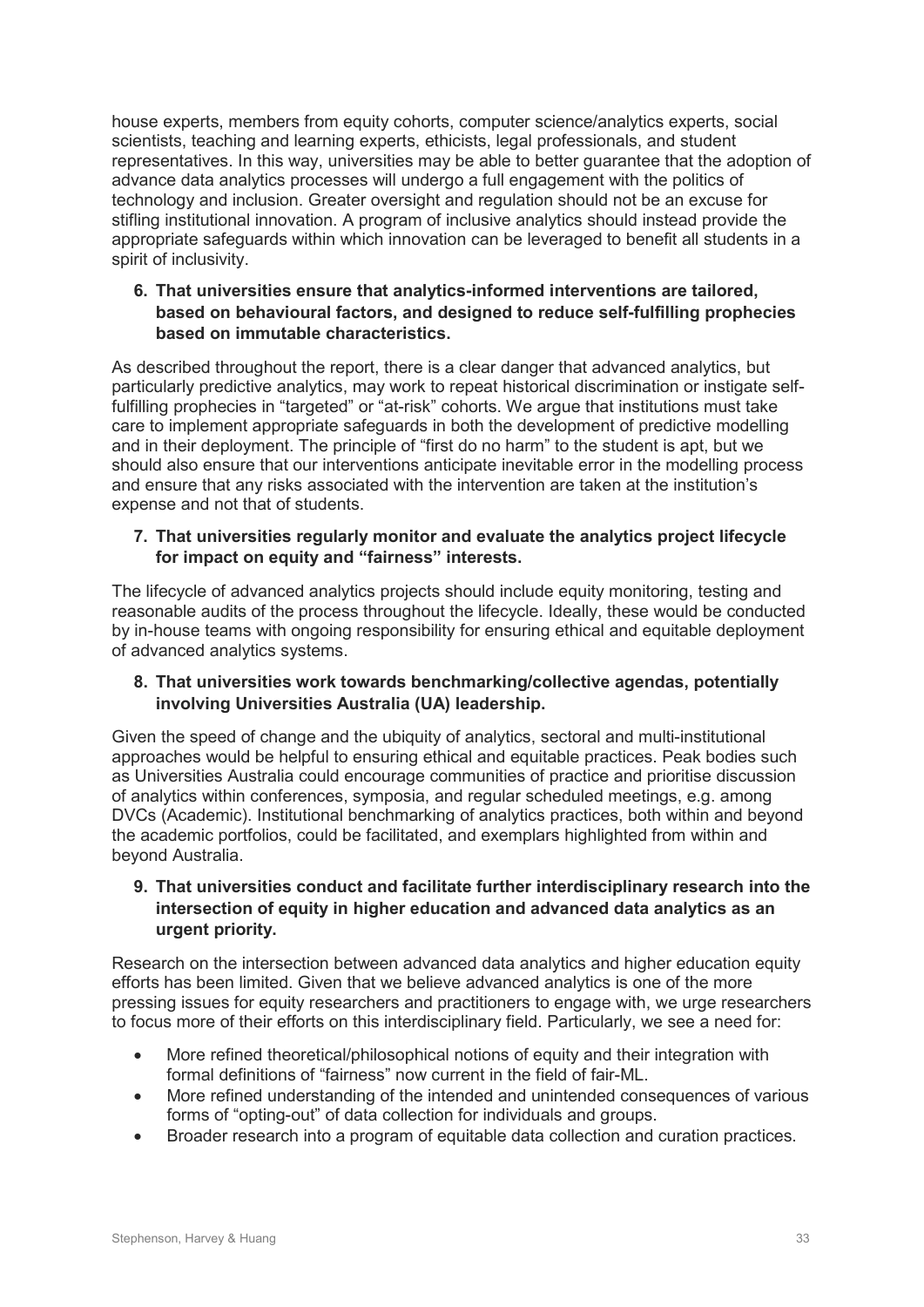house experts, members from equity cohorts, computer science/analytics experts, social scientists, teaching and learning experts, ethicists, legal professionals, and student representatives. In this way, universities may be able to better guarantee that the adoption of advance data analytics processes will undergo a full engagement with the politics of technology and inclusion. Greater oversight and regulation should not be an excuse for stifling institutional innovation. A program of inclusive analytics should instead provide the appropriate safeguards within which innovation can be leveraged to benefit all students in a spirit of inclusivity.

#### **6. That universities ensure that analytics-informed interventions are tailored, based on behavioural factors, and designed to reduce self-fulfilling prophecies based on immutable characteristics.**

As described throughout the report, there is a clear danger that advanced analytics, but particularly predictive analytics, may work to repeat historical discrimination or instigate selffulfilling prophecies in "targeted" or "at-risk" cohorts. We argue that institutions must take care to implement appropriate safeguards in both the development of predictive modelling and in their deployment. The principle of "first do no harm" to the student is apt, but we should also ensure that our interventions anticipate inevitable error in the modelling process and ensure that any risks associated with the intervention are taken at the institution's expense and not that of students.

#### **7. That universities regularly monitor and evaluate the analytics project lifecycle for impact on equity and "fairness" interests.**

The lifecycle of advanced analytics projects should include equity monitoring, testing and reasonable audits of the process throughout the lifecycle. Ideally, these would be conducted by in-house teams with ongoing responsibility for ensuring ethical and equitable deployment of advanced analytics systems.

#### **8. That universities work towards benchmarking/collective agendas, potentially involving Universities Australia (UA) leadership.**

Given the speed of change and the ubiquity of analytics, sectoral and multi-institutional approaches would be helpful to ensuring ethical and equitable practices. Peak bodies such as Universities Australia could encourage communities of practice and prioritise discussion of analytics within conferences, symposia, and regular scheduled meetings, e.g. among DVCs (Academic). Institutional benchmarking of analytics practices, both within and beyond the academic portfolios, could be facilitated, and exemplars highlighted from within and beyond Australia.

#### **9. That universities conduct and facilitate further interdisciplinary research into the intersection of equity in higher education and advanced data analytics as an urgent priority.**

Research on the intersection between advanced data analytics and higher education equity efforts has been limited. Given that we believe advanced analytics is one of the more pressing issues for equity researchers and practitioners to engage with, we urge researchers to focus more of their efforts on this interdisciplinary field. Particularly, we see a need for:

- More refined theoretical/philosophical notions of equity and their integration with formal definitions of "fairness" now current in the field of fair-ML.
- More refined understanding of the intended and unintended consequences of various forms of "opting-out" of data collection for individuals and groups.
- Broader research into a program of equitable data collection and curation practices.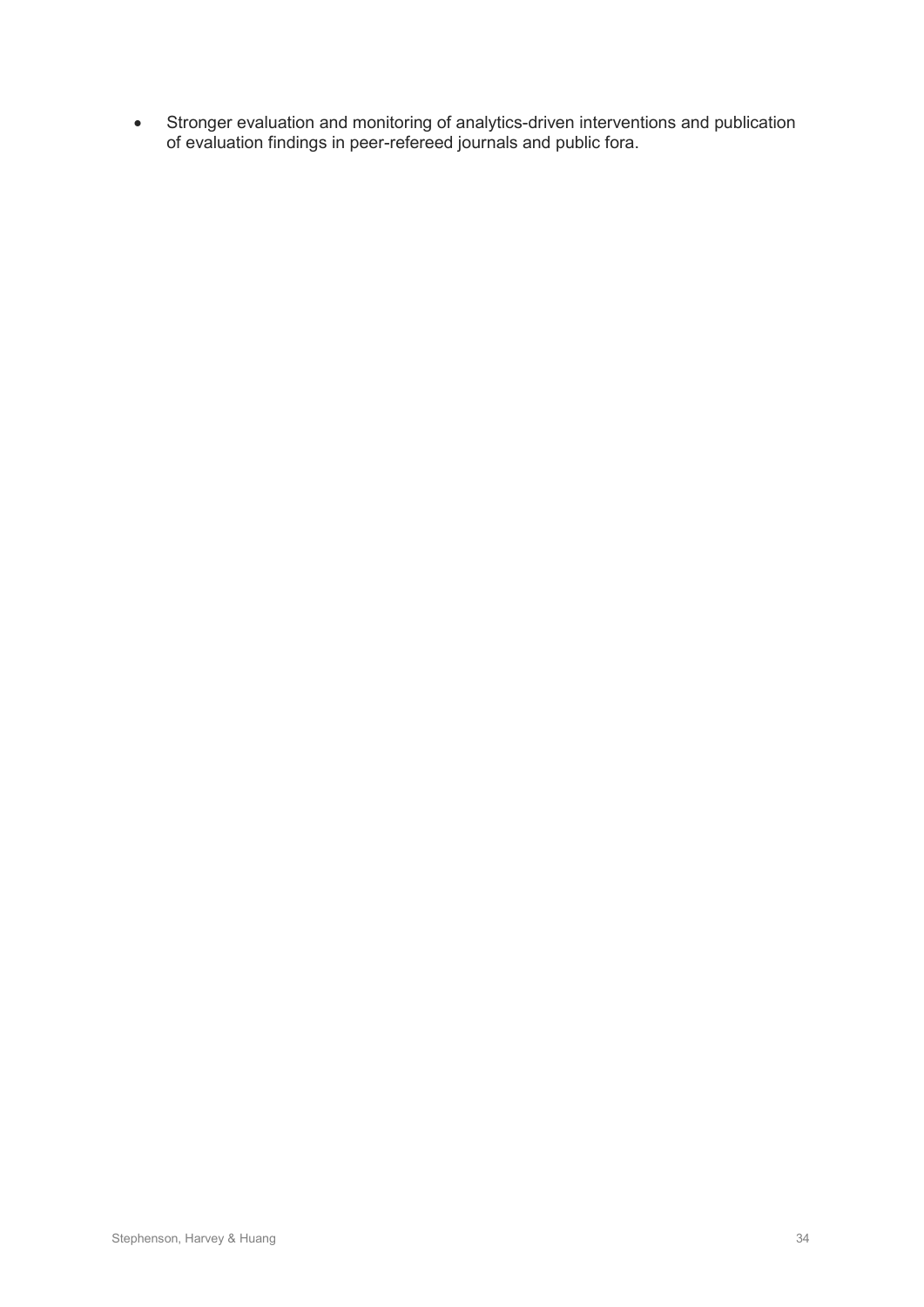• Stronger evaluation and monitoring of analytics-driven interventions and publication of evaluation findings in peer-refereed journals and public fora.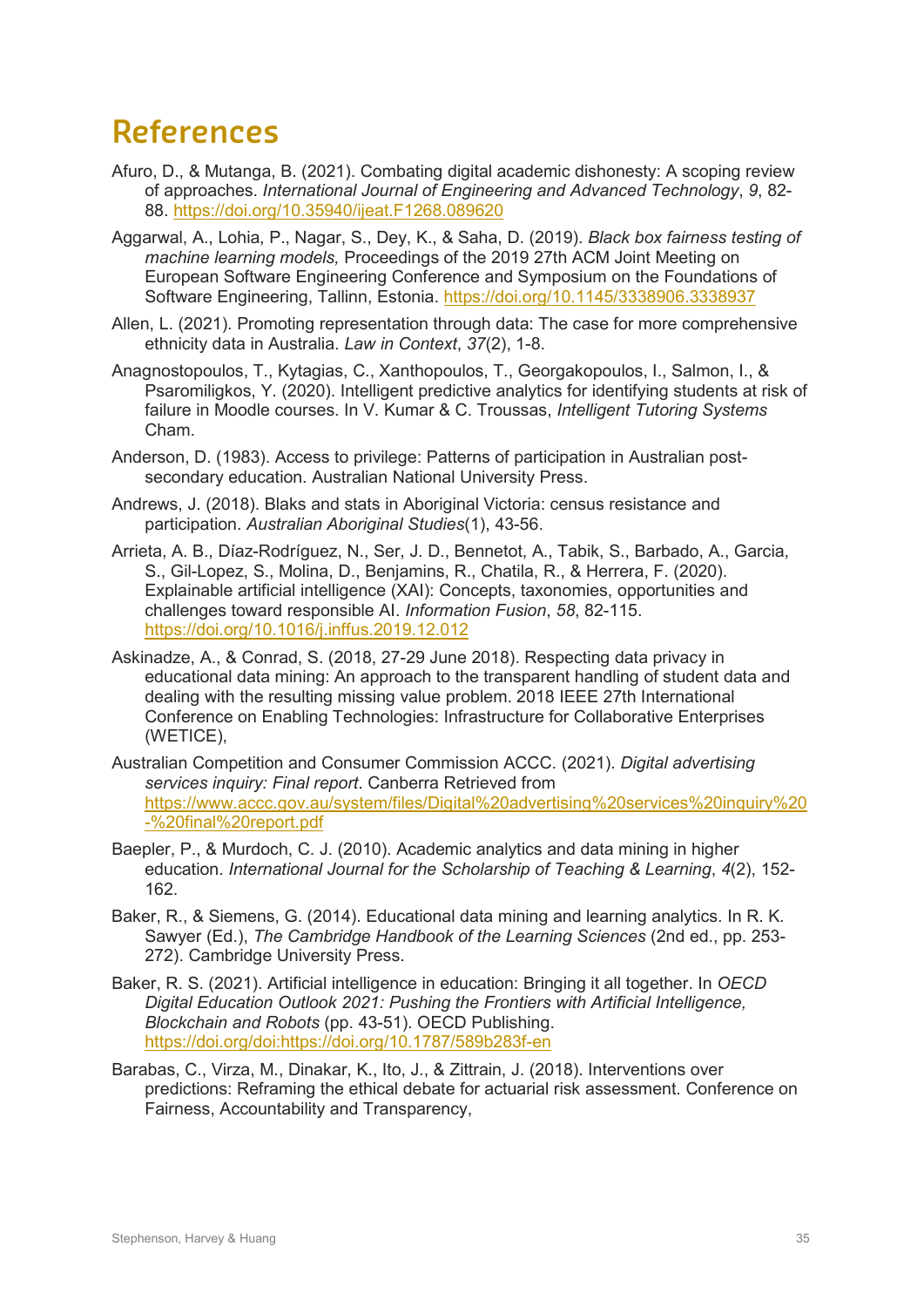# **References**

- Afuro, D., & Mutanga, B. (2021). Combating digital academic dishonesty: A scoping review of approaches. *International Journal of Engineering and Advanced Technology*, *9*, 82- 88.<https://doi.org/10.35940/ijeat.F1268.089620>
- Aggarwal, A., Lohia, P., Nagar, S., Dey, K., & Saha, D. (2019). *Black box fairness testing of machine learning models,* Proceedings of the 2019 27th ACM Joint Meeting on European Software Engineering Conference and Symposium on the Foundations of Software Engineering, Tallinn, Estonia.<https://doi.org/10.1145/3338906.3338937>
- Allen, L. (2021). Promoting representation through data: The case for more comprehensive ethnicity data in Australia. *Law in Context*, *37*(2), 1-8.
- Anagnostopoulos, T., Kytagias, C., Xanthopoulos, T., Georgakopoulos, I., Salmon, I., & Psaromiligkos, Y. (2020). Intelligent predictive analytics for identifying students at risk of failure in Moodle courses. In V. Kumar & C. Troussas, *Intelligent Tutoring Systems* Cham.
- Anderson, D. (1983). Access to privilege: Patterns of participation in Australian postsecondary education. Australian National University Press.
- Andrews, J. (2018). Blaks and stats in Aboriginal Victoria: census resistance and participation. *Australian Aboriginal Studies*(1), 43-56.
- Arrieta, A. B., Díaz-Rodríguez, N., Ser, J. D., Bennetot, A., Tabik, S., Barbado, A., Garcia, S., Gil-Lopez, S., Molina, D., Benjamins, R., Chatila, R., & Herrera, F. (2020). Explainable artificial intelligence (XAI): Concepts, taxonomies, opportunities and challenges toward responsible AI. *Information Fusion*, *58*, 82-115. <https://doi.org/10.1016/j.inffus.2019.12.012>
- Askinadze, A., & Conrad, S. (2018, 27-29 June 2018). Respecting data privacy in educational data mining: An approach to the transparent handling of student data and dealing with the resulting missing value problem. 2018 IEEE 27th International Conference on Enabling Technologies: Infrastructure for Collaborative Enterprises (WETICE),
- Australian Competition and Consumer Commission ACCC. (2021). *Digital advertising services inquiry: Final report*. Canberra Retrieved from [https://www.accc.gov.au/system/files/Digital%20advertising%20services%20inquiry%20](https://www.accc.gov.au/system/files/Digital%20advertising%20services%20inquiry%20-%20final%20report.pdf) [-%20final%20report.pdf](https://www.accc.gov.au/system/files/Digital%20advertising%20services%20inquiry%20-%20final%20report.pdf)
- Baepler, P., & Murdoch, C. J. (2010). Academic analytics and data mining in higher education. *International Journal for the Scholarship of Teaching & Learning*, *4*(2), 152- 162.
- Baker, R., & Siemens, G. (2014). Educational data mining and learning analytics. In R. K. Sawyer (Ed.), *The Cambridge Handbook of the Learning Sciences* (2nd ed., pp. 253- 272). Cambridge University Press.
- Baker, R. S. (2021). Artificial intelligence in education: Bringing it all together. In *OECD Digital Education Outlook 2021: Pushing the Frontiers with Artificial Intelligence, Blockchain and Robots* (pp. 43-51). OECD Publishing. [https://doi.org/doi:https://doi.org/10.1787/589b283f-en](https://doi.org/doi:https:/doi.org/10.1787/589b283f-en)
- Barabas, C., Virza, M., Dinakar, K., Ito, J., & Zittrain, J. (2018). Interventions over predictions: Reframing the ethical debate for actuarial risk assessment. Conference on Fairness, Accountability and Transparency,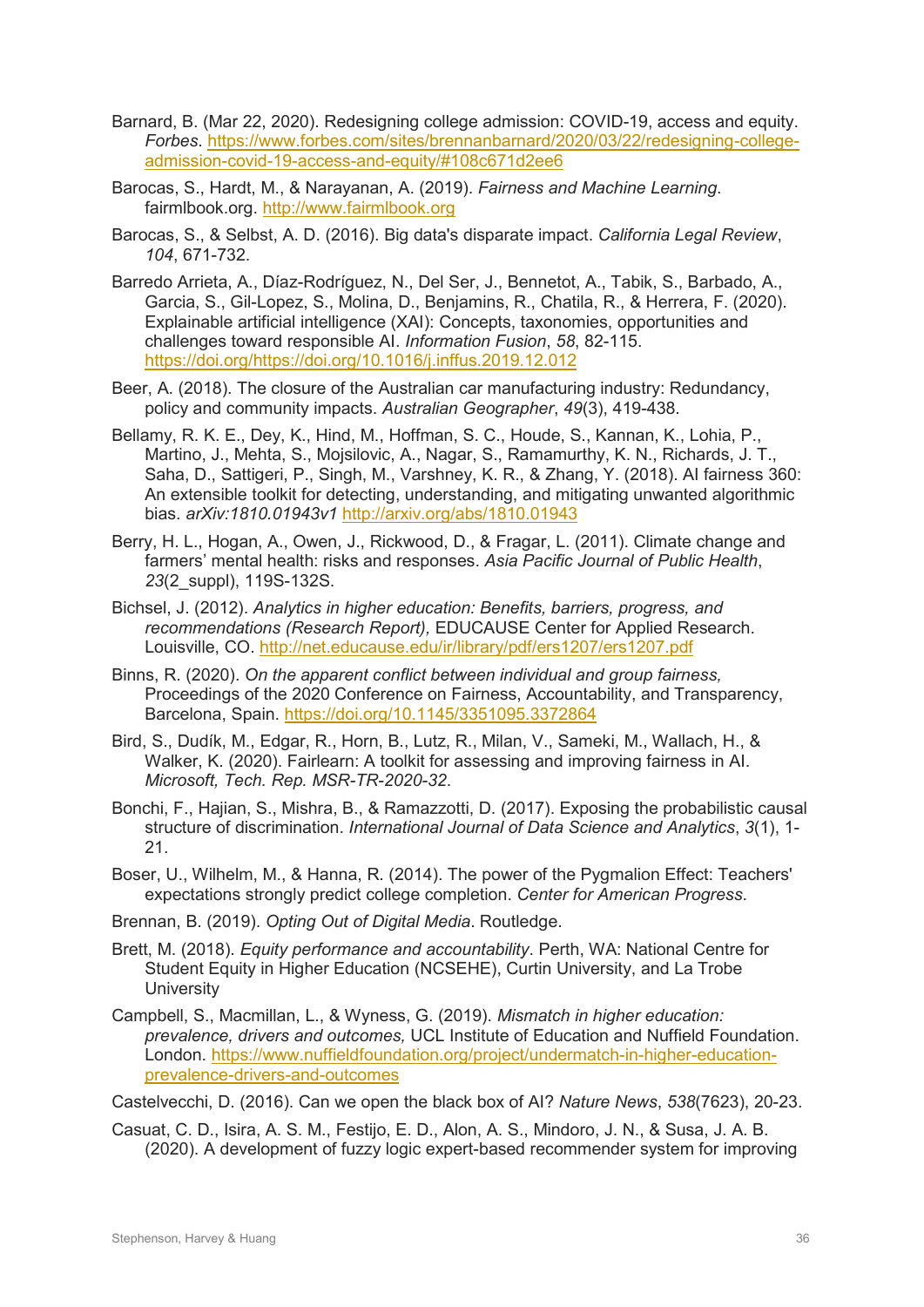- Barnard, B. (Mar 22, 2020). Redesigning college admission: COVID-19, access and equity. *Forbes*. [https://www.forbes.com/sites/brennanbarnard/2020/03/22/redesigning-college](https://www.forbes.com/sites/brennanbarnard/2020/03/22/redesigning-college-admission-covid-19-access-and-equity/#108c671d2ee6)[admission-covid-19-access-and-equity/#108c671d2ee6](https://www.forbes.com/sites/brennanbarnard/2020/03/22/redesigning-college-admission-covid-19-access-and-equity/#108c671d2ee6)
- Barocas, S., Hardt, M., & Narayanan, A. (2019). *Fairness and Machine Learning*. fairmlbook.org. [http://www.fairmlbook.org](http://www.fairmlbook.org/)
- Barocas, S., & Selbst, A. D. (2016). Big data's disparate impact. *California Legal Review*, *104*, 671-732.
- Barredo Arrieta, A., Díaz-Rodríguez, N., Del Ser, J., Bennetot, A., Tabik, S., Barbado, A., Garcia, S., Gil-Lopez, S., Molina, D., Benjamins, R., Chatila, R., & Herrera, F. (2020). Explainable artificial intelligence (XAI): Concepts, taxonomies, opportunities and challenges toward responsible AI. *Information Fusion*, *58*, 82-115. [https://doi.org/https://doi.org/10.1016/j.inffus.2019.12.012](https://doi.org/https:/doi.org/10.1016/j.inffus.2019.12.012)
- Beer, A. (2018). The closure of the Australian car manufacturing industry: Redundancy, policy and community impacts. *Australian Geographer*, *49*(3), 419-438.
- Bellamy, R. K. E., Dey, K., Hind, M., Hoffman, S. C., Houde, S., Kannan, K., Lohia, P., Martino, J., Mehta, S., Mojsilovic, A., Nagar, S., Ramamurthy, K. N., Richards, J. T., Saha, D., Sattigeri, P., Singh, M., Varshney, K. R., & Zhang, Y. (2018). AI fairness 360: An extensible toolkit for detecting, understanding, and mitigating unwanted algorithmic bias. *arXiv:1810.01943v1* <http://arxiv.org/abs/1810.01943>
- Berry, H. L., Hogan, A., Owen, J., Rickwood, D., & Fragar, L. (2011). Climate change and farmers' mental health: risks and responses. *Asia Pacific Journal of Public Health*, *23*(2\_suppl), 119S-132S.
- Bichsel, J. (2012). *Analytics in higher education: Benefits, barriers, progress, and recommendations (Research Report),* EDUCAUSE Center for Applied Research. Louisville, CO.<http://net.educause.edu/ir/library/pdf/ers1207/ers1207.pdf>
- Binns, R. (2020). *On the apparent conflict between individual and group fairness,* Proceedings of the 2020 Conference on Fairness, Accountability, and Transparency, Barcelona, Spain.<https://doi.org/10.1145/3351095.3372864>
- Bird, S., Dudík, M., Edgar, R., Horn, B., Lutz, R., Milan, V., Sameki, M., Wallach, H., & Walker, K. (2020). Fairlearn: A toolkit for assessing and improving fairness in AI. *Microsoft, Tech. Rep. MSR-TR-2020-32*.
- Bonchi, F., Hajian, S., Mishra, B., & Ramazzotti, D. (2017). Exposing the probabilistic causal structure of discrimination. *International Journal of Data Science and Analytics*, *3*(1), 1- 21.
- Boser, U., Wilhelm, M., & Hanna, R. (2014). The power of the Pygmalion Effect: Teachers' expectations strongly predict college completion. *Center for American Progress*.
- Brennan, B. (2019). *Opting Out of Digital Media*. Routledge.
- Brett, M. (2018). *Equity performance and accountability*. Perth, WA: National Centre for Student Equity in Higher Education (NCSEHE), Curtin University, and La Trobe **University**
- Campbell, S., Macmillan, L., & Wyness, G. (2019). *Mismatch in higher education: prevalence, drivers and outcomes,* UCL Institute of Education and Nuffield Foundation. London. [https://www.nuffieldfoundation.org/project/undermatch-in-higher-education](https://www.nuffieldfoundation.org/project/undermatch-in-higher-education-prevalence-drivers-and-outcomes)[prevalence-drivers-and-outcomes](https://www.nuffieldfoundation.org/project/undermatch-in-higher-education-prevalence-drivers-and-outcomes)

Castelvecchi, D. (2016). Can we open the black box of AI? *Nature News*, *538*(7623), 20-23.

Casuat, C. D., Isira, A. S. M., Festijo, E. D., Alon, A. S., Mindoro, J. N., & Susa, J. A. B. (2020). A development of fuzzy logic expert-based recommender system for improving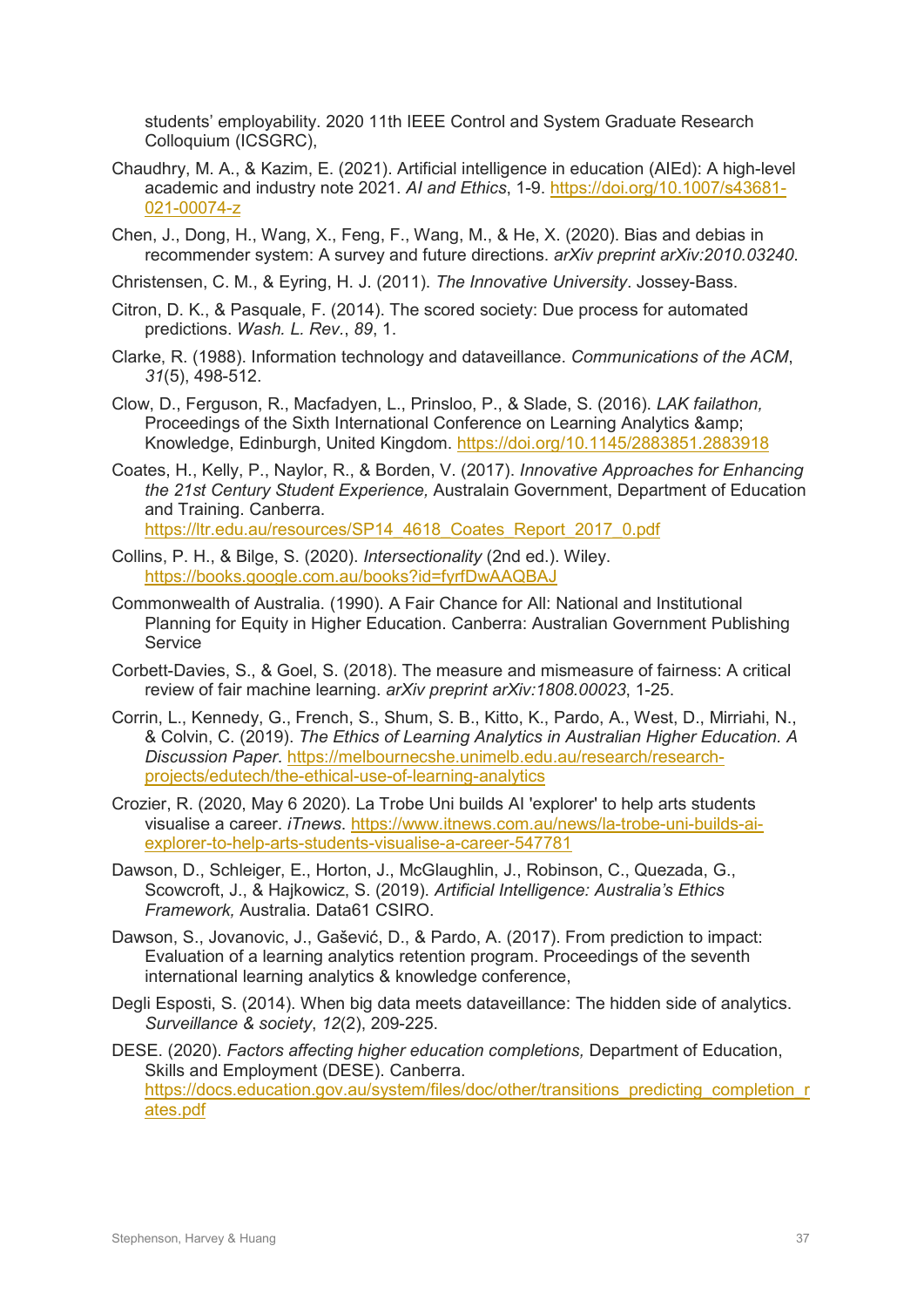students' employability. 2020 11th IEEE Control and System Graduate Research Colloquium (ICSGRC),

- Chaudhry, M. A., & Kazim, E. (2021). Artificial intelligence in education (AIEd): A high-level academic and industry note 2021. *AI and Ethics*, 1-9. [https://doi.org/10.1007/s43681-](https://doi.org/10.1007/s43681-021-00074-z) [021-00074-z](https://doi.org/10.1007/s43681-021-00074-z)
- Chen, J., Dong, H., Wang, X., Feng, F., Wang, M., & He, X. (2020). Bias and debias in recommender system: A survey and future directions. *arXiv preprint arXiv:2010.03240*.
- Christensen, C. M., & Eyring, H. J. (2011). *The Innovative University*. Jossey-Bass.
- Citron, D. K., & Pasquale, F. (2014). The scored society: Due process for automated predictions. *Wash. L. Rev.*, *89*, 1.
- Clarke, R. (1988). Information technology and dataveillance. *Communications of the ACM*, *31*(5), 498-512.
- Clow, D., Ferguson, R., Macfadyen, L., Prinsloo, P., & Slade, S. (2016). *LAK failathon,* Proceedings of the Sixth International Conference on Learning Analytics & Knowledge, Edinburgh, United Kingdom.<https://doi.org/10.1145/2883851.2883918>
- Coates, H., Kelly, P., Naylor, R., & Borden, V. (2017). *Innovative Approaches for Enhancing the 21st Century Student Experience,* Australain Government, Department of Education and Training. Canberra. [https://ltr.edu.au/resources/SP14\\_4618\\_Coates\\_Report\\_2017\\_0.pdf](https://ltr.edu.au/resources/SP14_4618_Coates_Report_2017_0.pdf)
- Collins, P. H., & Bilge, S. (2020). *Intersectionality* (2nd ed.). Wiley. <https://books.google.com.au/books?id=fyrfDwAAQBAJ>
- Commonwealth of Australia. (1990). A Fair Chance for All: National and Institutional Planning for Equity in Higher Education. Canberra: Australian Government Publishing **Service**
- Corbett-Davies, S., & Goel, S. (2018). The measure and mismeasure of fairness: A critical review of fair machine learning. *arXiv preprint arXiv:1808.00023*, 1-25.
- Corrin, L., Kennedy, G., French, S., Shum, S. B., Kitto, K., Pardo, A., West, D., Mirriahi, N., & Colvin, C. (2019). *The Ethics of Learning Analytics in Australian Higher Education. A Discussion Paper*. [https://melbournecshe.unimelb.edu.au/research/research](https://melbournecshe.unimelb.edu.au/research/research-projects/edutech/the-ethical-use-of-learning-analytics)[projects/edutech/the-ethical-use-of-learning-analytics](https://melbournecshe.unimelb.edu.au/research/research-projects/edutech/the-ethical-use-of-learning-analytics)
- Crozier, R. (2020, May 6 2020). La Trobe Uni builds AI 'explorer' to help arts students visualise a career. *iTnews*. [https://www.itnews.com.au/news/la-trobe-uni-builds-ai](https://www.itnews.com.au/news/la-trobe-uni-builds-ai-explorer-to-help-arts-students-visualise-a-career-547781)[explorer-to-help-arts-students-visualise-a-career-547781](https://www.itnews.com.au/news/la-trobe-uni-builds-ai-explorer-to-help-arts-students-visualise-a-career-547781)
- Dawson, D., Schleiger, E., Horton, J., McGlaughlin, J., Robinson, C., Quezada, G., Scowcroft, J., & Hajkowicz, S. (2019). *Artificial Intelligence: Australia's Ethics Framework,* Australia. Data61 CSIRO.
- Dawson, S., Jovanovic, J., Gašević, D., & Pardo, A. (2017). From prediction to impact: Evaluation of a learning analytics retention program. Proceedings of the seventh international learning analytics & knowledge conference,
- Degli Esposti, S. (2014). When big data meets dataveillance: The hidden side of analytics. *Surveillance & society*, *12*(2), 209-225.
- DESE. (2020). *Factors affecting higher education completions,* Department of Education, Skills and Employment (DESE). Canberra. [https://docs.education.gov.au/system/files/doc/other/transitions\\_predicting\\_completion\\_r](https://docs.education.gov.au/system/files/doc/other/transitions_predicting_completion_rates.pdf) [ates.pdf](https://docs.education.gov.au/system/files/doc/other/transitions_predicting_completion_rates.pdf)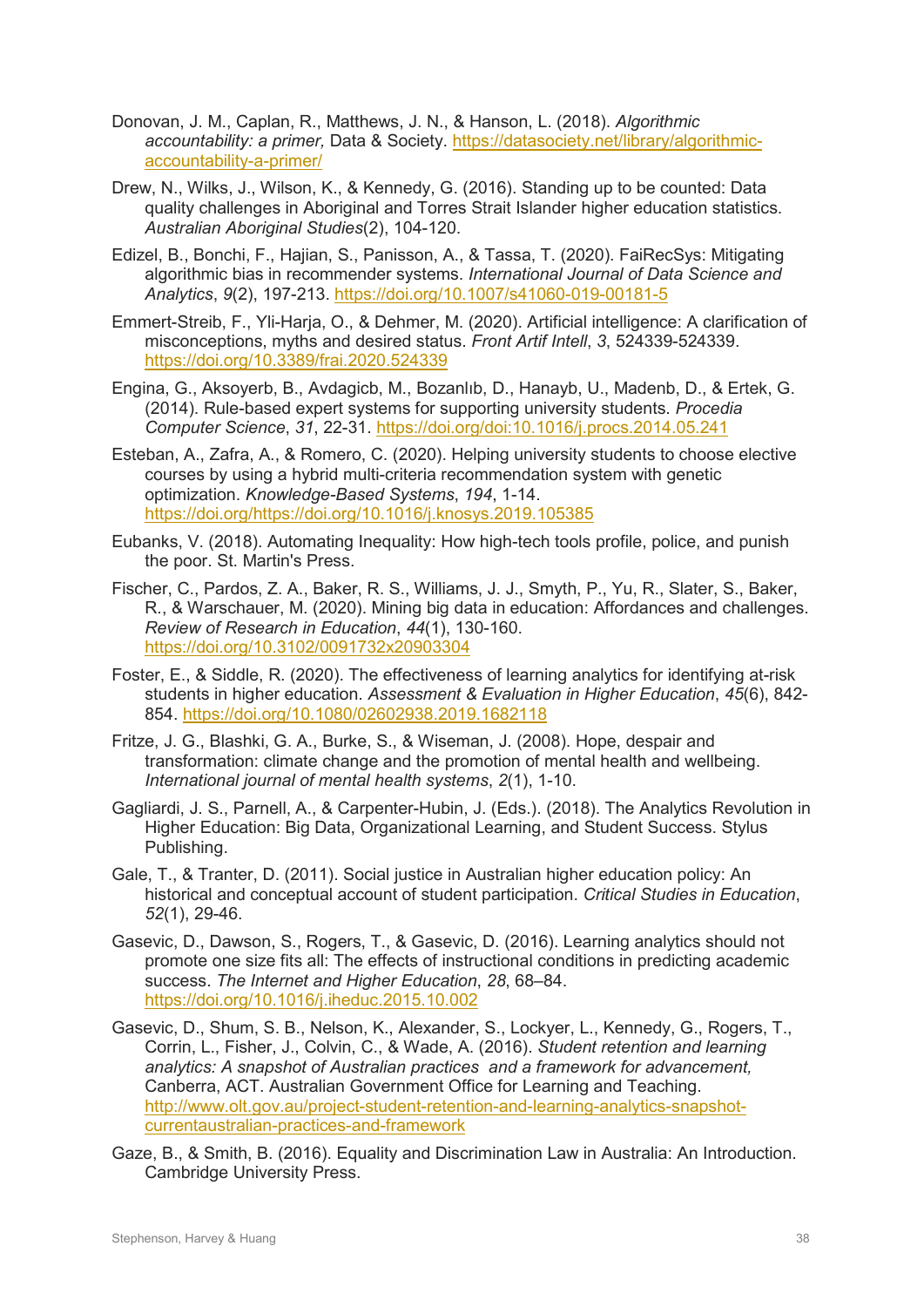- Donovan, J. M., Caplan, R., Matthews, J. N., & Hanson, L. (2018). *Algorithmic accountability: a primer,* Data & Society. [https://datasociety.net/library/algorithmic](https://datasociety.net/library/algorithmic-accountability-a-primer/)[accountability-a-primer/](https://datasociety.net/library/algorithmic-accountability-a-primer/)
- Drew, N., Wilks, J., Wilson, K., & Kennedy, G. (2016). Standing up to be counted: Data quality challenges in Aboriginal and Torres Strait Islander higher education statistics. *Australian Aboriginal Studies*(2), 104-120.
- Edizel, B., Bonchi, F., Hajian, S., Panisson, A., & Tassa, T. (2020). FaiRecSys: Mitigating algorithmic bias in recommender systems. *International Journal of Data Science and Analytics*, *9*(2), 197-213.<https://doi.org/10.1007/s41060-019-00181-5>
- Emmert-Streib, F., Yli-Harja, O., & Dehmer, M. (2020). Artificial intelligence: A clarification of misconceptions, myths and desired status. *Front Artif Intell*, *3*, 524339-524339. <https://doi.org/10.3389/frai.2020.524339>
- Engina, G., Aksoyerb, B., Avdagicb, M., Bozanlıb, D., Hanayb, U., Madenb, D., & Ertek, G. (2014). Rule-based expert systems for supporting university students. *Procedia Computer Science*, *31*, 22-31.<https://doi.org/doi:10.1016/j.procs.2014.05.241>
- Esteban, A., Zafra, A., & Romero, C. (2020). Helping university students to choose elective courses by using a hybrid multi-criteria recommendation system with genetic optimization. *Knowledge-Based Systems*, *194*, 1-14. [https://doi.org/https://doi.org/10.1016/j.knosys.2019.105385](https://doi.org/https:/doi.org/10.1016/j.knosys.2019.105385)
- Eubanks, V. (2018). Automating Inequality: How high-tech tools profile, police, and punish the poor. St. Martin's Press.
- Fischer, C., Pardos, Z. A., Baker, R. S., Williams, J. J., Smyth, P., Yu, R., Slater, S., Baker, R., & Warschauer, M. (2020). Mining big data in education: Affordances and challenges. *Review of Research in Education*, *44*(1), 130-160. <https://doi.org/10.3102/0091732x20903304>
- Foster, E., & Siddle, R. (2020). The effectiveness of learning analytics for identifying at-risk students in higher education. *Assessment & Evaluation in Higher Education*, *45*(6), 842- 854.<https://doi.org/10.1080/02602938.2019.1682118>
- Fritze, J. G., Blashki, G. A., Burke, S., & Wiseman, J. (2008). Hope, despair and transformation: climate change and the promotion of mental health and wellbeing. *International journal of mental health systems*, *2*(1), 1-10.
- Gagliardi, J. S., Parnell, A., & Carpenter-Hubin, J. (Eds.). (2018). The Analytics Revolution in Higher Education: Big Data, Organizational Learning, and Student Success. Stylus Publishing.
- Gale, T., & Tranter, D. (2011). Social justice in Australian higher education policy: An historical and conceptual account of student participation. *Critical Studies in Education*, *52*(1), 29-46.
- Gasevic, D., Dawson, S., Rogers, T., & Gasevic, D. (2016). Learning analytics should not promote one size fits all: The effects of instructional conditions in predicting academic success. *The Internet and Higher Education*, *28*, 68–84. <https://doi.org/10.1016/j.iheduc.2015.10.002>
- Gasevic, D., Shum, S. B., Nelson, K., Alexander, S., Lockyer, L., Kennedy, G., Rogers, T., Corrin, L., Fisher, J., Colvin, C., & Wade, A. (2016). *Student retention and learning analytics: A snapshot of Australian practices and a framework for advancement,* Canberra, ACT. Australian Government Office for Learning and Teaching. [http://www.olt.gov.au/project-student-retention-and-learning-analytics-snapshot](http://www.olt.gov.au/project-student-retention-and-learning-analytics-snapshot-currentaustralian-practices-and-framework)[currentaustralian-practices-and-framework](http://www.olt.gov.au/project-student-retention-and-learning-analytics-snapshot-currentaustralian-practices-and-framework)
- Gaze, B., & Smith, B. (2016). Equality and Discrimination Law in Australia: An Introduction. Cambridge University Press.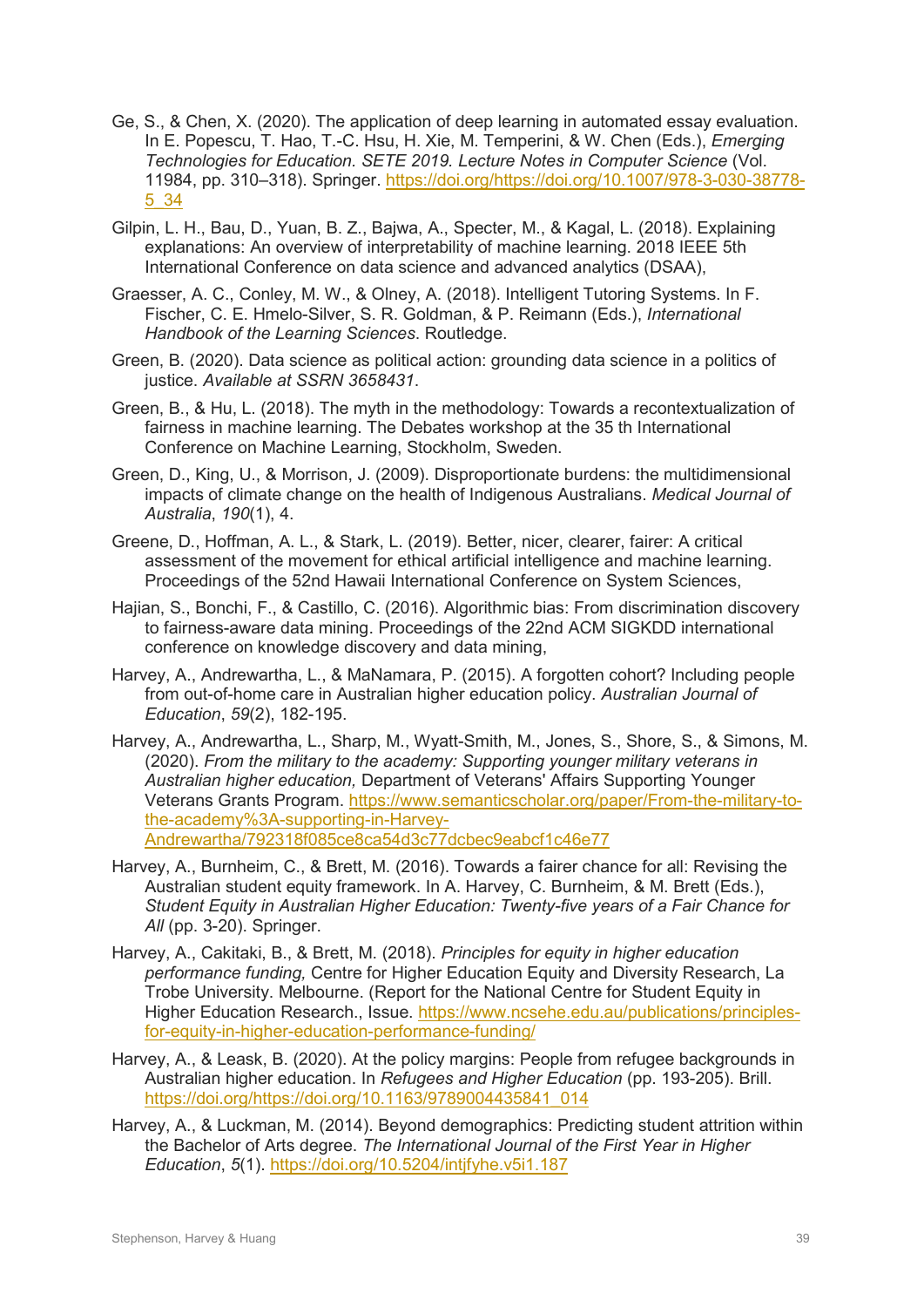- Ge, S., & Chen, X. (2020). The application of deep learning in automated essay evaluation. In E. Popescu, T. Hao, T.-C. Hsu, H. Xie, M. Temperini, & W. Chen (Eds.), *Emerging Technologies for Education. SETE 2019. Lecture Notes in Computer Science* (Vol. 11984, pp. 310–318). Springer. [https://doi.org/https://doi.org/10.1007/978-3-030-38778-](https://doi.org/https:/doi.org/10.1007/978-3-030-38778-5_34) [5\\_34](https://doi.org/https:/doi.org/10.1007/978-3-030-38778-5_34)
- Gilpin, L. H., Bau, D., Yuan, B. Z., Bajwa, A., Specter, M., & Kagal, L. (2018). Explaining explanations: An overview of interpretability of machine learning. 2018 IEEE 5th International Conference on data science and advanced analytics (DSAA),
- Graesser, A. C., Conley, M. W., & Olney, A. (2018). Intelligent Tutoring Systems. In F. Fischer, C. E. Hmelo-Silver, S. R. Goldman, & P. Reimann (Eds.), *International Handbook of the Learning Sciences*. Routledge.
- Green, B. (2020). Data science as political action: grounding data science in a politics of justice. *Available at SSRN 3658431*.
- Green, B., & Hu, L. (2018). The myth in the methodology: Towards a recontextualization of fairness in machine learning. The Debates workshop at the 35 th International Conference on Machine Learning, Stockholm, Sweden.
- Green, D., King, U., & Morrison, J. (2009). Disproportionate burdens: the multidimensional impacts of climate change on the health of Indigenous Australians. *Medical Journal of Australia*, *190*(1), 4.
- Greene, D., Hoffman, A. L., & Stark, L. (2019). Better, nicer, clearer, fairer: A critical assessment of the movement for ethical artificial intelligence and machine learning. Proceedings of the 52nd Hawaii International Conference on System Sciences,
- Hajian, S., Bonchi, F., & Castillo, C. (2016). Algorithmic bias: From discrimination discovery to fairness-aware data mining. Proceedings of the 22nd ACM SIGKDD international conference on knowledge discovery and data mining,
- Harvey, A., Andrewartha, L., & MaNamara, P. (2015). A forgotten cohort? Including people from out-of-home care in Australian higher education policy. *Australian Journal of Education*, *59*(2), 182-195.
- Harvey, A., Andrewartha, L., Sharp, M., Wyatt-Smith, M., Jones, S., Shore, S., & Simons, M. (2020). *From the military to the academy: Supporting younger military veterans in Australian higher education,* Department of Veterans' Affairs Supporting Younger Veterans Grants Program. [https://www.semanticscholar.org/paper/From-the-military-to](https://www.semanticscholar.org/paper/From-the-military-to-the-academy%3A-supporting-in-Harvey-Andrewartha/792318f085ce8ca54d3c77dcbec9eabcf1c46e77)[the-academy%3A-supporting-in-Harvey-](https://www.semanticscholar.org/paper/From-the-military-to-the-academy%3A-supporting-in-Harvey-Andrewartha/792318f085ce8ca54d3c77dcbec9eabcf1c46e77)[Andrewartha/792318f085ce8ca54d3c77dcbec9eabcf1c46e77](https://www.semanticscholar.org/paper/From-the-military-to-the-academy%3A-supporting-in-Harvey-Andrewartha/792318f085ce8ca54d3c77dcbec9eabcf1c46e77)
- Harvey, A., Burnheim, C., & Brett, M. (2016). Towards a fairer chance for all: Revising the Australian student equity framework. In A. Harvey, C. Burnheim, & M. Brett (Eds.), *Student Equity in Australian Higher Education: Twenty-five years of a Fair Chance for All* (pp. 3-20). Springer.
- Harvey, A., Cakitaki, B., & Brett, M. (2018). *Principles for equity in higher education performance funding,* Centre for Higher Education Equity and Diversity Research, La Trobe University. Melbourne. (Report for the National Centre for Student Equity in Higher Education Research., Issue. [https://www.ncsehe.edu.au/publications/principles](https://www.ncsehe.edu.au/publications/principles-for-equity-in-higher-education-performance-funding/)[for-equity-in-higher-education-performance-funding/](https://www.ncsehe.edu.au/publications/principles-for-equity-in-higher-education-performance-funding/)
- Harvey, A., & Leask, B. (2020). At the policy margins: People from refugee backgrounds in Australian higher education. In *Refugees and Higher Education* (pp. 193-205). Brill. [https://doi.org/https://doi.org/10.1163/9789004435841\\_014](https://doi.org/https:/doi.org/10.1163/9789004435841_014)
- Harvey, A., & Luckman, M. (2014). Beyond demographics: Predicting student attrition within the Bachelor of Arts degree. *The International Journal of the First Year in Higher Education*, *5*(1).<https://doi.org/10.5204/intjfyhe.v5i1.187>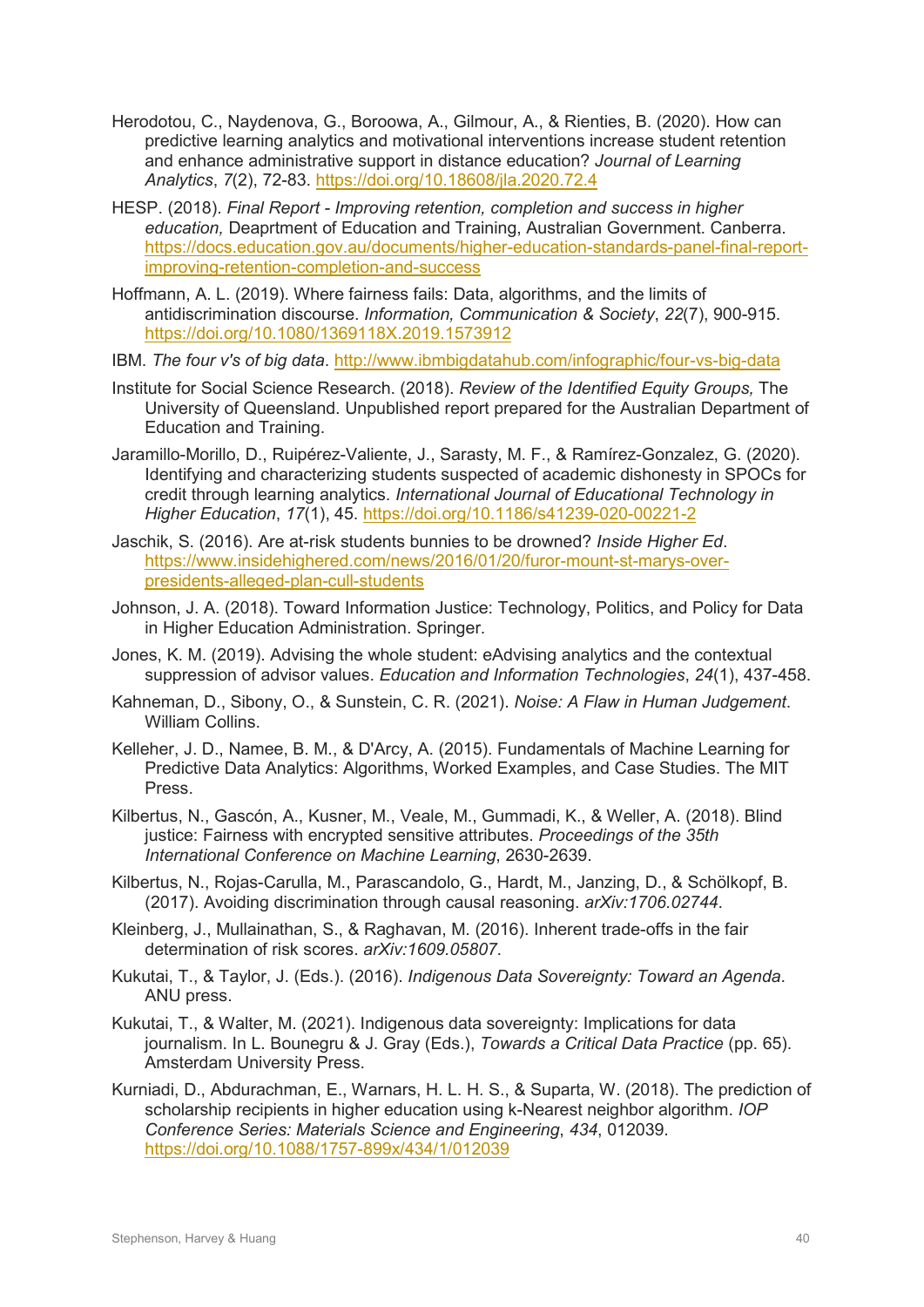- Herodotou, C., Naydenova, G., Boroowa, A., Gilmour, A., & Rienties, B. (2020). How can predictive learning analytics and motivational interventions increase student retention and enhance administrative support in distance education? *Journal of Learning Analytics*, *7*(2), 72-83.<https://doi.org/10.18608/jla.2020.72.4>
- HESP. (2018). *Final Report - Improving retention, completion and success in higher education,* Deaprtment of Education and Training, Australian Government. Canberra. [https://docs.education.gov.au/documents/higher-education-standards-panel-final-report](https://docs.education.gov.au/documents/higher-education-standards-panel-final-report-improving-retention-completion-and-success)[improving-retention-completion-and-success](https://docs.education.gov.au/documents/higher-education-standards-panel-final-report-improving-retention-completion-and-success)
- Hoffmann, A. L. (2019). Where fairness fails: Data, algorithms, and the limits of antidiscrimination discourse. *Information, Communication & Society*, *22*(7), 900-915. <https://doi.org/10.1080/1369118X.2019.1573912>
- IBM. *The four v's of big data*.<http://www.ibmbigdatahub.com/infographic/four-vs-big-data>
- Institute for Social Science Research. (2018). *Review of the Identified Equity Groups,* The University of Queensland. Unpublished report prepared for the Australian Department of Education and Training.
- Jaramillo-Morillo, D., Ruipérez-Valiente, J., Sarasty, M. F., & Ramírez-Gonzalez, G. (2020). Identifying and characterizing students suspected of academic dishonesty in SPOCs for credit through learning analytics. *International Journal of Educational Technology in Higher Education*, *17*(1), 45.<https://doi.org/10.1186/s41239-020-00221-2>
- Jaschik, S. (2016). Are at-risk students bunnies to be drowned? *Inside Higher Ed*. [https://www.insidehighered.com/news/2016/01/20/furor-mount-st-marys-over](https://www.insidehighered.com/news/2016/01/20/furor-mount-st-marys-over-presidents-alleged-plan-cull-students)[presidents-alleged-plan-cull-students](https://www.insidehighered.com/news/2016/01/20/furor-mount-st-marys-over-presidents-alleged-plan-cull-students)
- Johnson, J. A. (2018). Toward Information Justice: Technology, Politics, and Policy for Data in Higher Education Administration. Springer.
- Jones, K. M. (2019). Advising the whole student: eAdvising analytics and the contextual suppression of advisor values. *Education and Information Technologies*, *24*(1), 437-458.
- Kahneman, D., Sibony, O., & Sunstein, C. R. (2021). *Noise: A Flaw in Human Judgement*. William Collins.
- Kelleher, J. D., Namee, B. M., & D'Arcy, A. (2015). Fundamentals of Machine Learning for Predictive Data Analytics: Algorithms, Worked Examples, and Case Studies. The MIT Press.
- Kilbertus, N., Gascón, A., Kusner, M., Veale, M., Gummadi, K., & Weller, A. (2018). Blind justice: Fairness with encrypted sensitive attributes. *Proceedings of the 35th International Conference on Machine Learning*, 2630-2639.
- Kilbertus, N., Rojas-Carulla, M., Parascandolo, G., Hardt, M., Janzing, D., & Schölkopf, B. (2017). Avoiding discrimination through causal reasoning. *arXiv:1706.02744*.
- Kleinberg, J., Mullainathan, S., & Raghavan, M. (2016). Inherent trade-offs in the fair determination of risk scores. *arXiv:1609.05807*.
- Kukutai, T., & Taylor, J. (Eds.). (2016). *Indigenous Data Sovereignty: Toward an Agenda*. ANU press.
- Kukutai, T., & Walter, M. (2021). Indigenous data sovereignty: Implications for data journalism. In L. Bounegru & J. Gray (Eds.), *Towards a Critical Data Practice* (pp. 65). Amsterdam University Press.
- Kurniadi, D., Abdurachman, E., Warnars, H. L. H. S., & Suparta, W. (2018). The prediction of scholarship recipients in higher education using k-Nearest neighbor algorithm. *IOP Conference Series: Materials Science and Engineering*, *434*, 012039. <https://doi.org/10.1088/1757-899x/434/1/012039>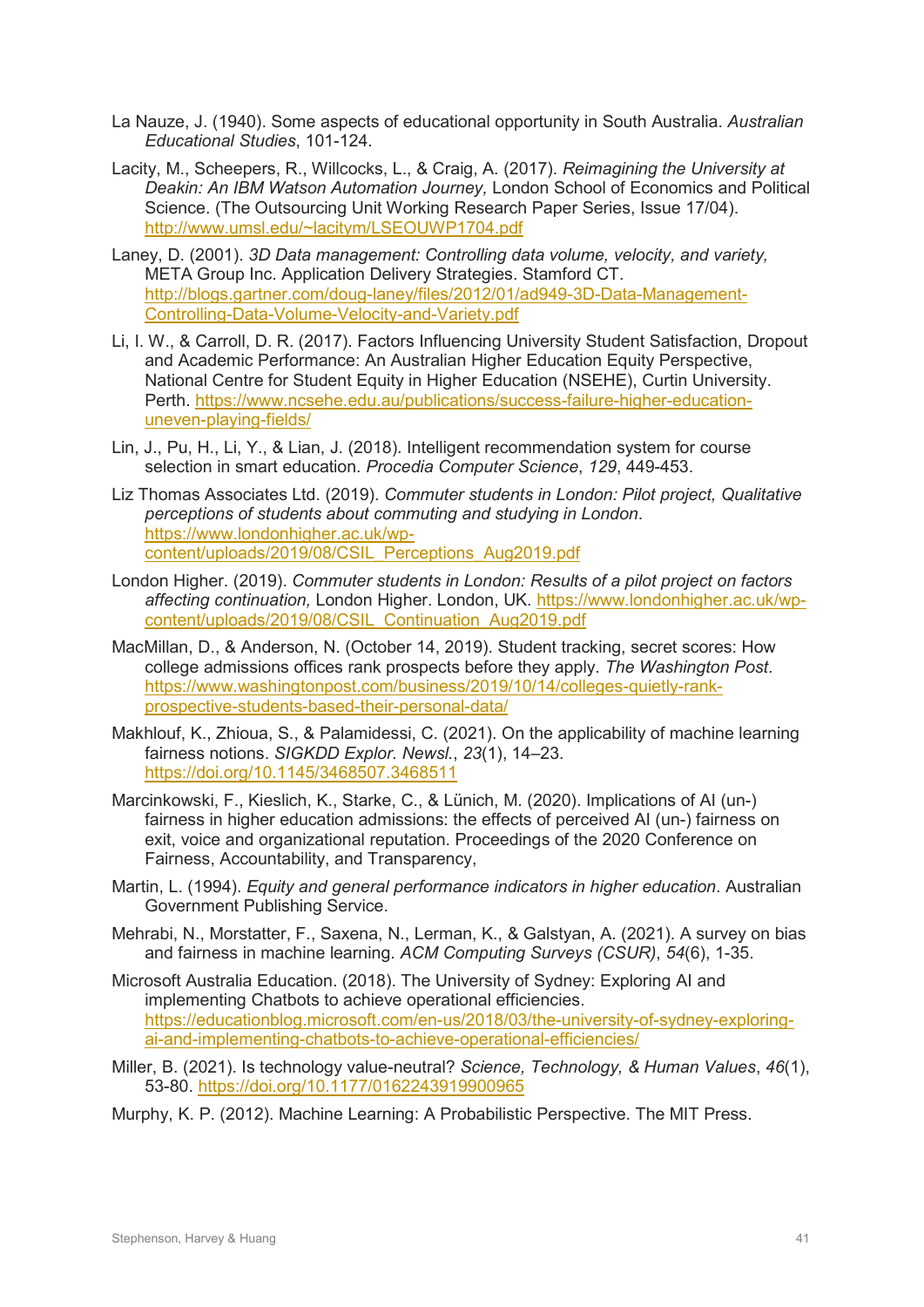- La Nauze, J. (1940). Some aspects of educational opportunity in South Australia. *Australian Educational Studies*, 101-124.
- Lacity, M., Scheepers, R., Willcocks, L., & Craig, A. (2017). *Reimagining the University at Deakin: An IBM Watson Automation Journey,* London School of Economics and Political Science. (The Outsourcing Unit Working Research Paper Series, Issue 17/04). [http://www.umsl.edu/~lacitym/LSEOUWP1704.pdf](http://www.umsl.edu/%7Elacitym/LSEOUWP1704.pdf)
- Laney, D. (2001). *3D Data management: Controlling data volume, velocity, and variety,* META Group Inc. Application Delivery Strategies. Stamford CT. [http://blogs.gartner.com/doug-laney/files/2012/01/ad949-3D-Data-Management-](http://blogs.gartner.com/doug-laney/files/2012/01/ad949-3D-Data-Management-Controlling-Data-Volume-Velocity-and-Variety.pdf)[Controlling-Data-Volume-Velocity-and-Variety.pdf](http://blogs.gartner.com/doug-laney/files/2012/01/ad949-3D-Data-Management-Controlling-Data-Volume-Velocity-and-Variety.pdf)
- Li, I. W., & Carroll, D. R. (2017). Factors Influencing University Student Satisfaction, Dropout and Academic Performance: An Australian Higher Education Equity Perspective, National Centre for Student Equity in Higher Education (NSEHE), Curtin University. Perth. [https://www.ncsehe.edu.au/publications/success-failure-higher-education](https://www.ncsehe.edu.au/publications/success-failure-higher-education-uneven-playing-fields/)[uneven-playing-fields/](https://www.ncsehe.edu.au/publications/success-failure-higher-education-uneven-playing-fields/)
- Lin, J., Pu, H., Li, Y., & Lian, J. (2018). Intelligent recommendation system for course selection in smart education. *Procedia Computer Science*, *129*, 449-453.
- Liz Thomas Associates Ltd. (2019). *Commuter students in London: Pilot project, Qualitative perceptions of students about commuting and studying in London*. [https://www.londonhigher.ac.uk/wp](https://www.londonhigher.ac.uk/wp-content/uploads/2019/08/CSIL_Perceptions_Aug2019.pdf)[content/uploads/2019/08/CSIL\\_Perceptions\\_Aug2019.pdf](https://www.londonhigher.ac.uk/wp-content/uploads/2019/08/CSIL_Perceptions_Aug2019.pdf)
- London Higher. (2019). *Commuter students in London: Results of a pilot project on factors affecting continuation,* London Higher. London, UK. [https://www.londonhigher.ac.uk/wp](https://www.londonhigher.ac.uk/wp-content/uploads/2019/08/CSIL_Continuation_Aug2019.pdf)[content/uploads/2019/08/CSIL\\_Continuation\\_Aug2019.pdf](https://www.londonhigher.ac.uk/wp-content/uploads/2019/08/CSIL_Continuation_Aug2019.pdf)
- MacMillan, D., & Anderson, N. (October 14, 2019). Student tracking, secret scores: How college admissions offices rank prospects before they apply. *The Washington Post*. [https://www.washingtonpost.com/business/2019/10/14/colleges-quietly-rank](https://www.washingtonpost.com/business/2019/10/14/colleges-quietly-rank-prospective-students-based-their-personal-data/)[prospective-students-based-their-personal-data/](https://www.washingtonpost.com/business/2019/10/14/colleges-quietly-rank-prospective-students-based-their-personal-data/)
- Makhlouf, K., Zhioua, S., & Palamidessi, C. (2021). On the applicability of machine learning fairness notions. *SIGKDD Explor. Newsl.*, *23*(1), 14–23. <https://doi.org/10.1145/3468507.3468511>
- Marcinkowski, F., Kieslich, K., Starke, C., & Lünich, M. (2020). Implications of AI (un-) fairness in higher education admissions: the effects of perceived AI (un-) fairness on exit, voice and organizational reputation. Proceedings of the 2020 Conference on Fairness, Accountability, and Transparency,
- Martin, L. (1994). *Equity and general performance indicators in higher education*. Australian Government Publishing Service.
- Mehrabi, N., Morstatter, F., Saxena, N., Lerman, K., & Galstyan, A. (2021). A survey on bias and fairness in machine learning. *ACM Computing Surveys (CSUR)*, *54*(6), 1-35.
- Microsoft Australia Education. (2018). The University of Sydney: Exploring AI and implementing Chatbots to achieve operational efficiencies. [https://educationblog.microsoft.com/en-us/2018/03/the-university-of-sydney-exploring](https://educationblog.microsoft.com/en-us/2018/03/the-university-of-sydney-exploring-ai-and-implementing-chatbots-to-achieve-operational-efficiencies/)[ai-and-implementing-chatbots-to-achieve-operational-efficiencies/](https://educationblog.microsoft.com/en-us/2018/03/the-university-of-sydney-exploring-ai-and-implementing-chatbots-to-achieve-operational-efficiencies/)
- Miller, B. (2021). Is technology value-neutral? *Science, Technology, & Human Values*, *46*(1), 53-80.<https://doi.org/10.1177/0162243919900965>
- Murphy, K. P. (2012). Machine Learning: A Probabilistic Perspective. The MIT Press.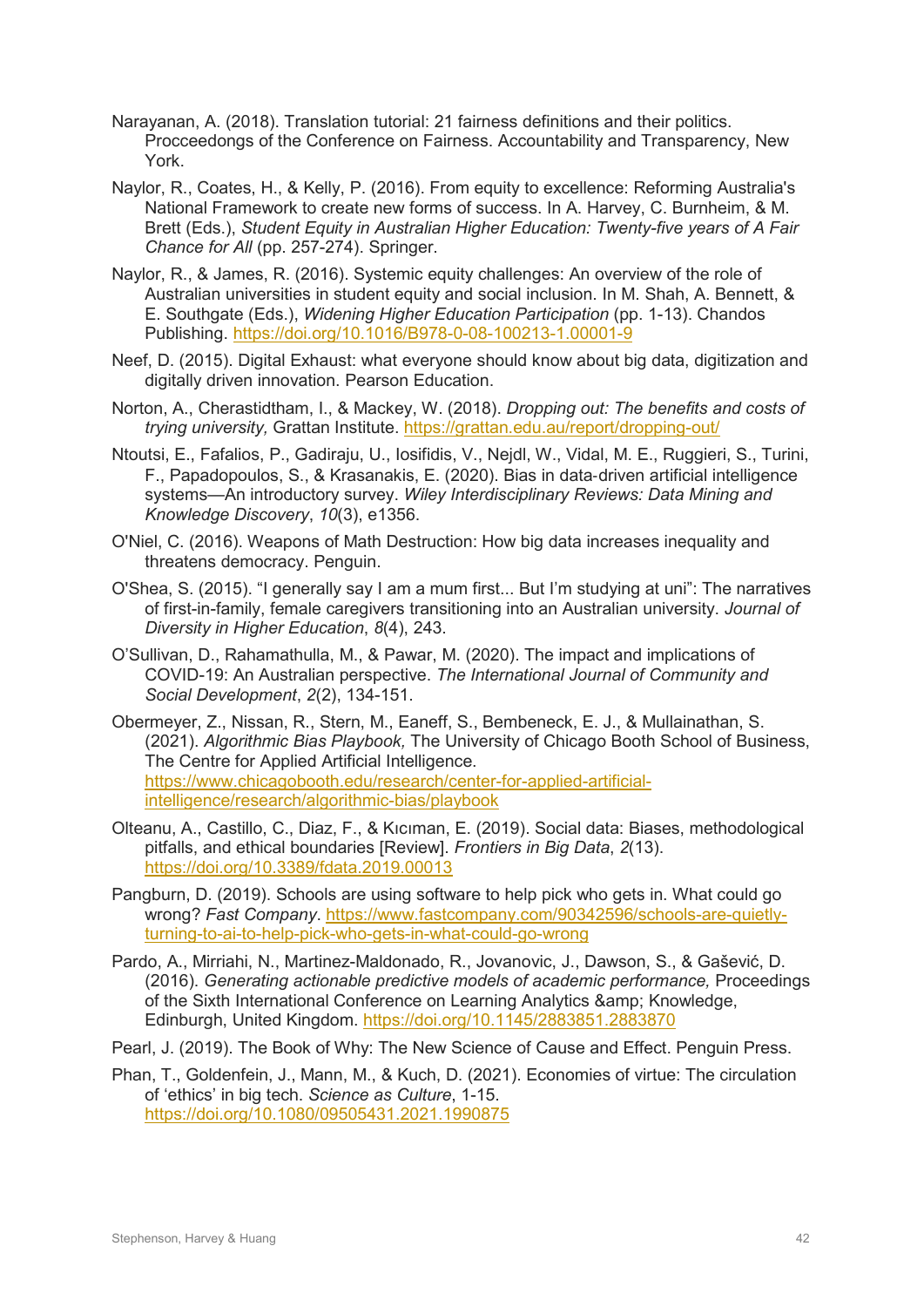- Narayanan, A. (2018). Translation tutorial: 21 fairness definitions and their politics. Procceedongs of the Conference on Fairness. Accountability and Transparency, New York.
- Naylor, R., Coates, H., & Kelly, P. (2016). From equity to excellence: Reforming Australia's National Framework to create new forms of success. In A. Harvey, C. Burnheim, & M. Brett (Eds.), *Student Equity in Australian Higher Education: Twenty-five years of A Fair Chance for All* (pp. 257-274). Springer.
- Naylor, R., & James, R. (2016). Systemic equity challenges: An overview of the role of Australian universities in student equity and social inclusion. In M. Shah, A. Bennett, & E. Southgate (Eds.), *Widening Higher Education Participation* (pp. 1-13). Chandos Publishing.<https://doi.org/10.1016/B978-0-08-100213-1.00001-9>
- Neef, D. (2015). Digital Exhaust: what everyone should know about big data, digitization and digitally driven innovation. Pearson Education.
- Norton, A., Cherastidtham, I., & Mackey, W. (2018). *Dropping out: The benefits and costs of trying university,* Grattan Institute.<https://grattan.edu.au/report/dropping-out/>
- Ntoutsi, E., Fafalios, P., Gadiraju, U., Iosifidis, V., Nejdl, W., Vidal, M. E., Ruggieri, S., Turini, F., Papadopoulos, S., & Krasanakis, E. (2020). Bias in data‐driven artificial intelligence systems—An introductory survey. *Wiley Interdisciplinary Reviews: Data Mining and Knowledge Discovery*, *10*(3), e1356.
- O'Niel, C. (2016). Weapons of Math Destruction: How big data increases inequality and threatens democracy. Penguin.
- O'Shea, S. (2015). "I generally say I am a mum first... But I'm studying at uni": The narratives of first-in-family, female caregivers transitioning into an Australian university. *Journal of Diversity in Higher Education*, *8*(4), 243.
- O'Sullivan, D., Rahamathulla, M., & Pawar, M. (2020). The impact and implications of COVID-19: An Australian perspective. *The International Journal of Community and Social Development*, *2*(2), 134-151.
- Obermeyer, Z., Nissan, R., Stern, M., Eaneff, S., Bembeneck, E. J., & Mullainathan, S. (2021). *Algorithmic Bias Playbook,* The University of Chicago Booth School of Business, The Centre for Applied Artificial Intelligence. [https://www.chicagobooth.edu/research/center-for-applied-artificial](https://www.chicagobooth.edu/research/center-for-applied-artificial-intelligence/research/algorithmic-bias/playbook)[intelligence/research/algorithmic-bias/playbook](https://www.chicagobooth.edu/research/center-for-applied-artificial-intelligence/research/algorithmic-bias/playbook)
- Olteanu, A., Castillo, C., Diaz, F., & Kıcıman, E. (2019). Social data: Biases, methodological pitfalls, and ethical boundaries [Review]. *Frontiers in Big Data*, *2*(13). <https://doi.org/10.3389/fdata.2019.00013>
- Pangburn, D. (2019). Schools are using software to help pick who gets in. What could go wrong? *Fast Company*. [https://www.fastcompany.com/90342596/schools-are-quietly](https://www.fastcompany.com/90342596/schools-are-quietly-turning-to-ai-to-help-pick-who-gets-in-what-could-go-wrong)[turning-to-ai-to-help-pick-who-gets-in-what-could-go-wrong](https://www.fastcompany.com/90342596/schools-are-quietly-turning-to-ai-to-help-pick-who-gets-in-what-could-go-wrong)
- Pardo, A., Mirriahi, N., Martinez-Maldonado, R., Jovanovic, J., Dawson, S., & Gašević, D. (2016). *Generating actionable predictive models of academic performance,* Proceedings of the Sixth International Conference on Learning Analytics & amp; Knowledge, Edinburgh, United Kingdom.<https://doi.org/10.1145/2883851.2883870>
- Pearl, J. (2019). The Book of Why: The New Science of Cause and Effect. Penguin Press.
- Phan, T., Goldenfein, J., Mann, M., & Kuch, D. (2021). Economies of virtue: The circulation of 'ethics' in big tech. *Science as Culture*, 1-15. <https://doi.org/10.1080/09505431.2021.1990875>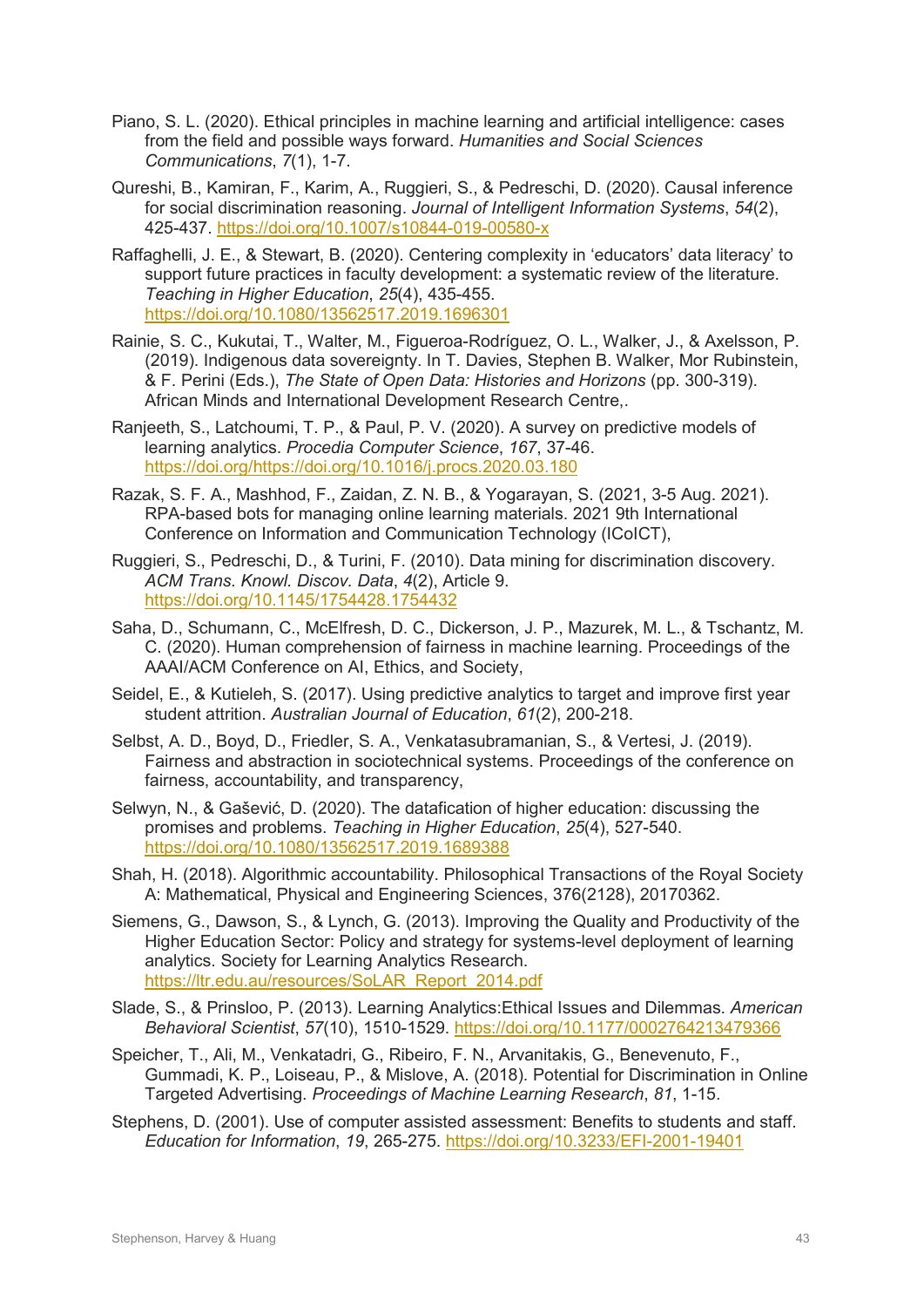- Piano, S. L. (2020). Ethical principles in machine learning and artificial intelligence: cases from the field and possible ways forward. *Humanities and Social Sciences Communications*, *7*(1), 1-7.
- Qureshi, B., Kamiran, F., Karim, A., Ruggieri, S., & Pedreschi, D. (2020). Causal inference for social discrimination reasoning. *Journal of Intelligent Information Systems*, *54*(2), 425-437.<https://doi.org/10.1007/s10844-019-00580-x>
- Raffaghelli, J. E., & Stewart, B. (2020). Centering complexity in 'educators' data literacy' to support future practices in faculty development: a systematic review of the literature. *Teaching in Higher Education*, *25*(4), 435-455. <https://doi.org/10.1080/13562517.2019.1696301>
- Rainie, S. C., Kukutai, T., Walter, M., Figueroa-Rodríguez, O. L., Walker, J., & Axelsson, P. (2019). Indigenous data sovereignty. In T. Davies, Stephen B. Walker, Mor Rubinstein, & F. Perini (Eds.), *The State of Open Data: Histories and Horizons* (pp. 300-319). African Minds and International Development Research Centre,.
- Ranjeeth, S., Latchoumi, T. P., & Paul, P. V. (2020). A survey on predictive models of learning analytics. *Procedia Computer Science*, *167*, 37-46. [https://doi.org/https://doi.org/10.1016/j.procs.2020.03.180](https://doi.org/https:/doi.org/10.1016/j.procs.2020.03.180)
- Razak, S. F. A., Mashhod, F., Zaidan, Z. N. B., & Yogarayan, S. (2021, 3-5 Aug. 2021). RPA-based bots for managing online learning materials. 2021 9th International Conference on Information and Communication Technology (ICoICT),
- Ruggieri, S., Pedreschi, D., & Turini, F. (2010). Data mining for discrimination discovery. *ACM Trans. Knowl. Discov. Data*, *4*(2), Article 9. <https://doi.org/10.1145/1754428.1754432>
- Saha, D., Schumann, C., McElfresh, D. C., Dickerson, J. P., Mazurek, M. L., & Tschantz, M. C. (2020). Human comprehension of fairness in machine learning. Proceedings of the AAAI/ACM Conference on AI, Ethics, and Society,
- Seidel, E., & Kutieleh, S. (2017). Using predictive analytics to target and improve first year student attrition. *Australian Journal of Education*, *61*(2), 200-218.
- Selbst, A. D., Boyd, D., Friedler, S. A., Venkatasubramanian, S., & Vertesi, J. (2019). Fairness and abstraction in sociotechnical systems. Proceedings of the conference on fairness, accountability, and transparency,
- Selwyn, N., & Gašević, D. (2020). The datafication of higher education: discussing the promises and problems. *Teaching in Higher Education*, *25*(4), 527-540. <https://doi.org/10.1080/13562517.2019.1689388>
- Shah, H. (2018). Algorithmic accountability. Philosophical Transactions of the Royal Society A: Mathematical, Physical and Engineering Sciences, 376(2128), 20170362.
- Siemens, G., Dawson, S., & Lynch, G. (2013). Improving the Quality and Productivity of the Higher Education Sector: Policy and strategy for systems-level deployment of learning analytics. Society for Learning Analytics Research. [https://ltr.edu.au/resources/SoLAR\\_Report\\_2014.pdf](https://ltr.edu.au/resources/SoLAR_Report_2014.pdf)
- Slade, S., & Prinsloo, P. (2013). Learning Analytics:Ethical Issues and Dilemmas. *American Behavioral Scientist*, *57*(10), 1510-1529.<https://doi.org/10.1177/0002764213479366>
- Speicher, T., Ali, M., Venkatadri, G., Ribeiro, F. N., Arvanitakis, G., Benevenuto, F., Gummadi, K. P., Loiseau, P., & Mislove, A. (2018). Potential for Discrimination in Online Targeted Advertising. *Proceedings of Machine Learning Research*, *81*, 1-15.
- Stephens, D. (2001). Use of computer assisted assessment: Benefits to students and staff. *Education for Information*, *19*, 265-275.<https://doi.org/10.3233/EFI-2001-19401>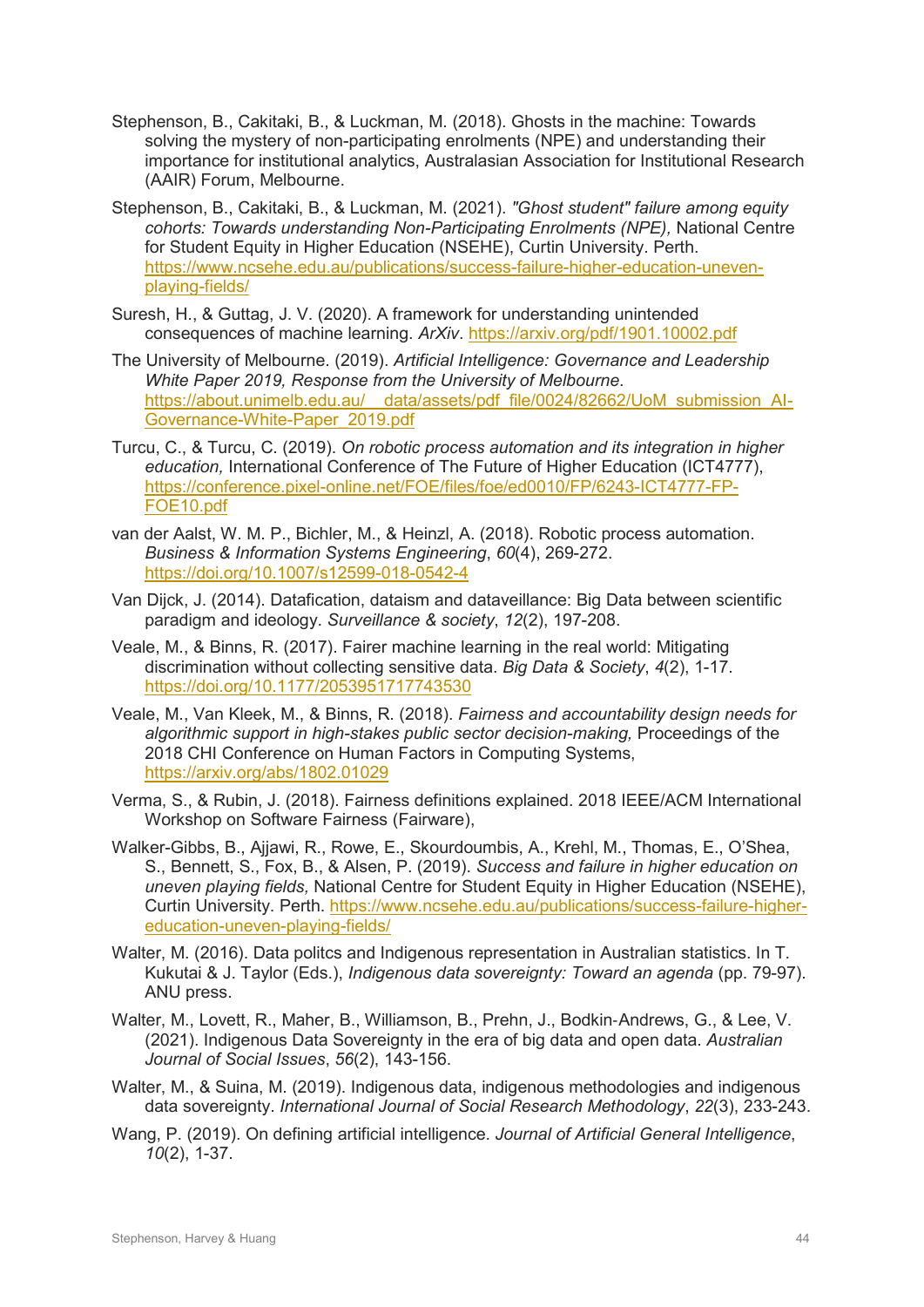- Stephenson, B., Cakitaki, B., & Luckman, M. (2018). Ghosts in the machine: Towards solving the mystery of non-participating enrolments (NPE) and understanding their importance for institutional analytics, Australasian Association for Institutional Research (AAIR) Forum, Melbourne.
- Stephenson, B., Cakitaki, B., & Luckman, M. (2021). *"Ghost student" failure among equity cohorts: Towards understanding Non-Participating Enrolments (NPE),* National Centre for Student Equity in Higher Education (NSEHE), Curtin University. Perth. [https://www.ncsehe.edu.au/publications/success-failure-higher-education-uneven](https://www.ncsehe.edu.au/publications/success-failure-higher-education-uneven-playing-fields/)[playing-fields/](https://www.ncsehe.edu.au/publications/success-failure-higher-education-uneven-playing-fields/)
- Suresh, H., & Guttag, J. V. (2020). A framework for understanding unintended consequences of machine learning. *ArXiv*.<https://arxiv.org/pdf/1901.10002.pdf>
- The University of Melbourne. (2019). *Artificial Intelligence: Governance and Leadership White Paper 2019, Response from the University of Melbourne*. [https://about.unimelb.edu.au/\\_\\_data/assets/pdf\\_file/0024/82662/UoM\\_submission\\_AI-](https://about.unimelb.edu.au/__data/assets/pdf_file/0024/82662/UoM_submission_AI-Governance-White-Paper_2019.pdf)[Governance-White-Paper\\_2019.pdf](https://about.unimelb.edu.au/__data/assets/pdf_file/0024/82662/UoM_submission_AI-Governance-White-Paper_2019.pdf)
- Turcu, C., & Turcu, C. (2019). *On robotic process automation and its integration in higher education,* International Conference of The Future of Higher Education (ICT4777), [https://conference.pixel-online.net/FOE/files/foe/ed0010/FP/6243-ICT4777-FP-](https://conference.pixel-online.net/FOE/files/foe/ed0010/FP/6243-ICT4777-FP-FOE10.pdf)[FOE10.pdf](https://conference.pixel-online.net/FOE/files/foe/ed0010/FP/6243-ICT4777-FP-FOE10.pdf)
- van der Aalst, W. M. P., Bichler, M., & Heinzl, A. (2018). Robotic process automation. *Business & Information Systems Engineering*, *60*(4), 269-272. <https://doi.org/10.1007/s12599-018-0542-4>
- Van Dijck, J. (2014). Datafication, dataism and dataveillance: Big Data between scientific paradigm and ideology. *Surveillance & society*, *12*(2), 197-208.
- Veale, M., & Binns, R. (2017). Fairer machine learning in the real world: Mitigating discrimination without collecting sensitive data. *Big Data & Society*, *4*(2), 1-17. <https://doi.org/10.1177/2053951717743530>
- Veale, M., Van Kleek, M., & Binns, R. (2018). *Fairness and accountability design needs for algorithmic support in high-stakes public sector decision-making,* Proceedings of the 2018 CHI Conference on Human Factors in Computing Systems, <https://arxiv.org/abs/1802.01029>
- Verma, S., & Rubin, J. (2018). Fairness definitions explained. 2018 IEEE/ACM International Workshop on Software Fairness (Fairware),
- Walker-Gibbs, B., Ajjawi, R., Rowe, E., Skourdoumbis, A., Krehl, M., Thomas, E., O'Shea, S., Bennett, S., Fox, B., & Alsen, P. (2019). *Success and failure in higher education on uneven playing fields,* National Centre for Student Equity in Higher Education (NSEHE), Curtin University. Perth. [https://www.ncsehe.edu.au/publications/success-failure-higher](https://www.ncsehe.edu.au/publications/success-failure-higher-education-uneven-playing-fields/)[education-uneven-playing-fields/](https://www.ncsehe.edu.au/publications/success-failure-higher-education-uneven-playing-fields/)
- Walter, M. (2016). Data politcs and Indigenous representation in Australian statistics. In T. Kukutai & J. Taylor (Eds.), *Indigenous data sovereignty: Toward an agenda* (pp. 79-97). ANU press.
- Walter, M., Lovett, R., Maher, B., Williamson, B., Prehn, J., Bodkin‐Andrews, G., & Lee, V. (2021). Indigenous Data Sovereignty in the era of big data and open data. *Australian Journal of Social Issues*, *56*(2), 143-156.
- Walter, M., & Suina, M. (2019). Indigenous data, indigenous methodologies and indigenous data sovereignty. *International Journal of Social Research Methodology*, *22*(3), 233-243.
- Wang, P. (2019). On defining artificial intelligence. *Journal of Artificial General Intelligence*, *10*(2), 1-37.